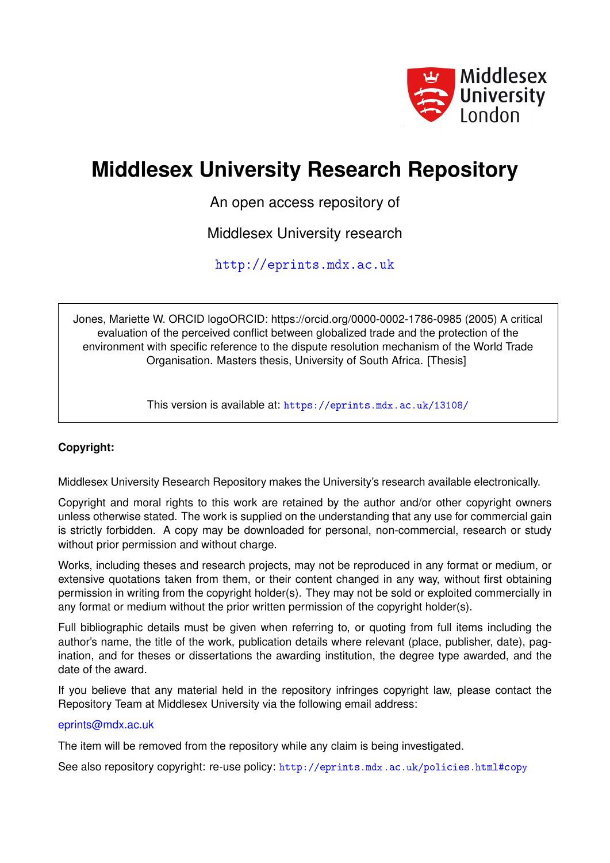

## **Middlesex University Research Repository**

An open access repository of

Middlesex University research

<http://eprints.mdx.ac.uk>

Jones, Mariette W. ORCID logoORCID: https://orcid.org/0000-0002-1786-0985 (2005) A critical evaluation of the perceived conflict between globalized trade and the protection of the environment with specific reference to the dispute resolution mechanism of the World Trade Organisation. Masters thesis, University of South Africa. [Thesis]

This version is available at: <https://eprints.mdx.ac.uk/13108/>

## **Copyright:**

Middlesex University Research Repository makes the University's research available electronically.

Copyright and moral rights to this work are retained by the author and/or other copyright owners unless otherwise stated. The work is supplied on the understanding that any use for commercial gain is strictly forbidden. A copy may be downloaded for personal, non-commercial, research or study without prior permission and without charge.

Works, including theses and research projects, may not be reproduced in any format or medium, or extensive quotations taken from them, or their content changed in any way, without first obtaining permission in writing from the copyright holder(s). They may not be sold or exploited commercially in any format or medium without the prior written permission of the copyright holder(s).

Full bibliographic details must be given when referring to, or quoting from full items including the author's name, the title of the work, publication details where relevant (place, publisher, date), pagination, and for theses or dissertations the awarding institution, the degree type awarded, and the date of the award.

If you believe that any material held in the repository infringes copyright law, please contact the Repository Team at Middlesex University via the following email address:

### [eprints@mdx.ac.uk](mailto:eprints@mdx.ac.uk)

The item will be removed from the repository while any claim is being investigated.

See also repository copyright: re-use policy: <http://eprints.mdx.ac.uk/policies.html#copy>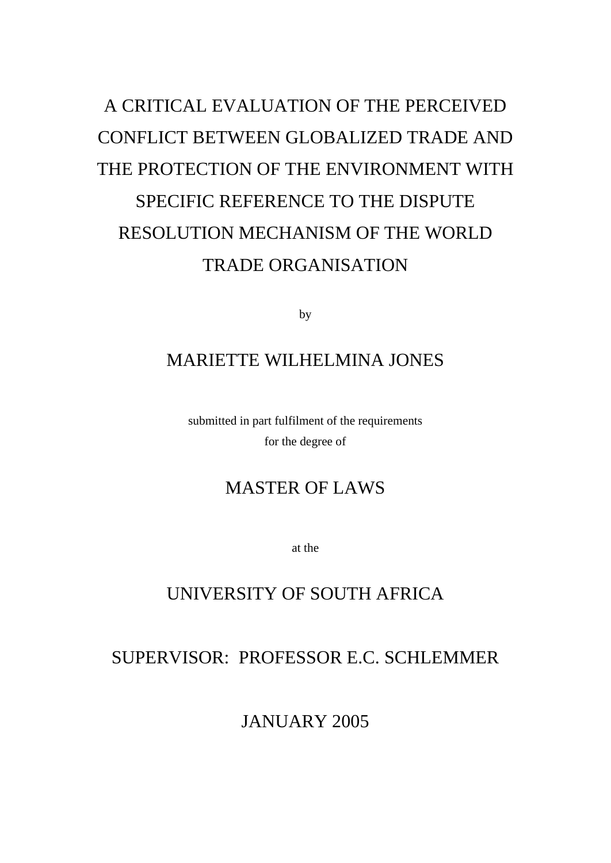# A CRITICAL EVALUATION OF THE PERCEIVED CONFLICT BETWEEN GLOBALIZED TRADE AND THE PROTECTION OF THE ENVIRONMENT WITH SPECIFIC REFERENCE TO THE DISPUTE RESOLUTION MECHANISM OF THE WORLD TRADE ORGANISATION

by

## MARIETTE WILHELMINA JONES

submitted in part fulfilment of the requirements for the degree of

## MASTER OF LAWS

at the

## UNIVERSITY OF SOUTH AFRICA

## SUPERVISOR: PROFESSOR E.C. SCHLEMMER

JANUARY 2005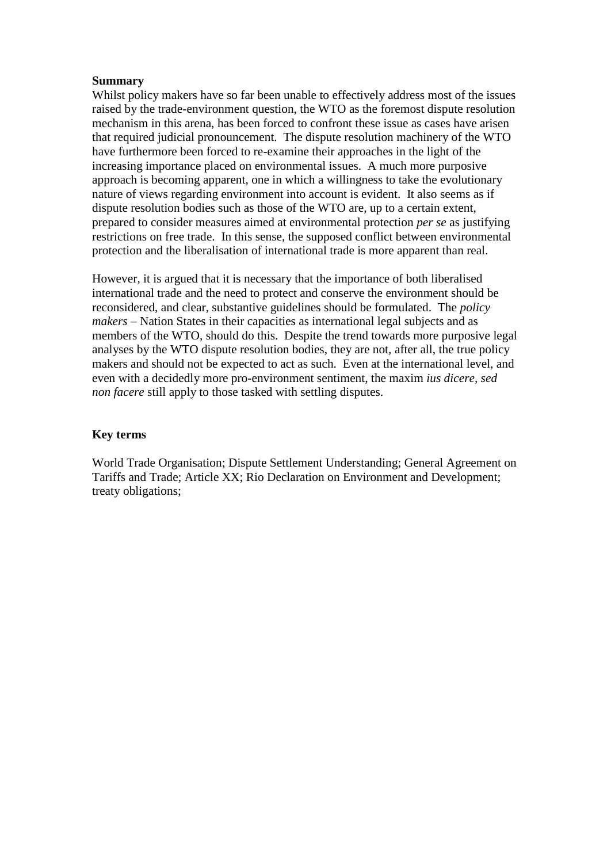#### **Summary**

Whilst policy makers have so far been unable to effectively address most of the issues raised by the trade-environment question, the WTO as the foremost dispute resolution mechanism in this arena, has been forced to confront these issue as cases have arisen that required judicial pronouncement. The dispute resolution machinery of the WTO have furthermore been forced to re-examine their approaches in the light of the increasing importance placed on environmental issues. A much more purposive approach is becoming apparent, one in which a willingness to take the evolutionary nature of views regarding environment into account is evident. It also seems as if dispute resolution bodies such as those of the WTO are, up to a certain extent, prepared to consider measures aimed at environmental protection *per se* as justifying restrictions on free trade. In this sense, the supposed conflict between environmental protection and the liberalisation of international trade is more apparent than real.

However, it is argued that it is necessary that the importance of both liberalised international trade and the need to protect and conserve the environment should be reconsidered, and clear, substantive guidelines should be formulated. The *policy makers* – Nation States in their capacities as international legal subjects and as members of the WTO, should do this. Despite the trend towards more purposive legal analyses by the WTO dispute resolution bodies, they are not, after all, the true policy makers and should not be expected to act as such. Even at the international level, and even with a decidedly more pro-environment sentiment, the maxim *ius dicere, sed non facere* still apply to those tasked with settling disputes.

### **Key terms**

World Trade Organisation; Dispute Settlement Understanding; General Agreement on Tariffs and Trade; Article XX; Rio Declaration on Environment and Development; treaty obligations;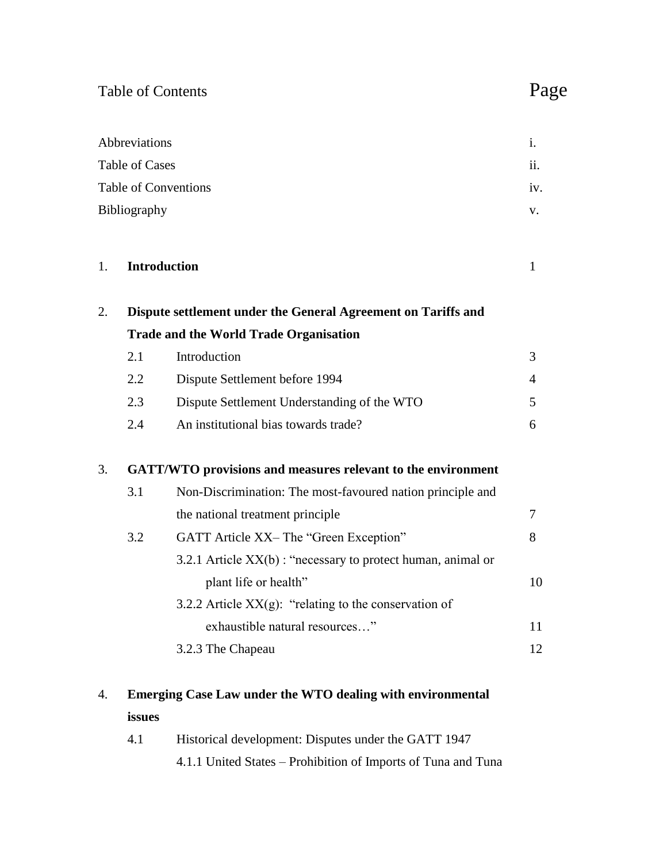## Table of Contents Page

|                             | Abbreviations |                                                               | i.             |  |
|-----------------------------|---------------|---------------------------------------------------------------|----------------|--|
| <b>Table of Cases</b>       |               |                                                               | ii.            |  |
| <b>Table of Conventions</b> |               | iv.                                                           |                |  |
|                             | Bibliography  | V.                                                            |                |  |
| 1.                          |               | <b>Introduction</b>                                           | $\mathbf{1}$   |  |
| 2.                          |               | Dispute settlement under the General Agreement on Tariffs and |                |  |
|                             |               | <b>Trade and the World Trade Organisation</b>                 |                |  |
|                             | 2.1           | Introduction                                                  | 3              |  |
|                             | 2.2           | Dispute Settlement before 1994                                | $\overline{4}$ |  |
|                             | 2.3           | Dispute Settlement Understanding of the WTO                   | 5              |  |
|                             | 2.4           | An institutional bias towards trade?                          | 6              |  |
| 3.                          |               | GATT/WTO provisions and measures relevant to the environment  |                |  |
|                             | 3.1           | Non-Discrimination: The most-favoured nation principle and    |                |  |
|                             |               | the national treatment principle                              | $\tau$         |  |
|                             | 3.2           | GATT Article XX- The "Green Exception"                        | 8              |  |
|                             |               | 3.2.1 Article XX(b): "necessary to protect human, animal or   |                |  |
|                             |               | plant life or health"                                         | 10             |  |
|                             |               | 3.2.2 Article $XX(g)$ : "relating to the conservation of      |                |  |
|                             |               | exhaustible natural resources"                                | 11             |  |
|                             |               | 3.2.3 The Chapeau                                             | 12             |  |
|                             |               |                                                               |                |  |

## 4. **Emerging Case Law under the WTO dealing with environmental issues**

| 4.1 | Historical development: Disputes under the GATT 1947          |
|-----|---------------------------------------------------------------|
|     | 4.1.1 United States – Prohibition of Imports of Tuna and Tuna |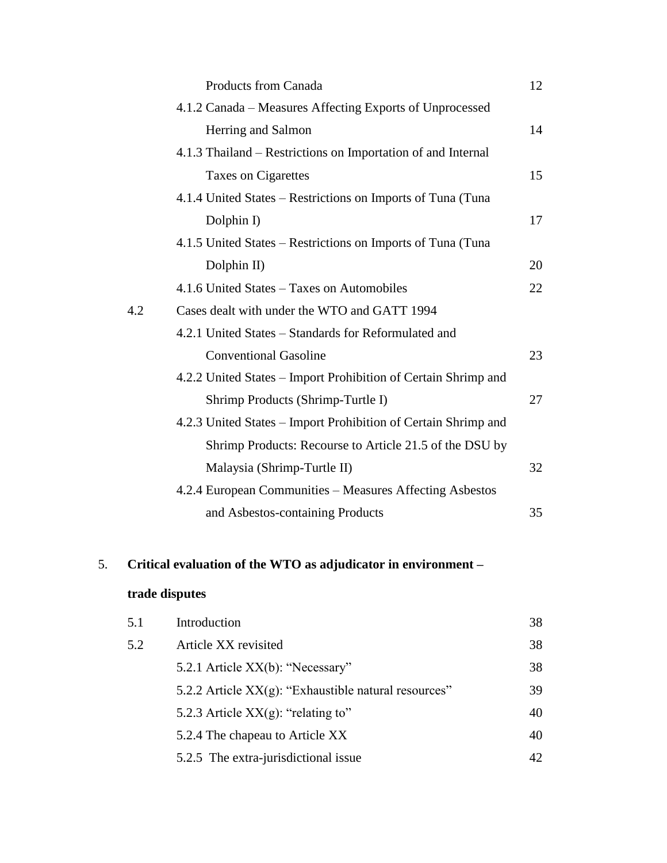|     | <b>Products from Canada</b>                                    | 12 |
|-----|----------------------------------------------------------------|----|
|     | 4.1.2 Canada – Measures Affecting Exports of Unprocessed       |    |
|     | Herring and Salmon                                             | 14 |
|     | 4.1.3 Thailand – Restrictions on Importation of and Internal   |    |
|     | Taxes on Cigarettes                                            | 15 |
|     | 4.1.4 United States – Restrictions on Imports of Tuna (Tuna    |    |
|     | Dolphin I)                                                     | 17 |
|     | 4.1.5 United States – Restrictions on Imports of Tuna (Tuna    |    |
|     | Dolphin II)                                                    | 20 |
|     | 4.1.6 United States – Taxes on Automobiles                     | 22 |
| 4.2 | Cases dealt with under the WTO and GATT 1994                   |    |
|     | 4.2.1 United States – Standards for Reformulated and           |    |
|     | <b>Conventional Gasoline</b>                                   | 23 |
|     | 4.2.2 United States – Import Prohibition of Certain Shrimp and |    |
|     | Shrimp Products (Shrimp-Turtle I)                              | 27 |
|     | 4.2.3 United States – Import Prohibition of Certain Shrimp and |    |
|     | Shrimp Products: Recourse to Article 21.5 of the DSU by        |    |
|     | Malaysia (Shrimp-Turtle II)                                    | 32 |
|     | 4.2.4 European Communities - Measures Affecting Asbestos       |    |
|     | and Asbestos-containing Products                               | 35 |

## 5. **Critical evaluation of the WTO as adjudicator in environment –**

## **trade disputes**

| 5.1 | Introduction                                            | 38 |
|-----|---------------------------------------------------------|----|
| 5.2 | Article XX revisited                                    | 38 |
|     | 5.2.1 Article XX(b): "Necessary"                        | 38 |
|     | 5.2.2 Article $XX(g)$ : "Exhaustible natural resources" | 39 |
|     | 5.2.3 Article $XX(g)$ : "relating to"                   | 40 |
|     | 5.2.4 The chapeau to Article XX                         | 40 |
|     | 5.2.5 The extra-jurisdictional issue                    | 42 |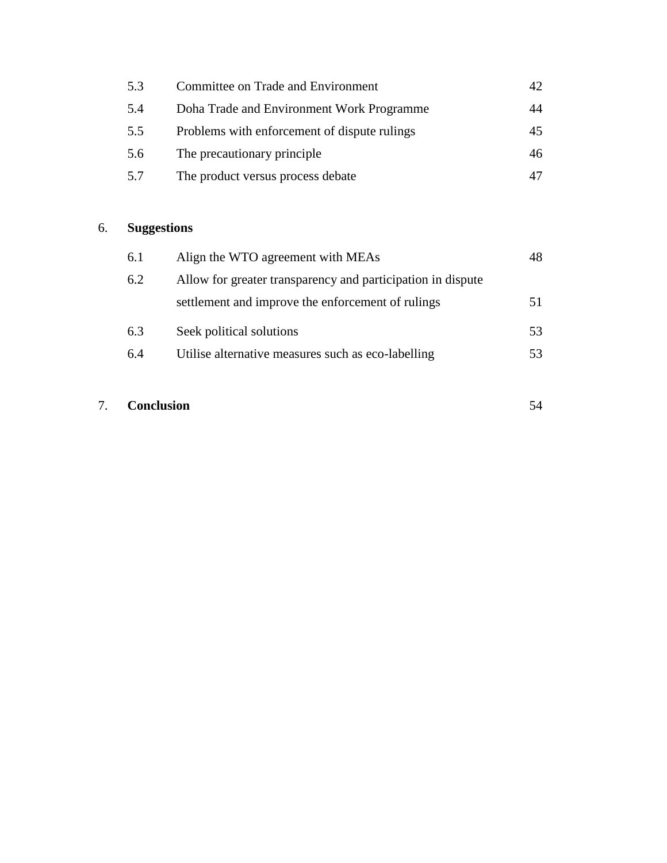| Committee on Trade and Environment           |    |
|----------------------------------------------|----|
| Doha Trade and Environment Work Programme    | 44 |
| Problems with enforcement of dispute rulings | 45 |
| The precautionary principle.                 | 46 |
| The product versus process debate            |    |
|                                              |    |

## 6. **Suggestions**

| 6.1 | Align the WTO agreement with MEAs                           |     |
|-----|-------------------------------------------------------------|-----|
| 6.2 | Allow for greater transparency and participation in dispute |     |
|     | settlement and improve the enforcement of rulings           |     |
| 6.3 | Seek political solutions                                    | 53  |
| 6.4 | Utilise alternative measures such as eco-labelling          | 53. |

## 7. **Conclusion**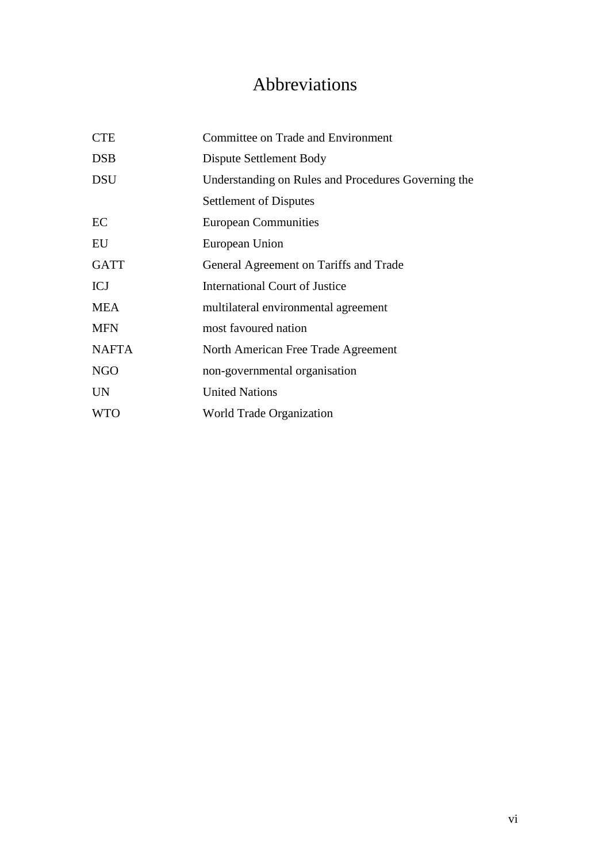## Abbreviations

| <b>CTE</b>   | Committee on Trade and Environment                  |
|--------------|-----------------------------------------------------|
| <b>DSB</b>   | Dispute Settlement Body                             |
| <b>DSU</b>   | Understanding on Rules and Procedures Governing the |
|              | <b>Settlement of Disputes</b>                       |
| EC           | <b>European Communities</b>                         |
| EU           | European Union                                      |
| <b>GATT</b>  | General Agreement on Tariffs and Trade              |
| <b>ICJ</b>   | <b>International Court of Justice</b>               |
| <b>MEA</b>   | multilateral environmental agreement                |
| <b>MFN</b>   | most favoured nation                                |
| <b>NAFTA</b> | North American Free Trade Agreement                 |
| <b>NGO</b>   | non-governmental organisation                       |
| <b>UN</b>    | <b>United Nations</b>                               |
| <b>WTO</b>   | World Trade Organization                            |
|              |                                                     |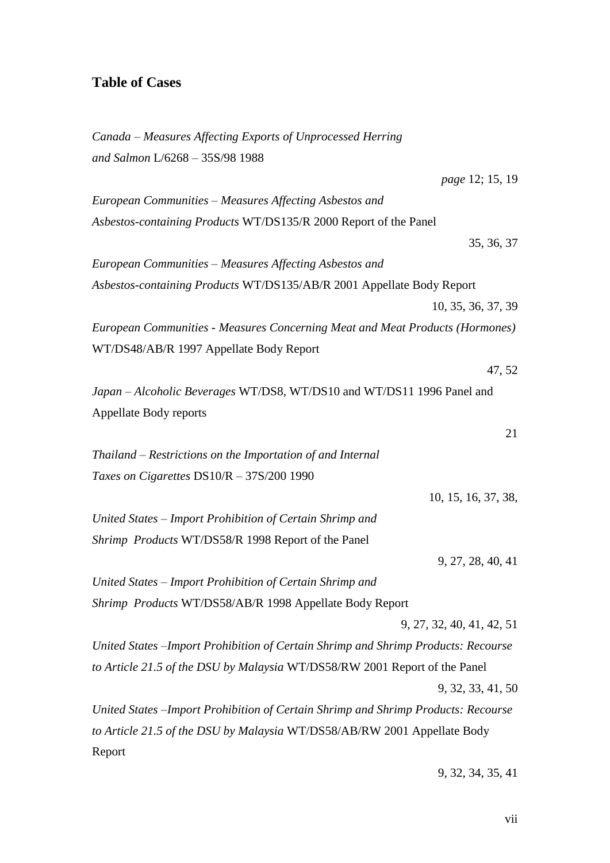## **Table of Cases**

| Canada - Measures Affecting Exports of Unprocessed Herring                         |
|------------------------------------------------------------------------------------|
| and Salmon L/6268 - 35S/98 1988                                                    |
| page 12; 15, 19                                                                    |
| European Communities - Measures Affecting Asbestos and                             |
| Asbestos-containing Products WT/DS135/R 2000 Report of the Panel                   |
| 35, 36, 37                                                                         |
| European Communities - Measures Affecting Asbestos and                             |
| Asbestos-containing Products WT/DS135/AB/R 2001 Appellate Body Report              |
| 10, 35, 36, 37, 39                                                                 |
| European Communities - Measures Concerning Meat and Meat Products (Hormones)       |
| WT/DS48/AB/R 1997 Appellate Body Report                                            |
| 47, 52                                                                             |
| Japan - Alcoholic Beverages WT/DS8, WT/DS10 and WT/DS11 1996 Panel and             |
| Appellate Body reports                                                             |
| 21                                                                                 |
| Thailand – Restrictions on the Importation of and Internal                         |
| Taxes on Cigarettes DS10/R - 37S/200 1990                                          |
| 10, 15, 16, 37, 38,                                                                |
| United States - Import Prohibition of Certain Shrimp and                           |
| Shrimp Products WT/DS58/R 1998 Report of the Panel                                 |
| 9, 27, 28, 40, 41                                                                  |
| United States - Import Prohibition of Certain Shrimp and                           |
| Shrimp Products WT/DS58/AB/R 1998 Appellate Body Report                            |
| 9, 27, 32, 40, 41, 42, 51                                                          |
| United States - Import Prohibition of Certain Shrimp and Shrimp Products: Recourse |
| to Article 21.5 of the DSU by Malaysia WT/DS58/RW 2001 Report of the Panel         |
| 9, 32, 33, 41, 50                                                                  |
| United States – Import Prohibition of Certain Shrimp and Shrimp Products: Recourse |
| to Article 21.5 of the DSU by Malaysia WT/DS58/AB/RW 2001 Appellate Body           |
| Report                                                                             |

9, 32, 34, 35, 41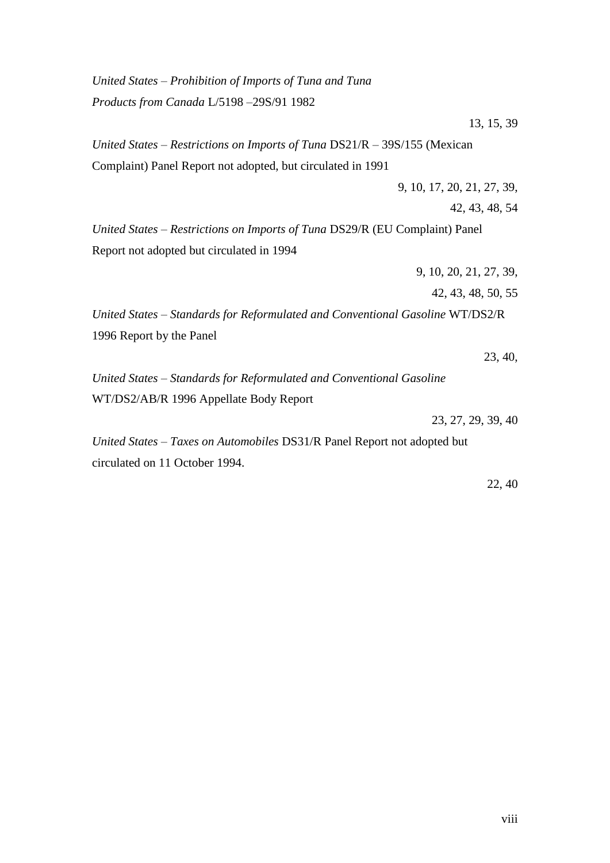*United States – Prohibition of Imports of Tuna and Tuna Products from Canada* L/5198 –29S/91 1982 13, 15, 39 *United States – Restrictions on Imports of Tuna* DS21/R – 39S/155 (Mexican Complaint) Panel Report not adopted, but circulated in 1991 9, 10, 17, 20, 21, 27, 39, 42, 43, 48, 54 *United States – Restrictions on Imports of Tuna* DS29/R (EU Complaint) Panel Report not adopted but circulated in 1994 9, 10, 20, 21, 27, 39, 42, 43, 48, 50, 55 *United States – Standards for Reformulated and Conventional Gasoline* WT/DS2/R 1996 Report by the Panel 23, 40, *United States – Standards for Reformulated and Conventional Gasoline* WT/DS2/AB/R 1996 Appellate Body Report 23, 27, 29, 39, 40 *United States – Taxes on Automobiles* DS31/R Panel Report not adopted but circulated on 11 October 1994.

22, 40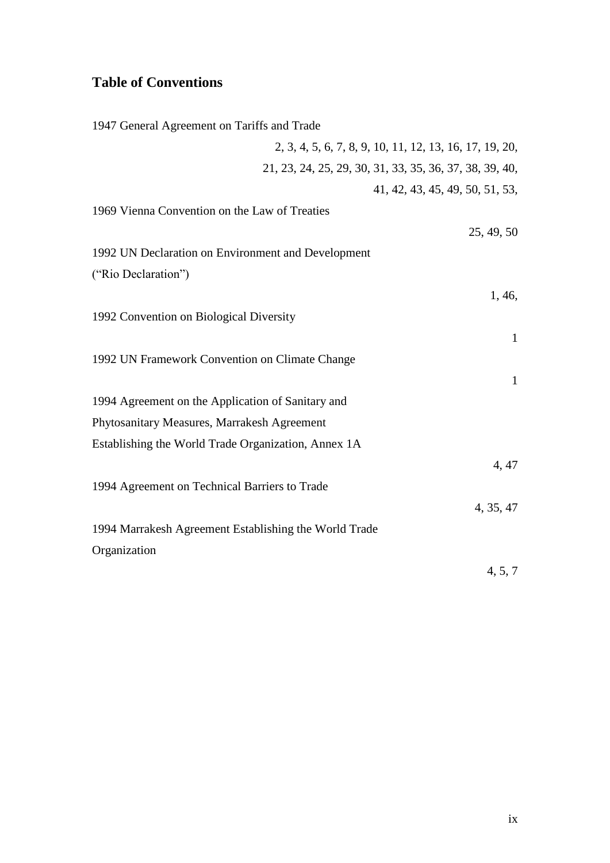## **Table of Conventions**

| 1947 General Agreement on Tariffs and Trade             |
|---------------------------------------------------------|
| 2, 3, 4, 5, 6, 7, 8, 9, 10, 11, 12, 13, 16, 17, 19, 20, |
| 21, 23, 24, 25, 29, 30, 31, 33, 35, 36, 37, 38, 39, 40, |
| 41, 42, 43, 45, 49, 50, 51, 53,                         |
| 1969 Vienna Convention on the Law of Treaties           |
| 25, 49, 50                                              |
| 1992 UN Declaration on Environment and Development      |
| ("Rio Declaration")                                     |
| 1, 46,                                                  |
| 1992 Convention on Biological Diversity                 |
| $\mathbf{1}$                                            |
| 1992 UN Framework Convention on Climate Change          |
| $\mathbf{1}$                                            |
| 1994 Agreement on the Application of Sanitary and       |
| Phytosanitary Measures, Marrakesh Agreement             |
| Establishing the World Trade Organization, Annex 1A     |
| 4, 47                                                   |
| 1994 Agreement on Technical Barriers to Trade           |
| 4, 35, 47                                               |
| 1994 Marrakesh Agreement Establishing the World Trade   |
| Organization                                            |
| 4, 5, 7                                                 |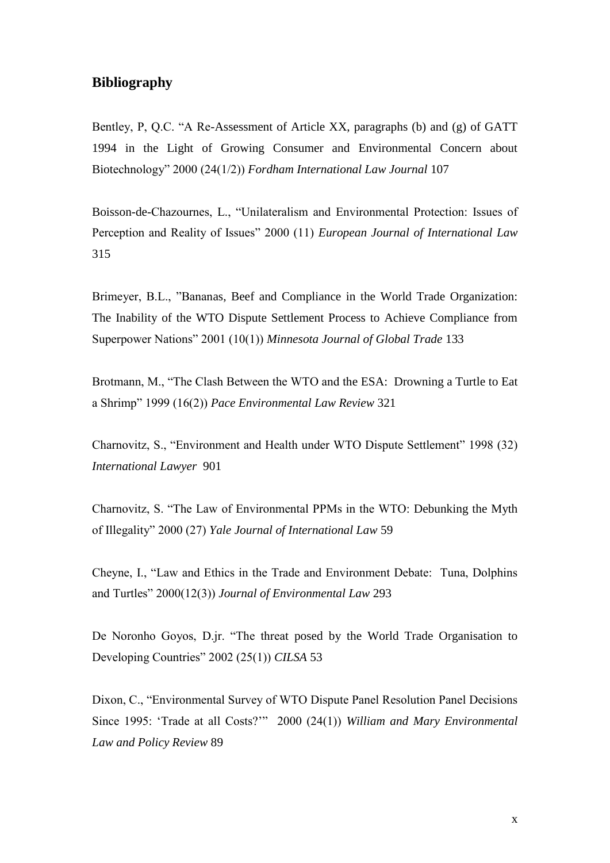## **Bibliography**

Bentley, P, Q.C. "A Re-Assessment of Article XX, paragraphs (b) and (g) of GATT 1994 in the Light of Growing Consumer and Environmental Concern about Biotechnology" 2000 (24(1/2)) *Fordham International Law Journal* 107

Boisson-de-Chazournes, L., "Unilateralism and Environmental Protection: Issues of Perception and Reality of Issues" 2000 (11) *European Journal of International Law* 315

Brimeyer, B.L., "Bananas, Beef and Compliance in the World Trade Organization: The Inability of the WTO Dispute Settlement Process to Achieve Compliance from Superpower Nations" 2001 (10(1)) *Minnesota Journal of Global Trade* 133

Brotmann, M., "The Clash Between the WTO and the ESA: Drowning a Turtle to Eat a Shrimp" 1999 (16(2)) *Pace Environmental Law Review* 321

Charnovitz, S., "Environment and Health under WTO Dispute Settlement" 1998 (32) *International Lawyer* 901

Charnovitz, S. "The Law of Environmental PPMs in the WTO: Debunking the Myth of Illegality" 2000 (27) *Yale Journal of International Law* 59

Cheyne, I., "Law and Ethics in the Trade and Environment Debate: Tuna, Dolphins and Turtles" 2000(12(3)) *Journal of Environmental Law* 293

De Noronho Goyos, D.jr. "The threat posed by the World Trade Organisation to Developing Countries" 2002 (25(1)) *CILSA* 53

Dixon, C., "Environmental Survey of WTO Dispute Panel Resolution Panel Decisions Since 1995: 'Trade at all Costs?'" 2000 (24(1)) *William and Mary Environmental Law and Policy Review* 89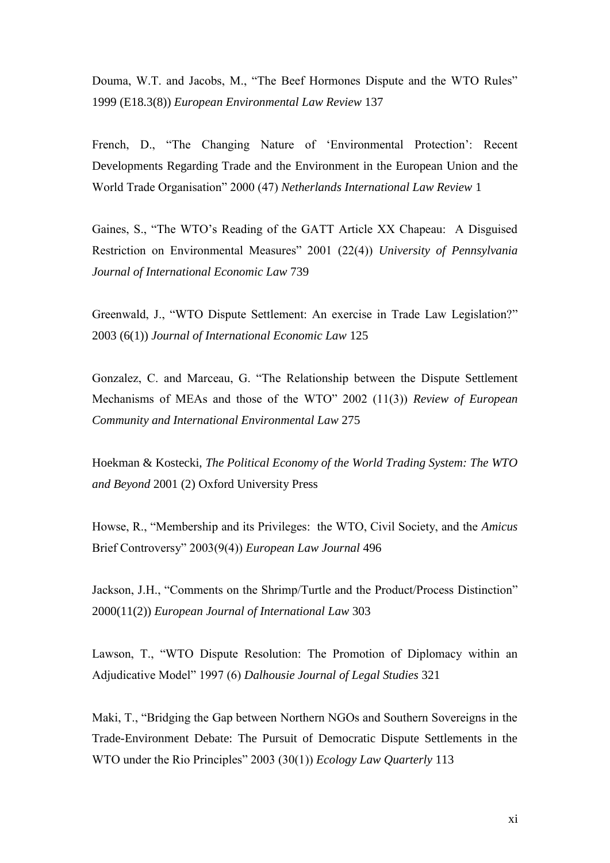Douma, W.T. and Jacobs, M., "The Beef Hormones Dispute and the WTO Rules" 1999 (E18.3(8)) *European Environmental Law Review* 137

French, D., "The Changing Nature of 'Environmental Protection': Recent Developments Regarding Trade and the Environment in the European Union and the World Trade Organisation" 2000 (47) *Netherlands International Law Review* 1

Gaines, S., "The WTO's Reading of the GATT Article XX Chapeau: A Disguised Restriction on Environmental Measures" 2001 (22(4)) *University of Pennsylvania Journal of International Economic Law* 739

Greenwald, J., "WTO Dispute Settlement: An exercise in Trade Law Legislation?" 2003 (6(1)) *Journal of International Economic Law* 125

Gonzalez, C. and Marceau, G. "The Relationship between the Dispute Settlement Mechanisms of MEAs and those of the WTO" 2002 (11(3)) *Review of European Community and International Environmental Law* 275

Hoekman & Kostecki, *The Political Economy of the World Trading System: The WTO and Beyond* 2001 (2) Oxford University Press

Howse, R., "Membership and its Privileges: the WTO, Civil Society, and the *Amicus* Brief Controversy" 2003(9(4)) *European Law Journal* 496

Jackson, J.H., "Comments on the Shrimp/Turtle and the Product/Process Distinction" 2000(11(2)) *European Journal of International Law* 303

Lawson, T., "WTO Dispute Resolution: The Promotion of Diplomacy within an Adjudicative Model" 1997 (6) *Dalhousie Journal of Legal Studies* 321

Maki, T., "Bridging the Gap between Northern NGOs and Southern Sovereigns in the Trade-Environment Debate: The Pursuit of Democratic Dispute Settlements in the WTO under the Rio Principles" 2003 (30(1)) *Ecology Law Quarterly* 113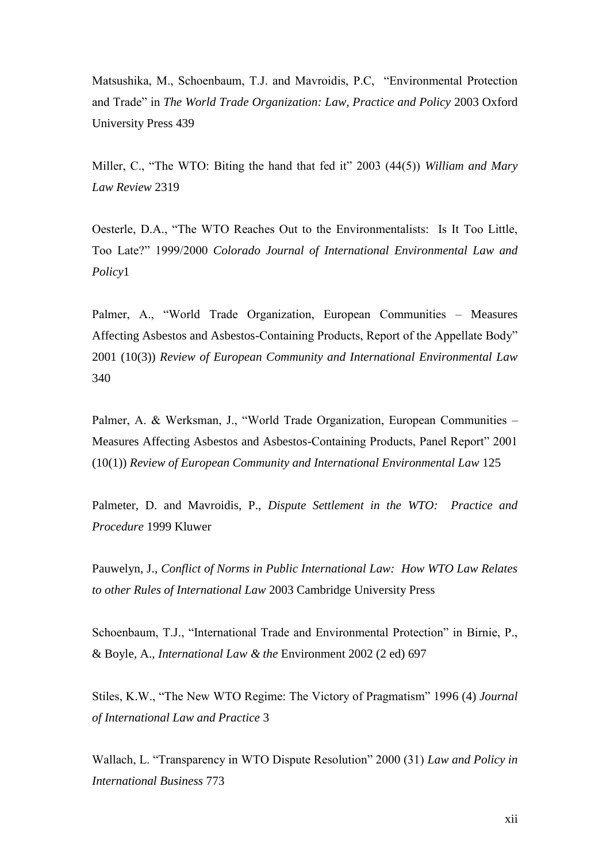Matsushika, M., Schoenbaum, T.J. and Mavroidis, P.C, "Environmental Protection and Trade" in *The World Trade Organization: Law, Practice and Policy* 2003 Oxford University Press 439

Miller, C., "The WTO: Biting the hand that fed it" 2003 (44(5)) *William and Mary Law Review* 2319

Oesterle, D.A., "The WTO Reaches Out to the Environmentalists: Is It Too Little, Too Late?" 1999/2000 *Colorado Journal of International Environmental Law and Policy*1

Palmer, A., "World Trade Organization, European Communities – Measures Affecting Asbestos and Asbestos-Containing Products, Report of the Appellate Body" 2001 (10(3)) *Review of European Community and International Environmental Law* 340

Palmer, A. & Werksman, J., "World Trade Organization, European Communities – Measures Affecting Asbestos and Asbestos-Containing Products, Panel Report" 2001 (10(1)) *Review of European Community and International Environmental Law* 125

Palmeter, D. and Mavroidis, P., *Dispute Settlement in the WTO: Practice and Procedure* 1999 Kluwer

Pauwelyn, J., *Conflict of Norms in Public International Law: How WTO Law Relates to other Rules of International Law* 2003 Cambridge University Press

Schoenbaum, T.J., "International Trade and Environmental Protection" in Birnie, P., & Boyle, A., *International Law & the* Environment 2002 (2 ed) 697

Stiles, K.W., "The New WTO Regime: The Victory of Pragmatism" 1996 (4) *Journal of International Law and Practice* 3

Wallach, L. "Transparency in WTO Dispute Resolution" 2000 (31) *Law and Policy in International Business* 773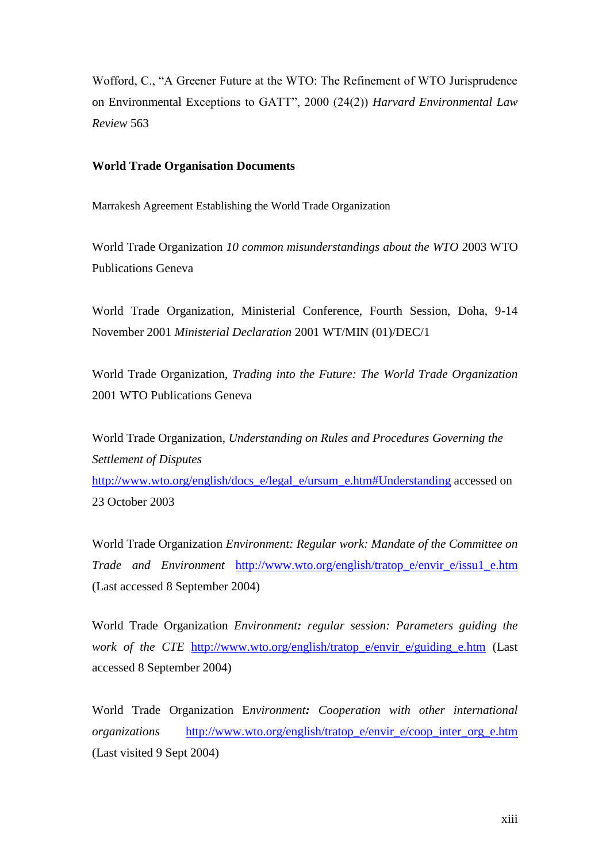Wofford, C., "A Greener Future at the WTO: The Refinement of WTO Jurisprudence on Environmental Exceptions to GATT", 2000 (24(2)) *Harvard Environmental Law Review* 563

### **World Trade Organisation Documents**

Marrakesh Agreement Establishing the World Trade Organization

World Trade Organization *10 common misunderstandings about the WTO* 2003 WTO Publications Geneva

World Trade Organization, Ministerial Conference, Fourth Session, Doha, 9-14 November 2001 *Ministerial Declaration* 2001 WT/MIN (01)/DEC/1

World Trade Organization, *Trading into the Future: The World Trade Organization* 2001 WTO Publications Geneva

World Trade Organization, *Understanding on Rules and Procedures Governing the Settlement of Disputes* [http://www.wto.org/english/docs\\_e/legal\\_e/ursum\\_e.htm#Understanding](http://www.wto.org/english/docs_e/legal_e/ursum_e.htm#Understanding) accessed on 23 October 2003

World Trade Organization *Environment: Regular work: Mandate of the Committee on Trade and Environment* [http://www.wto.org/english/tratop\\_e/envir\\_e/issu1\\_e.htm](http://www.wto.org/english/tratop_e/envir_e/issu1_e.htm) (Last accessed 8 September 2004)

World Trade Organization *Environment: regular session: Parameters guiding the work of the CTE* http://www.wto.org/english/tratop e/envir e/guiding e.htm (Last accessed 8 September 2004)

World Trade Organization E*nvironment: Cooperation with other international organizations* [http://www.wto.org/english/tratop\\_e/envir\\_e/coop\\_inter\\_org\\_e.htm](http://www.wto.org/english/tratop_e/envir_e/coop_inter_org_e.htm) (Last visited 9 Sept 2004)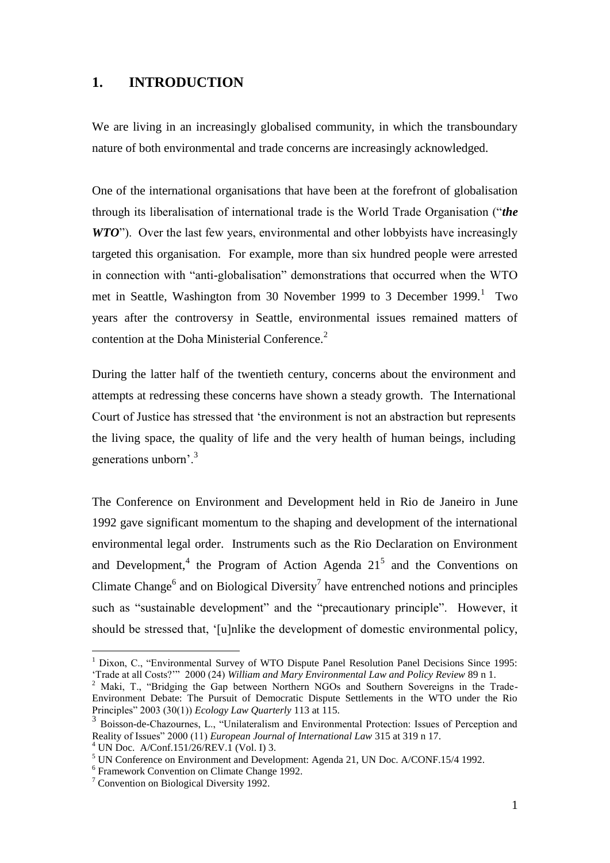## **1. INTRODUCTION**

We are living in an increasingly globalised community, in which the transboundary nature of both environmental and trade concerns are increasingly acknowledged.

One of the international organisations that have been at the forefront of globalisation through its liberalisation of international trade is the World Trade Organisation ("*the WTO*"). Over the last few years, environmental and other lobbyists have increasingly targeted this organisation. For example, more than six hundred people were arrested in connection with "anti-globalisation" demonstrations that occurred when the WTO met in Seattle, Washington from 30 November 1999 to 3 December 1999.<sup>1</sup> Two years after the controversy in Seattle, environmental issues remained matters of contention at the Doha Ministerial Conference.<sup>2</sup>

During the latter half of the twentieth century, concerns about the environment and attempts at redressing these concerns have shown a steady growth. The International Court of Justice has stressed that 'the environment is not an abstraction but represents the living space, the quality of life and the very health of human beings, including generations unborn'.<sup>3</sup>

The Conference on Environment and Development held in Rio de Janeiro in June 1992 gave significant momentum to the shaping and development of the international environmental legal order. Instruments such as the Rio Declaration on Environment and Development,<sup>4</sup> the Program of Action Agenda  $21^5$  and the Conventions on Climate Change<sup>6</sup> and on Biological Diversity<sup>7</sup> have entrenched notions and principles such as "sustainable development" and the "precautionary principle". However, it should be stressed that, '[u]nlike the development of domestic environmental policy,

<sup>&</sup>lt;sup>1</sup> Dixon, C., "Environmental Survey of WTO Dispute Panel Resolution Panel Decisions Since 1995: 'Trade at all Costs?'" 2000 (24) *William and Mary Environmental Law and Policy Review* 89 n 1.

<sup>&</sup>lt;sup>2</sup> Maki, T., "Bridging the Gap between Northern NGOs and Southern Sovereigns in the Trade-Environment Debate: The Pursuit of Democratic Dispute Settlements in the WTO under the Rio Principles" 2003 (30(1)) *Ecology Law Quarterly* 113 at 115.

<sup>&</sup>lt;sup>3</sup> Boisson-de-Chazournes, L., "Unilateralism and Environmental Protection: Issues of Perception and Reality of Issues" 2000 (11) *European Journal of International Law* 315 at 319 n 17.

 $^{4}$  UN Doc. A/Conf.151/26/REV.1 (Vol. I) 3.

<sup>5</sup> UN Conference on Environment and Development: Agenda 21, UN Doc. A/CONF.15/4 1992.

<sup>6</sup> Framework Convention on Climate Change 1992.

<sup>7</sup> Convention on Biological Diversity 1992.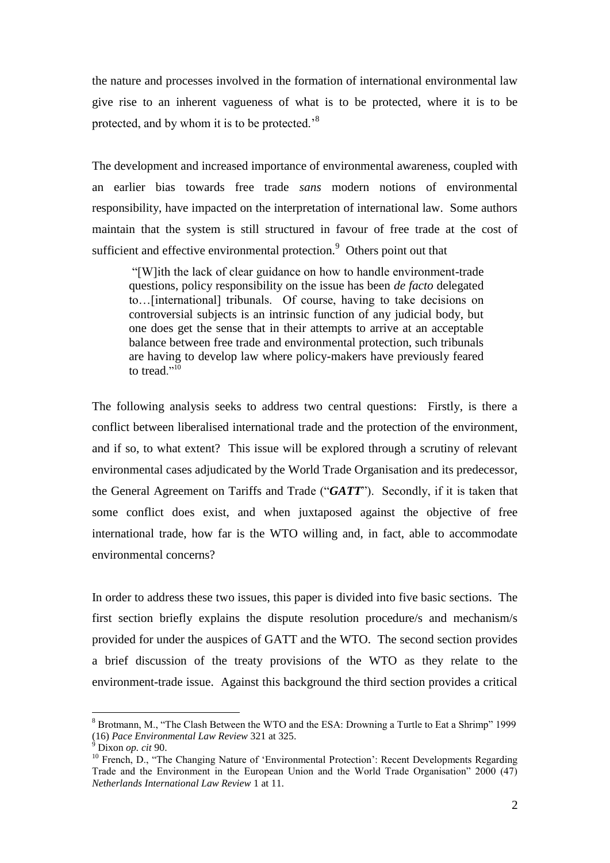the nature and processes involved in the formation of international environmental law give rise to an inherent vagueness of what is to be protected, where it is to be protected, and by whom it is to be protected.'<sup>8</sup>

The development and increased importance of environmental awareness, coupled with an earlier bias towards free trade *sans* modern notions of environmental responsibility, have impacted on the interpretation of international law. Some authors maintain that the system is still structured in favour of free trade at the cost of sufficient and effective environmental protection.<sup>9</sup> Others point out that

"[W]ith the lack of clear guidance on how to handle environment-trade questions, policy responsibility on the issue has been *de facto* delegated to…[international] tribunals. Of course, having to take decisions on controversial subjects is an intrinsic function of any judicial body, but one does get the sense that in their attempts to arrive at an acceptable balance between free trade and environmental protection, such tribunals are having to develop law where policy-makers have previously feared to tread."<sup>10</sup>

The following analysis seeks to address two central questions: Firstly, is there a conflict between liberalised international trade and the protection of the environment, and if so, to what extent? This issue will be explored through a scrutiny of relevant environmental cases adjudicated by the World Trade Organisation and its predecessor, the General Agreement on Tariffs and Trade ("*GATT*"). Secondly, if it is taken that some conflict does exist, and when juxtaposed against the objective of free international trade, how far is the WTO willing and, in fact, able to accommodate environmental concerns?

In order to address these two issues, this paper is divided into five basic sections. The first section briefly explains the dispute resolution procedure/s and mechanism/s provided for under the auspices of GATT and the WTO. The second section provides a brief discussion of the treaty provisions of the WTO as they relate to the environment-trade issue. Against this background the third section provides a critical

<sup>8</sup> Brotmann, M., "The Clash Between the WTO and the ESA: Drowning a Turtle to Eat a Shrimp" 1999 (16) *Pace Environmental Law Review* 321 at 325.

<sup>9</sup> Dixon *op. cit* 90.

<sup>&</sup>lt;sup>10</sup> French, D., "The Changing Nature of 'Environmental Protection': Recent Developments Regarding Trade and the Environment in the European Union and the World Trade Organisation" 2000 (47) *Netherlands International Law Review* 1 at 11.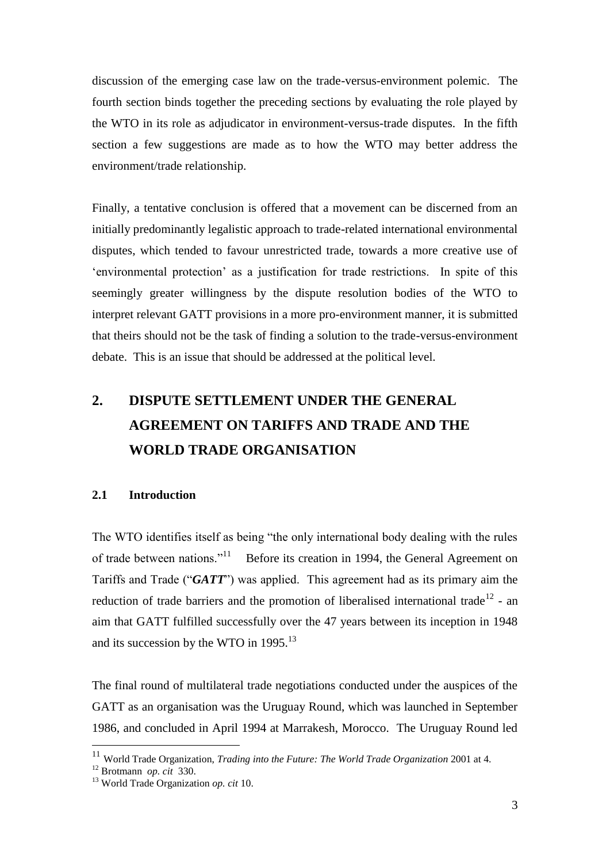discussion of the emerging case law on the trade-versus-environment polemic. The fourth section binds together the preceding sections by evaluating the role played by the WTO in its role as adjudicator in environment-versus-trade disputes. In the fifth section a few suggestions are made as to how the WTO may better address the environment/trade relationship.

Finally, a tentative conclusion is offered that a movement can be discerned from an initially predominantly legalistic approach to trade-related international environmental disputes, which tended to favour unrestricted trade, towards a more creative use of 'environmental protection' as a justification for trade restrictions. In spite of this seemingly greater willingness by the dispute resolution bodies of the WTO to interpret relevant GATT provisions in a more pro-environment manner, it is submitted that theirs should not be the task of finding a solution to the trade-versus-environment debate. This is an issue that should be addressed at the political level.

## **2. DISPUTE SETTLEMENT UNDER THE GENERAL AGREEMENT ON TARIFFS AND TRADE AND THE WORLD TRADE ORGANISATION**

## **2.1 Introduction**

The WTO identifies itself as being "the only international body dealing with the rules of trade between nations."<sup>11</sup> Before its creation in 1994, the General Agreement on Tariffs and Trade ("*GATT*") was applied. This agreement had as its primary aim the reduction of trade barriers and the promotion of liberalised international trade<sup>12</sup> - an aim that GATT fulfilled successfully over the 47 years between its inception in 1948 and its succession by the WTO in  $1995.^{13}$ 

The final round of multilateral trade negotiations conducted under the auspices of the GATT as an organisation was the Uruguay Round, which was launched in September 1986, and concluded in April 1994 at Marrakesh, Morocco. The Uruguay Round led

<sup>11</sup> World Trade Organization, *Trading into the Future: The World Trade Organization* 2001 at 4.

<sup>12</sup> Brotmann *op. cit* 330.

<sup>13</sup> World Trade Organization *op. cit* 10.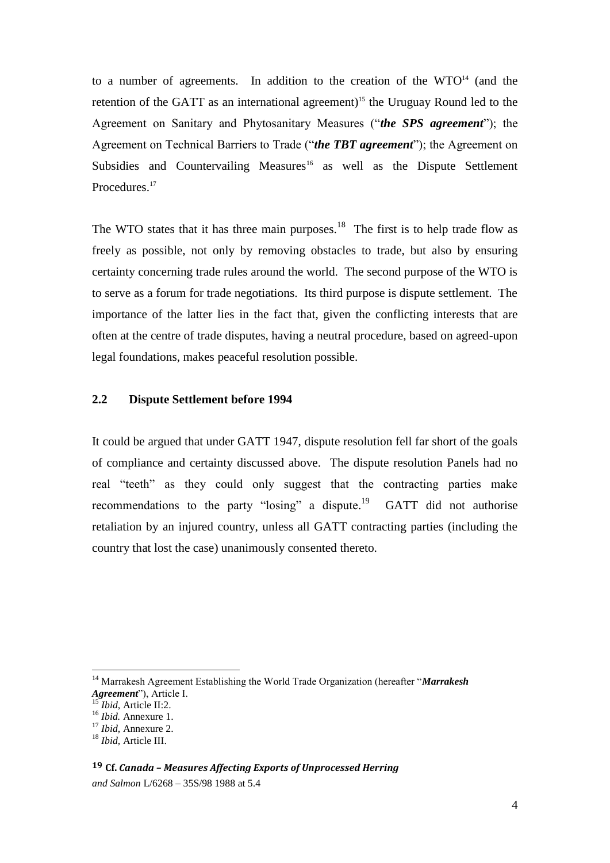to a number of agreements. In addition to the creation of the WTO<sup>14</sup> (and the retention of the GATT as an international agreement)<sup>15</sup> the Uruguay Round led to the Agreement on Sanitary and Phytosanitary Measures ("*the SPS agreement*"); the Agreement on Technical Barriers to Trade ("*the TBT agreement*"); the Agreement on Subsidies and Countervailing Measures<sup>16</sup> as well as the Dispute Settlement Procedures.<sup>17</sup>

The WTO states that it has three main purposes.<sup>18</sup> The first is to help trade flow as freely as possible, not only by removing obstacles to trade, but also by ensuring certainty concerning trade rules around the world. The second purpose of the WTO is to serve as a forum for trade negotiations. Its third purpose is dispute settlement. The importance of the latter lies in the fact that, given the conflicting interests that are often at the centre of trade disputes, having a neutral procedure, based on agreed-upon legal foundations, makes peaceful resolution possible.

## **2.2 Dispute Settlement before 1994**

It could be argued that under GATT 1947, dispute resolution fell far short of the goals of compliance and certainty discussed above.The dispute resolution Panels had no real "teeth" as they could only suggest that the contracting parties make recommendations to the party "losing" a dispute.<sup>19</sup> GATT did not authorise retaliation by an injured country, unless all GATT contracting parties (including the country that lost the case) unanimously consented thereto.

<sup>14</sup> Marrakesh Agreement Establishing the World Trade Organization (hereafter "*Marrakesh Agreement*"), Article I.

<sup>15</sup> *Ibid,* Article II:2.

<sup>16</sup> *Ibid.* Annexure 1.

<sup>17</sup> *Ibid,* Annexure 2.

<sup>18</sup> *Ibid,* Article III.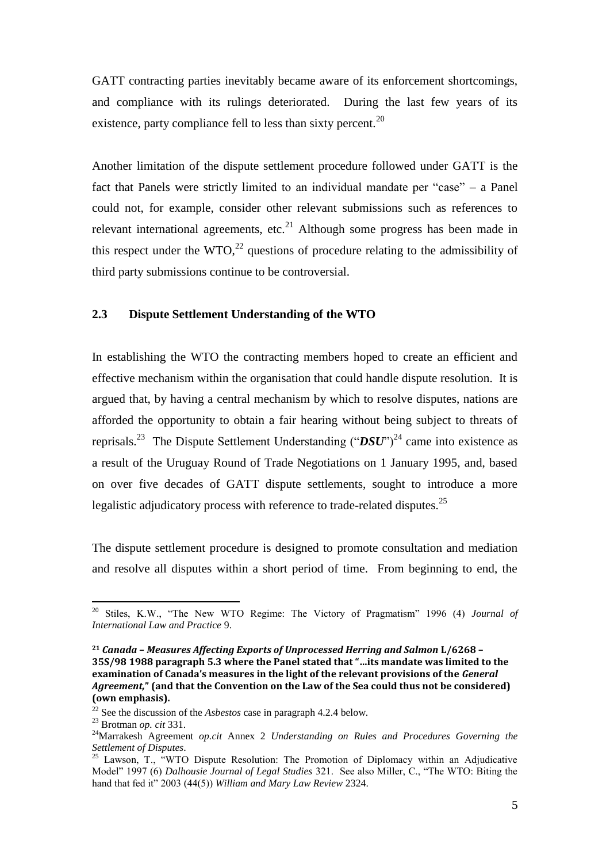GATT contracting parties inevitably became aware of its enforcement shortcomings, and compliance with its rulings deteriorated. During the last few years of its existence, party compliance fell to less than sixty percent. $^{20}$ 

Another limitation of the dispute settlement procedure followed under GATT is the fact that Panels were strictly limited to an individual mandate per "case" – a Panel could not, for example, consider other relevant submissions such as references to relevant international agreements, etc.<sup>21</sup> Although some progress has been made in this respect under the  $WTO<sub>1</sub><sup>22</sup>$  questions of procedure relating to the admissibility of third party submissions continue to be controversial.

### **2.3 Dispute Settlement Understanding of the WTO**

In establishing the WTO the contracting members hoped to create an efficient and effective mechanism within the organisation that could handle dispute resolution. It is argued that, by having a central mechanism by which to resolve disputes, nations are afforded the opportunity to obtain a fair hearing without being subject to threats of reprisals.<sup>23</sup> The Dispute Settlement Understanding ("*DSU*")<sup>24</sup> came into existence as a result of the Uruguay Round of Trade Negotiations on 1 January 1995, and, based on over five decades of GATT dispute settlements, sought to introduce a more legalistic adjudicatory process with reference to trade-related disputes.<sup>25</sup>

The dispute settlement procedure is designed to promote consultation and mediation and resolve all disputes within a short period of time. From beginning to end, the

<sup>20</sup> Stiles, K.W., "The New WTO Regime: The Victory of Pragmatism" 1996 (4) *Journal of International Law and Practice* 9.

**<sup>21</sup>** *Canada – Measures Affecting Exports of Unprocessed Herring and Salmon* **L/6268 – 35S/98 1988 paragraph 5.3 where the Panel stated that "…its mandate was limited to the examination of Canada's measures in the light of the relevant provisions of the** *General Agreement,***" (and that the Convention on the Law of the Sea could thus not be considered) (own emphasis).**

<sup>22</sup> See the discussion of the *Asbestos* case in paragraph 4.2.4 below.

<sup>23</sup> Brotman *op. cit* 331.

<sup>24</sup>Marrakesh Agreement *op.cit* Annex 2 *Understanding on Rules and Procedures Governing the Settlement of Disputes*.

 $25$  Lawson, T., "WTO Dispute Resolution: The Promotion of Diplomacy within an Adjudicative Model" 1997 (6) *Dalhousie Journal of Legal Studies* 321. See also Miller, C., "The WTO: Biting the hand that fed it" 2003 (44(5)) *William and Mary Law Review* 2324.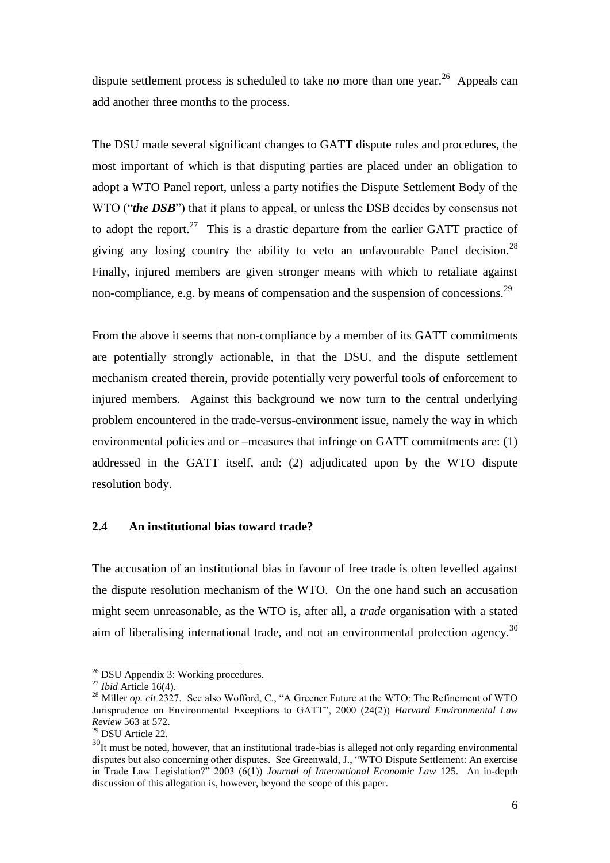dispute settlement process is scheduled to take no more than one year.<sup>26</sup> Appeals can add another three months to the process.

The DSU made several significant changes to GATT dispute rules and procedures, the most important of which is that disputing parties are placed under an obligation to adopt a WTO Panel report, unless a party notifies the Dispute Settlement Body of the WTO ("*the DSB*") that it plans to appeal, or unless the DSB decides by consensus not to adopt the report.<sup>27</sup> This is a drastic departure from the earlier GATT practice of giving any losing country the ability to veto an unfavourable Panel decision.<sup>28</sup> Finally, injured members are given stronger means with which to retaliate against non-compliance, e.g. by means of compensation and the suspension of concessions.<sup>29</sup>

From the above it seems that non-compliance by a member of its GATT commitments are potentially strongly actionable, in that the DSU, and the dispute settlement mechanism created therein, provide potentially very powerful tools of enforcement to injured members. Against this background we now turn to the central underlying problem encountered in the trade-versus-environment issue, namely the way in which environmental policies and or –measures that infringe on GATT commitments are: (1) addressed in the GATT itself, and: (2) adjudicated upon by the WTO dispute resolution body.

#### **2.4 An institutional bias toward trade?**

The accusation of an institutional bias in favour of free trade is often levelled against the dispute resolution mechanism of the WTO. On the one hand such an accusation might seem unreasonable, as the WTO is, after all, a *trade* organisation with a stated aim of liberalising international trade, and not an environmental protection agency.<sup>30</sup>

<sup>&</sup>lt;sup>26</sup> DSU Appendix 3: Working procedures.

<sup>27</sup> *Ibid* Article 16(4).

<sup>&</sup>lt;sup>28</sup> Miller *op. cit* 2327. See also Wofford, C., "A Greener Future at the WTO: The Refinement of WTO Jurisprudence on Environmental Exceptions to GATT", 2000 (24(2)) *Harvard Environmental Law Review* 563 at 572.

<sup>29</sup> DSU Article 22.

 $30$ It must be noted, however, that an institutional trade-bias is alleged not only regarding environmental disputes but also concerning other disputes. See Greenwald, J., "WTO Dispute Settlement: An exercise in Trade Law Legislation?" 2003 (6(1)) *Journal of International Economic Law* 125. An in-depth discussion of this allegation is, however, beyond the scope of this paper.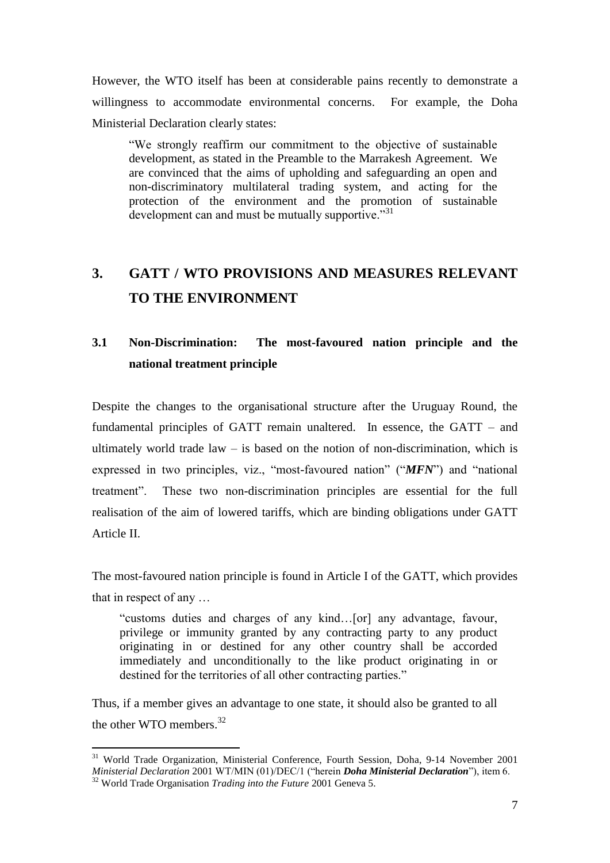However, the WTO itself has been at considerable pains recently to demonstrate a willingness to accommodate environmental concerns. For example, the Doha Ministerial Declaration clearly states:

"We strongly reaffirm our commitment to the objective of sustainable development, as stated in the Preamble to the Marrakesh Agreement. We are convinced that the aims of upholding and safeguarding an open and non-discriminatory multilateral trading system, and acting for the protection of the environment and the promotion of sustainable development can and must be mutually supportive."<sup>31</sup>

## **3. GATT / WTO PROVISIONS AND MEASURES RELEVANT TO THE ENVIRONMENT**

## **3.1 Non-Discrimination: The most-favoured nation principle and the national treatment principle**

Despite the changes to the organisational structure after the Uruguay Round, the fundamental principles of GATT remain unaltered. In essence, the GATT – and ultimately world trade law  $-$  is based on the notion of non-discrimination, which is expressed in two principles, viz., "most-favoured nation" ("*MFN*") and "national treatment". These two non-discrimination principles are essential for the full realisation of the aim of lowered tariffs, which are binding obligations under GATT Article II.

The most-favoured nation principle is found in Article I of the GATT, which provides that in respect of any …

"customs duties and charges of any kind…[or] any advantage, favour, privilege or immunity granted by any contracting party to any product originating in or destined for any other country shall be accorded immediately and unconditionally to the like product originating in or destined for the territories of all other contracting parties."

Thus, if a member gives an advantage to one state, it should also be granted to all the other WTO members.<sup>32</sup>

<sup>31</sup> World Trade Organization, Ministerial Conference, Fourth Session, Doha, 9-14 November 2001 *Ministerial Declaration* 2001 WT/MIN (01)/DEC/1 ("herein *Doha Ministerial Declaration*"), item 6. <sup>32</sup> World Trade Organisation *Trading into the Future* 2001 Geneva 5.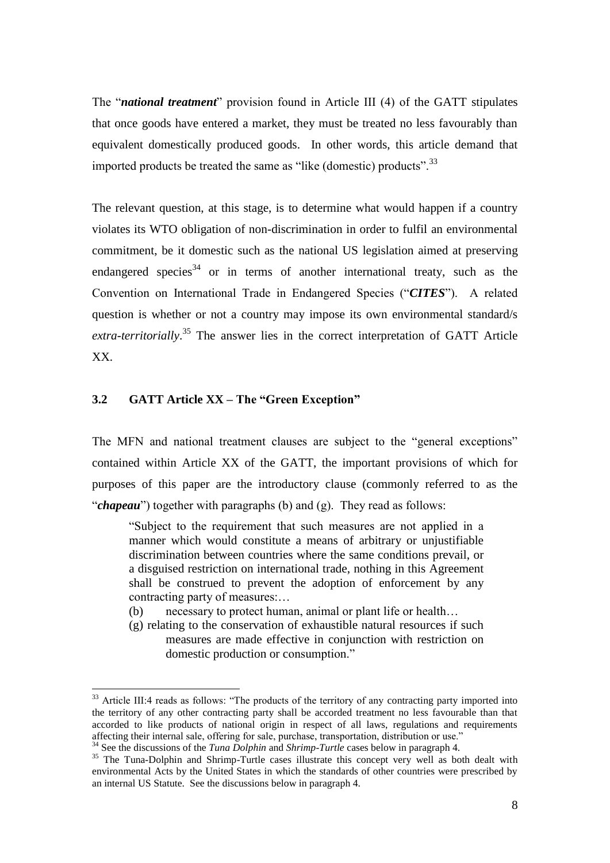The "*national treatment*" provision found in Article III (4) of the GATT stipulates that once goods have entered a market, they must be treated no less favourably than equivalent domestically produced goods. In other words, this article demand that imported products be treated the same as "like (domestic) products".<sup>33</sup>

The relevant question, at this stage, is to determine what would happen if a country violates its WTO obligation of non-discrimination in order to fulfil an environmental commitment, be it domestic such as the national US legislation aimed at preserving endangered species<sup>34</sup> or in terms of another international treaty, such as the Convention on International Trade in Endangered Species ("*CITES*"). A related question is whether or not a country may impose its own environmental standard/s *extra-territorially*. <sup>35</sup> The answer lies in the correct interpretation of GATT Article XX.

## **3.2 GATT Article XX – The "Green Exception"**

 $\overline{a}$ 

The MFN and national treatment clauses are subject to the "general exceptions" contained within Article XX of the GATT, the important provisions of which for purposes of this paper are the introductory clause (commonly referred to as the "*chapeau*") together with paragraphs (b) and (g). They read as follows:

"Subject to the requirement that such measures are not applied in a manner which would constitute a means of arbitrary or unjustifiable discrimination between countries where the same conditions prevail, or a disguised restriction on international trade, nothing in this Agreement shall be construed to prevent the adoption of enforcement by any contracting party of measures:…

- (b) necessary to protect human, animal or plant life or health…
- (g) relating to the conservation of exhaustible natural resources if such measures are made effective in conjunction with restriction on domestic production or consumption."

<sup>&</sup>lt;sup>33</sup> Article III:4 reads as follows: "The products of the territory of any contracting party imported into the territory of any other contracting party shall be accorded treatment no less favourable than that accorded to like products of national origin in respect of all laws, regulations and requirements affecting their internal sale, offering for sale, purchase, transportation, distribution or use."

<sup>34</sup> See the discussions of the *Tuna Dolphin* and *Shrimp-Turtle* cases below in paragraph 4.

<sup>&</sup>lt;sup>35</sup> The Tuna-Dolphin and Shrimp-Turtle cases illustrate this concept very well as both dealt with environmental Acts by the United States in which the standards of other countries were prescribed by an internal US Statute. See the discussions below in paragraph 4.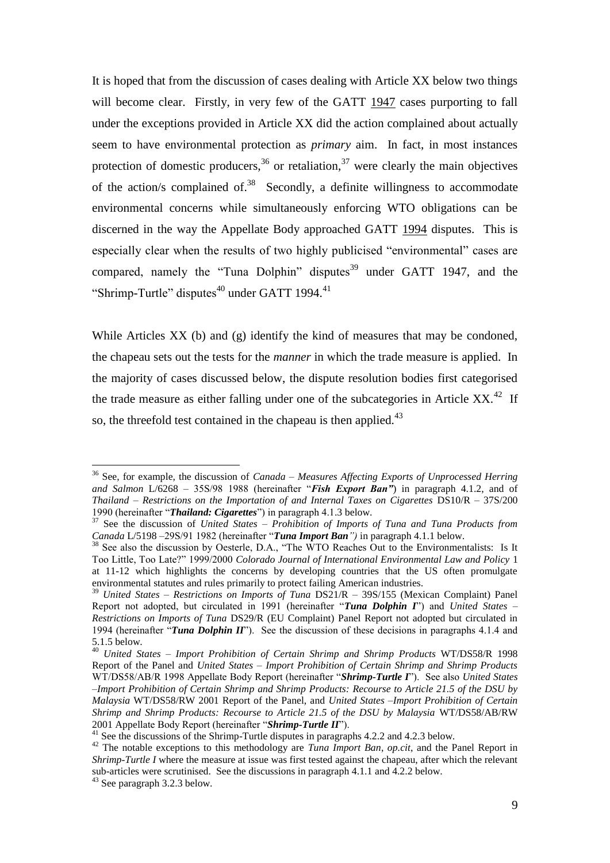It is hoped that from the discussion of cases dealing with Article XX below two things will become clear. Firstly, in very few of the GATT 1947 cases purporting to fall under the exceptions provided in Article XX did the action complained about actually seem to have environmental protection as *primary* aim. In fact, in most instances protection of domestic producers,  $36$  or retaliation,  $37$  were clearly the main objectives of the action/s complained of. $38$  Secondly, a definite willingness to accommodate environmental concerns while simultaneously enforcing WTO obligations can be discerned in the way the Appellate Body approached GATT 1994 disputes. This is especially clear when the results of two highly publicised "environmental" cases are compared, namely the "Tuna Dolphin" disputes<sup>39</sup> under GATT 1947, and the "Shrimp-Turtle" disputes $40$  under GATT 1994. $41$ 

While Articles XX (b) and (g) identify the kind of measures that may be condoned, the chapeau sets out the tests for the *manner* in which the trade measure is applied. In the majority of cases discussed below, the dispute resolution bodies first categorised the trade measure as either falling under one of the subcategories in Article  $XX$ <sup>42</sup> If so, the threefold test contained in the chapeau is then applied.<sup>43</sup>

<sup>36</sup> See, for example, the discussion of *Canada – Measures Affecting Exports of Unprocessed Herring and Salmon* L/6268 – 35S/98 1988 (hereinafter "*Fish Export Ban"*) in paragraph 4.1.2, and of *Thailand – Restrictions on the Importation of and Internal Taxes on Cigarettes* DS10/R – 37S/200 1990 (hereinafter "*Thailand: Cigarettes*") in paragraph 4.1.3 below.

<sup>&</sup>lt;sup>37</sup> See the discussion of *United States – Prohibition of Imports of Tuna and Tuna Products from Canada* L/5198 –29S/91 1982 (hereinafter "*Tuna Import Ban")* in paragraph 4.1.1 below.

<sup>&</sup>lt;sup>38</sup> See also the discussion by Oesterle, D.A., "The WTO Reaches Out to the Environmentalists: Is It Too Little, Too Late?" 1999/2000 *Colorado Journal of International Environmental Law and Policy* 1 at 11-12 which highlights the concerns by developing countries that the US often promulgate environmental statutes and rules primarily to protect failing American industries.

<sup>39</sup> *United States – Restrictions on Imports of Tuna* DS21/R – 39S/155 (Mexican Complaint) Panel Report not adopted, but circulated in 1991 (hereinafter "*Tuna Dolphin I*") and *United States – Restrictions on Imports of Tuna* DS29/R (EU Complaint) Panel Report not adopted but circulated in 1994 (hereinafter "*Tuna Dolphin II*"). See the discussion of these decisions in paragraphs 4.1.4 and 5.1.5 below.

<sup>40</sup> *United States – Import Prohibition of Certain Shrimp and Shrimp Products* WT/DS58/R 1998 Report of the Panel and *United States – Import Prohibition of Certain Shrimp and Shrimp Products*  WT/DS58/AB/R 1998 Appellate Body Report (hereinafter "*Shrimp-Turtle I*"). See also *United States –Import Prohibition of Certain Shrimp and Shrimp Products: Recourse to Article 21.5 of the DSU by Malaysia* WT/DS58/RW 2001 Report of the Panel, and *United States –Import Prohibition of Certain Shrimp and Shrimp Products: Recourse to Article 21.5 of the DSU by Malaysia* WT/DS58/AB/RW 2001 Appellate Body Report (hereinafter "*Shrimp-Turtle II*").

<sup>&</sup>lt;sup>41</sup> See the discussions of the Shrimp-Turtle disputes in paragraphs 4.2.2 and 4.2.3 below.

<sup>&</sup>lt;sup>42</sup> The notable exceptions to this methodology are *Tuna Import Ban, op.cit*, and the Panel Report in *Shrimp-Turtle I* where the measure at issue was first tested against the chapeau, after which the relevant sub-articles were scrutinised. See the discussions in paragraph 4.1.1 and 4.2.2 below.

<sup>43</sup> See paragraph 3.2.3 below.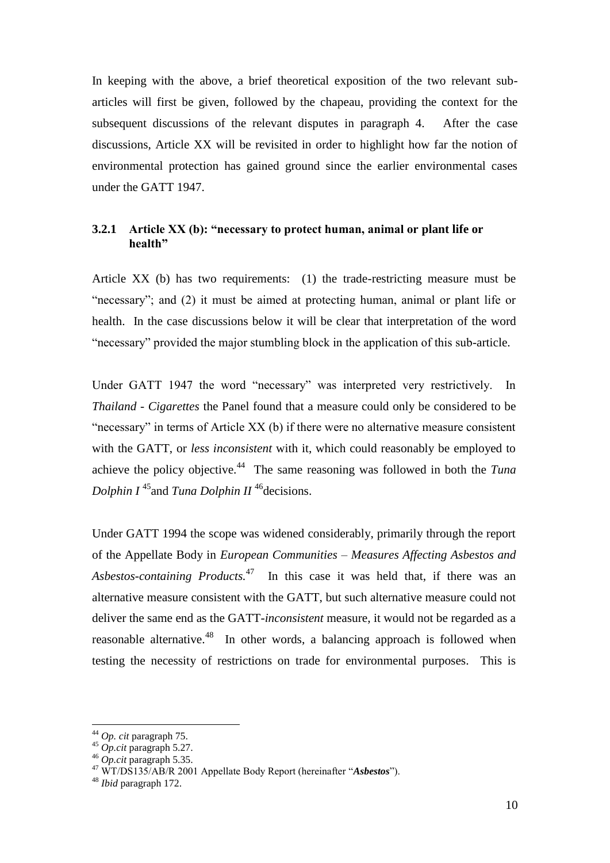In keeping with the above, a brief theoretical exposition of the two relevant subarticles will first be given, followed by the chapeau, providing the context for the subsequent discussions of the relevant disputes in paragraph 4. After the case discussions, Article XX will be revisited in order to highlight how far the notion of environmental protection has gained ground since the earlier environmental cases under the GATT 1947.

## **3.2.1 Article XX (b): "necessary to protect human, animal or plant life or health"**

Article XX (b) has two requirements: (1) the trade-restricting measure must be "necessary"; and (2) it must be aimed at protecting human, animal or plant life or health. In the case discussions below it will be clear that interpretation of the word "necessary" provided the major stumbling block in the application of this sub-article.

Under GATT 1947 the word "necessary" was interpreted very restrictively. In *Thailand - Cigarettes* the Panel found that a measure could only be considered to be "necessary" in terms of Article XX (b) if there were no alternative measure consistent with the GATT, or *less inconsistent* with it, which could reasonably be employed to achieve the policy objective.<sup>44</sup> The same reasoning was followed in both the *Tuna Dolphin I*<sup>45</sup> and *Tuna Dolphin II*<sup>46</sup> decisions.

Under GATT 1994 the scope was widened considerably, primarily through the report of the Appellate Body in *European Communities – Measures Affecting Asbestos and Asbestos-containing Products.*<sup>47</sup> In this case it was held that, if there was an alternative measure consistent with the GATT, but such alternative measure could not deliver the same end as the GATT-*inconsistent* measure, it would not be regarded as a reasonable alternative.<sup>48</sup> In other words, a balancing approach is followed when testing the necessity of restrictions on trade for environmental purposes. This is

<sup>44</sup> *Op. cit* paragraph 75.

<sup>45</sup> *Op.cit* paragraph 5.27.

<sup>46</sup> *Op.cit* paragraph 5.35.

<sup>47</sup> WT/DS135/AB/R 2001 Appellate Body Report (hereinafter "*Asbestos*").

<sup>48</sup> *Ibid* paragraph 172.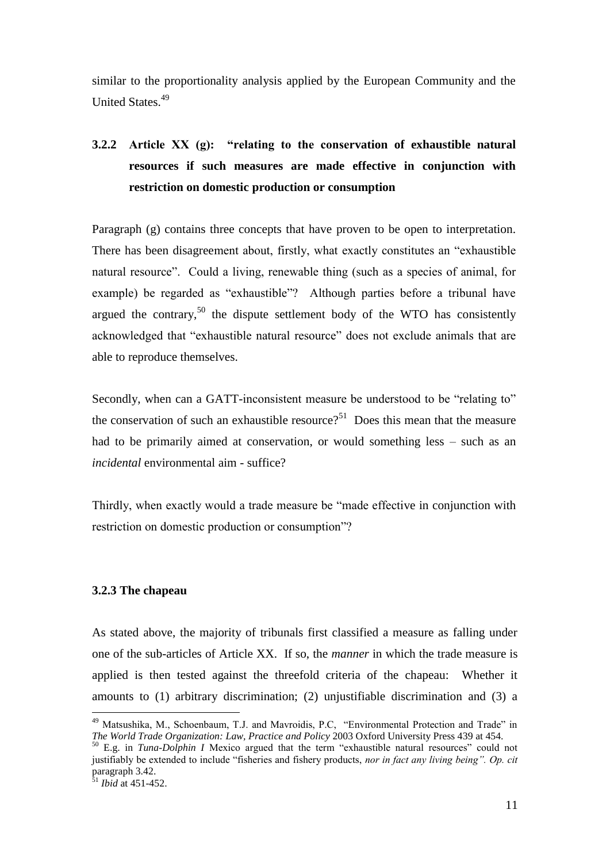similar to the proportionality analysis applied by the European Community and the United States.<sup>49</sup>

## **3.2.2 Article XX (g): "relating to the conservation of exhaustible natural resources if such measures are made effective in conjunction with restriction on domestic production or consumption**

Paragraph (g) contains three concepts that have proven to be open to interpretation. There has been disagreement about, firstly, what exactly constitutes an "exhaustible natural resource". Could a living, renewable thing (such as a species of animal, for example) be regarded as "exhaustible"? Although parties before a tribunal have argued the contrary,  $50$  the dispute settlement body of the WTO has consistently acknowledged that "exhaustible natural resource" does not exclude animals that are able to reproduce themselves.

Secondly, when can a GATT-inconsistent measure be understood to be "relating to" the conservation of such an exhaustible resource?<sup>51</sup> Does this mean that the measure had to be primarily aimed at conservation, or would something less – such as an *incidental* environmental aim - suffice?

Thirdly, when exactly would a trade measure be "made effective in conjunction with restriction on domestic production or consumption"?

### **3.2.3 The chapeau**

As stated above, the majority of tribunals first classified a measure as falling under one of the sub-articles of Article XX. If so, the *manner* in which the trade measure is applied is then tested against the threefold criteria of the chapeau: Whether it amounts to (1) arbitrary discrimination; (2) unjustifiable discrimination and (3) a

<sup>&</sup>lt;sup>49</sup> Matsushika, M., Schoenbaum, T.J. and Mavroidis, P.C, "Environmental Protection and Trade" in *The World Trade Organization: Law, Practice and Policy* 2003 Oxford University Press 439 at 454.

<sup>50</sup> E.g. in *Tuna-Dolphin I* Mexico argued that the term "exhaustible natural resources" could not justifiably be extended to include "fisheries and fishery products, *nor in fact any living being". Op. cit* paragraph 3.42.

<sup>51</sup> *Ibid* at 451-452.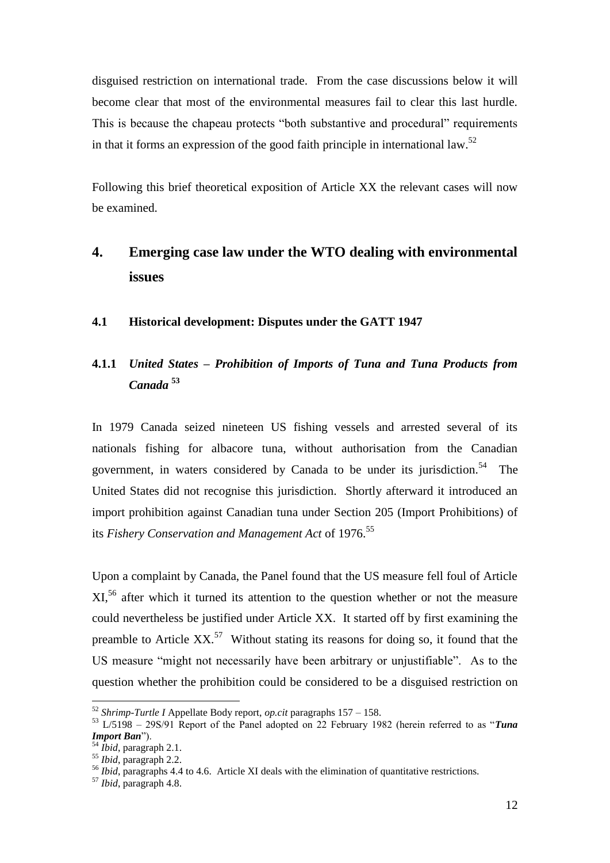disguised restriction on international trade. From the case discussions below it will become clear that most of the environmental measures fail to clear this last hurdle. This is because the chapeau protects "both substantive and procedural" requirements in that it forms an expression of the good faith principle in international law.<sup>52</sup>

Following this brief theoretical exposition of Article XX the relevant cases will now be examined.

## **4. Emerging case law under the WTO dealing with environmental issues**

### **4.1 Historical development: Disputes under the GATT 1947**

## **4.1.1** *United States – Prohibition of Imports of Tuna and Tuna Products from Canada* **<sup>53</sup>**

In 1979 Canada seized nineteen US fishing vessels and arrested several of its nationals fishing for albacore tuna, without authorisation from the Canadian government, in waters considered by Canada to be under its jurisdiction.<sup>54</sup> The United States did not recognise this jurisdiction. Shortly afterward it introduced an import prohibition against Canadian tuna under Section 205 (Import Prohibitions) of its *Fishery Conservation and Management Act* of 1976.<sup>55</sup>

Upon a complaint by Canada, the Panel found that the US measure fell foul of Article XI,<sup>56</sup> after which it turned its attention to the question whether or not the measure could nevertheless be justified under Article XX. It started off by first examining the preamble to Article  $XX$ <sup>57</sup> Without stating its reasons for doing so, it found that the US measure "might not necessarily have been arbitrary or unjustifiable". As to the question whether the prohibition could be considered to be a disguised restriction on

<sup>52</sup> *Shrimp-Turtle I* Appellate Body report, *op.cit* paragraphs 157 – 158.

<sup>53</sup> L/5198 – 29S/91 Report of the Panel adopted on 22 February 1982 (herein referred to as "*Tuna Import Ban*").

<sup>54</sup> *Ibid*, paragraph 2.1.

<sup>55</sup> *Ibid*, paragraph 2.2.

<sup>56</sup> *Ibid*, paragraphs 4.4 to 4.6. Article XI deals with the elimination of quantitative restrictions.

<sup>57</sup> *Ibid*, paragraph 4.8.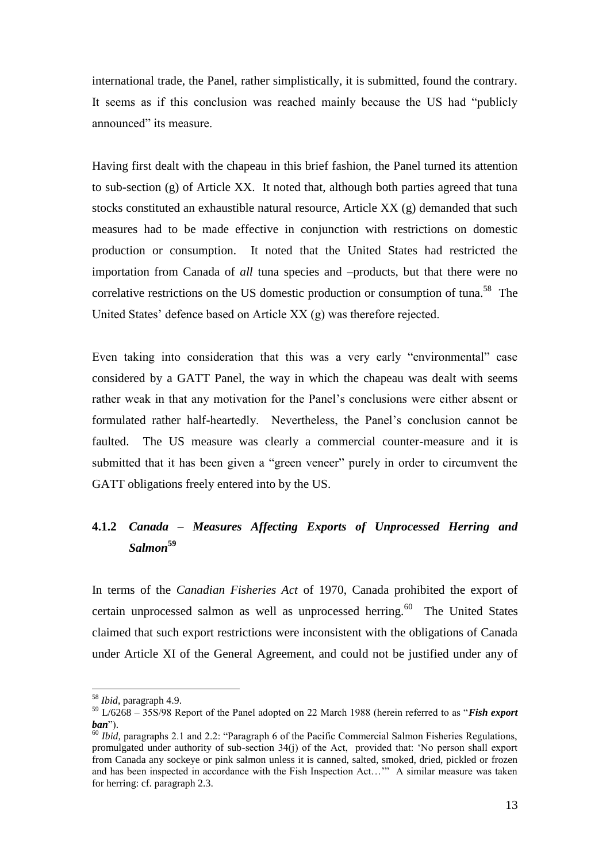international trade, the Panel, rather simplistically, it is submitted, found the contrary. It seems as if this conclusion was reached mainly because the US had "publicly announced" its measure.

Having first dealt with the chapeau in this brief fashion, the Panel turned its attention to sub-section (g) of Article XX. It noted that, although both parties agreed that tuna stocks constituted an exhaustible natural resource, Article XX (g) demanded that such measures had to be made effective in conjunction with restrictions on domestic production or consumption. It noted that the United States had restricted the importation from Canada of *all* tuna species and –products, but that there were no correlative restrictions on the US domestic production or consumption of tuna.<sup>58</sup> The United States' defence based on Article XX (g) was therefore rejected.

Even taking into consideration that this was a very early "environmental" case considered by a GATT Panel, the way in which the chapeau was dealt with seems rather weak in that any motivation for the Panel's conclusions were either absent or formulated rather half-heartedly. Nevertheless, the Panel's conclusion cannot be faulted. The US measure was clearly a commercial counter-measure and it is submitted that it has been given a "green veneer" purely in order to circumvent the GATT obligations freely entered into by the US.

## **4.1.2** *Canada – Measures Affecting Exports of Unprocessed Herring and Salmon***<sup>59</sup>**

In terms of the *Canadian Fisheries Act* of 1970, Canada prohibited the export of certain unprocessed salmon as well as unprocessed herring. $60$  The United States claimed that such export restrictions were inconsistent with the obligations of Canada under Article XI of the General Agreement, and could not be justified under any of

<sup>58</sup> *Ibid*, paragraph 4.9.

<sup>59</sup> L/6268 – 35S/98 Report of the Panel adopted on 22 March 1988 (herein referred to as "*Fish export ban*").

<sup>60</sup> *Ibid,* paragraphs 2.1 and 2.2: "Paragraph 6 of the Pacific Commercial Salmon Fisheries Regulations, promulgated under authority of sub-section 34(j) of the Act, provided that: 'No person shall export from Canada any sockeye or pink salmon unless it is canned, salted, smoked, dried, pickled or frozen and has been inspected in accordance with the Fish Inspection Act…'" A similar measure was taken for herring: cf. paragraph 2.3.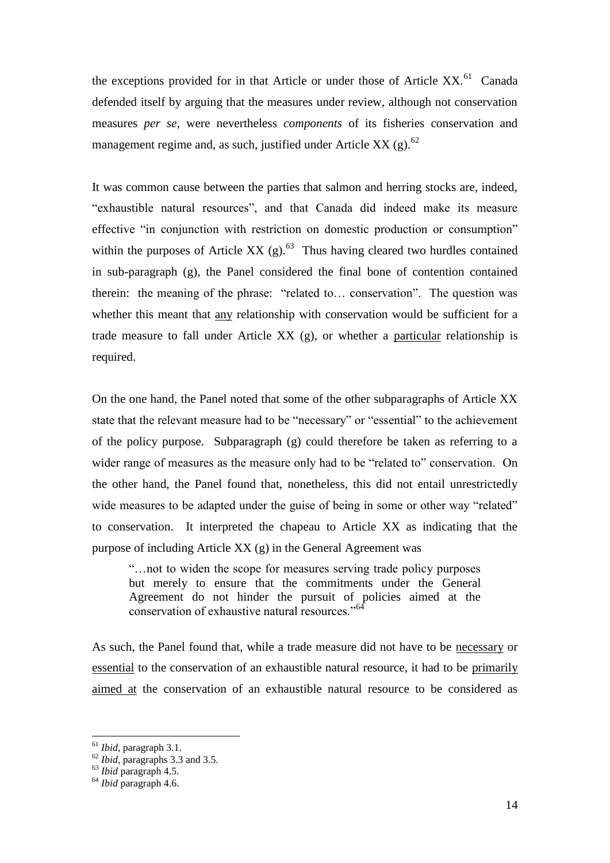the exceptions provided for in that Article or under those of Article XX.<sup>61</sup> Canada defended itself by arguing that the measures under review, although not conservation measures *per se,* were nevertheless *components* of its fisheries conservation and management regime and, as such, justified under Article XX (g). $^{62}$ 

It was common cause between the parties that salmon and herring stocks are, indeed, "exhaustible natural resources", and that Canada did indeed make its measure effective "in conjunction with restriction on domestic production or consumption" within the purposes of Article XX  $(g)$ .<sup>63</sup> Thus having cleared two hurdles contained in sub-paragraph (g), the Panel considered the final bone of contention contained therein: the meaning of the phrase: "related to... conservation". The question was whether this meant that any relationship with conservation would be sufficient for a trade measure to fall under Article XX (g), or whether a particular relationship is required.

On the one hand, the Panel noted that some of the other subparagraphs of Article XX state that the relevant measure had to be "necessary" or "essential" to the achievement of the policy purpose. Subparagraph (g) could therefore be taken as referring to a wider range of measures as the measure only had to be "related to" conservation. On the other hand, the Panel found that, nonetheless, this did not entail unrestrictedly wide measures to be adapted under the guise of being in some or other way "related" to conservation. It interpreted the chapeau to Article XX as indicating that the purpose of including Article XX (g) in the General Agreement was

"…not to widen the scope for measures serving trade policy purposes but merely to ensure that the commitments under the General Agreement do not hinder the pursuit of policies aimed at the conservation of exhaustive natural resources."<sup>64</sup>

As such, the Panel found that, while a trade measure did not have to be necessary or essential to the conservation of an exhaustible natural resource, it had to be primarily aimed at the conservation of an exhaustible natural resource to be considered as

<sup>61</sup> *Ibid*, paragraph 3.1.

<sup>62</sup> *Ibid*, paragraphs 3.3 and 3.5.

<sup>63</sup> *Ibid* paragraph 4.5.

<sup>64</sup> *Ibid* paragraph 4.6.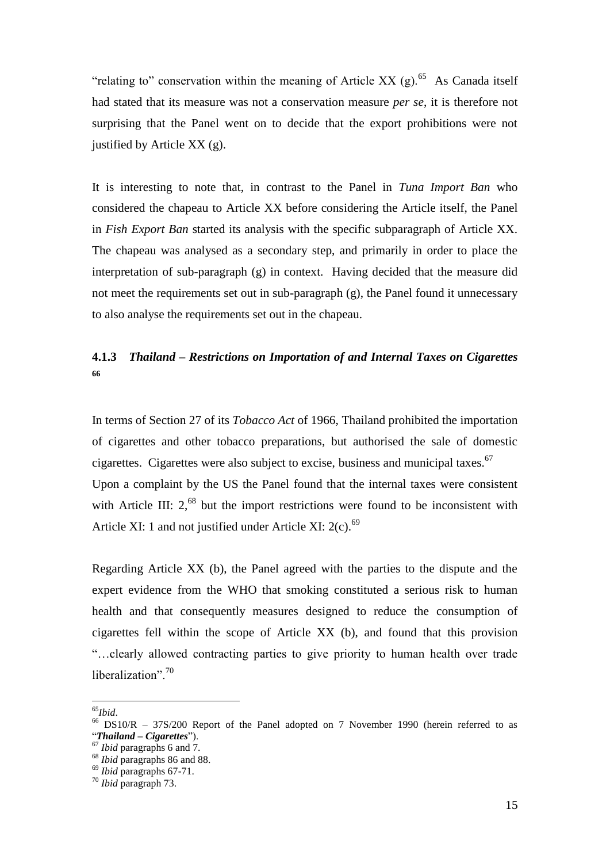"relating to" conservation within the meaning of Article XX  $(g)$ .<sup>65</sup> As Canada itself had stated that its measure was not a conservation measure *per se*, it is therefore not surprising that the Panel went on to decide that the export prohibitions were not justified by Article XX (g).

It is interesting to note that, in contrast to the Panel in *Tuna Import Ban* who considered the chapeau to Article XX before considering the Article itself, the Panel in *Fish Export Ban* started its analysis with the specific subparagraph of Article XX. The chapeau was analysed as a secondary step, and primarily in order to place the interpretation of sub-paragraph (g) in context. Having decided that the measure did not meet the requirements set out in sub-paragraph  $(g)$ , the Panel found it unnecessary to also analyse the requirements set out in the chapeau.

## **4.1.3** *Thailand – Restrictions on Importation of and Internal Taxes on Cigarettes* **66**

In terms of Section 27 of its *Tobacco Act* of 1966, Thailand prohibited the importation of cigarettes and other tobacco preparations, but authorised the sale of domestic cigarettes. Cigarettes were also subject to excise, business and municipal taxes. $67$ Upon a complaint by the US the Panel found that the internal taxes were consistent with Article III: 2,<sup>68</sup> but the import restrictions were found to be inconsistent with Article XI: 1 and not justified under Article XI:  $2(c)$ .<sup>69</sup>

Regarding Article XX (b), the Panel agreed with the parties to the dispute and the expert evidence from the WHO that smoking constituted a serious risk to human health and that consequently measures designed to reduce the consumption of cigarettes fell within the scope of Article XX (b), and found that this provision "…clearly allowed contracting parties to give priority to human health over trade liberalization".<sup>70</sup>

<sup>65</sup>*Ibid*.

<sup>66</sup> DS10/R – 37S/200 Report of the Panel adopted on 7 November 1990 (herein referred to as "*Thailand – Cigarettes*").

<sup>67</sup> *Ibid* paragraphs 6 and 7.

<sup>68</sup> *Ibid* paragraphs 86 and 88.

<sup>69</sup> *Ibid* paragraphs 67-71.

<sup>70</sup> *Ibid* paragraph 73.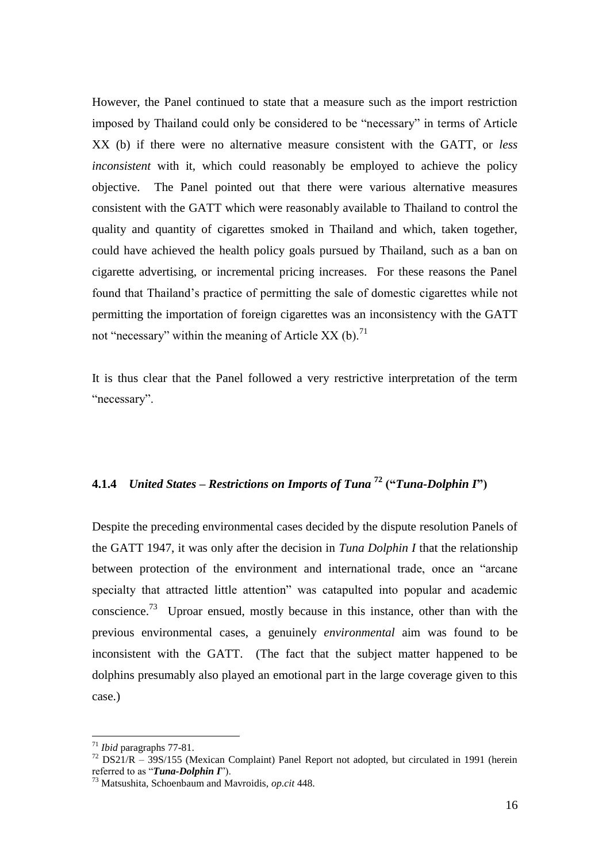However, the Panel continued to state that a measure such as the import restriction imposed by Thailand could only be considered to be "necessary" in terms of Article XX (b) if there were no alternative measure consistent with the GATT, or *less inconsistent* with it, which could reasonably be employed to achieve the policy objective. The Panel pointed out that there were various alternative measures consistent with the GATT which were reasonably available to Thailand to control the quality and quantity of cigarettes smoked in Thailand and which, taken together, could have achieved the health policy goals pursued by Thailand, such as a ban on cigarette advertising, or incremental pricing increases. For these reasons the Panel found that Thailand's practice of permitting the sale of domestic cigarettes while not permitting the importation of foreign cigarettes was an inconsistency with the GATT not "necessary" within the meaning of Article XX (b).<sup>71</sup>

It is thus clear that the Panel followed a very restrictive interpretation of the term "necessary".

## **4.1.4** *United States – Restrictions on Imports of Tuna* **<sup>72</sup> ("***Tuna-Dolphin I***")**

Despite the preceding environmental cases decided by the dispute resolution Panels of the GATT 1947, it was only after the decision in *Tuna Dolphin I* that the relationship between protection of the environment and international trade, once an "arcane specialty that attracted little attention" was catapulted into popular and academic conscience.<sup>73</sup> Uproar ensued, mostly because in this instance, other than with the previous environmental cases, a genuinely *environmental* aim was found to be inconsistent with the GATT. (The fact that the subject matter happened to be dolphins presumably also played an emotional part in the large coverage given to this case.)

<sup>71</sup> *Ibid* paragraphs 77-81.

 $72$  DS21/R – 39S/155 (Mexican Complaint) Panel Report not adopted, but circulated in 1991 (herein referred to as "*Tuna-Dolphin I*").

<sup>73</sup> Matsushita, Schoenbaum and Mavroidis, *op.cit* 448.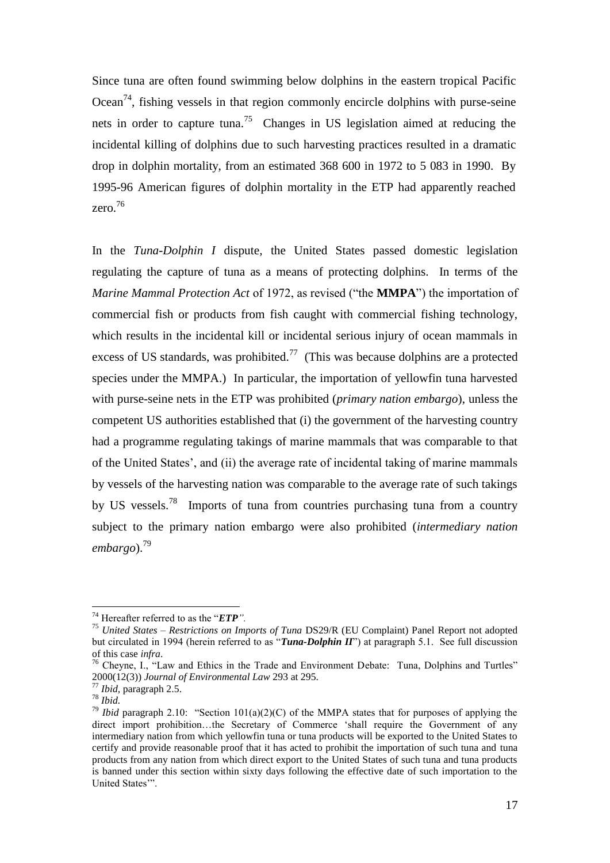Since tuna are often found swimming below dolphins in the eastern tropical Pacific  $Ocean^{74}$ , fishing vessels in that region commonly encircle dolphins with purse-seine nets in order to capture tuna.<sup>75</sup> Changes in US legislation aimed at reducing the incidental killing of dolphins due to such harvesting practices resulted in a dramatic drop in dolphin mortality, from an estimated 368 600 in 1972 to 5 083 in 1990. By 1995-96 American figures of dolphin mortality in the ETP had apparently reached zero.<sup>76</sup>

In the *Tuna-Dolphin I* dispute*,* the United States passed domestic legislation regulating the capture of tuna as a means of protecting dolphins. In terms of the *Marine Mammal Protection Act* of 1972, as revised ("the **MMPA**") the importation of commercial fish or products from fish caught with commercial fishing technology, which results in the incidental kill or incidental serious injury of ocean mammals in excess of US standards, was prohibited.<sup>77</sup> (This was because dolphins are a protected species under the MMPA.) In particular, the importation of yellowfin tuna harvested with purse-seine nets in the ETP was prohibited (*primary nation embargo*), unless the competent US authorities established that (i) the government of the harvesting country had a programme regulating takings of marine mammals that was comparable to that of the United States', and (ii) the average rate of incidental taking of marine mammals by vessels of the harvesting nation was comparable to the average rate of such takings by US vessels.<sup>78</sup> Imports of tuna from countries purchasing tuna from a country subject to the primary nation embargo were also prohibited (*intermediary nation embargo*).<sup>79</sup>

<sup>74</sup> Hereafter referred to as the "*ETP".*

<sup>75</sup> *United States – Restrictions on Imports of Tuna* DS29/R (EU Complaint) Panel Report not adopted but circulated in 1994 (herein referred to as "*Tuna-Dolphin II*") at paragraph 5.1. See full discussion of this case *infra*.

<sup>&</sup>lt;sup>76</sup> Cheyne, I., "Law and Ethics in the Trade and Environment Debate: Tuna, Dolphins and Turtles" 2000(12(3)) *Journal of Environmental Law* 293 at 295.

<sup>77</sup> *Ibid,* paragraph 2.5.

<sup>78</sup> *Ibid.*

<sup>&</sup>lt;sup>79</sup> *Ibid* paragraph 2.10: "Section 101(a)(2)(C) of the MMPA states that for purposes of applying the direct import prohibition…the Secretary of Commerce 'shall require the Government of any intermediary nation from which yellowfin tuna or tuna products will be exported to the United States to certify and provide reasonable proof that it has acted to prohibit the importation of such tuna and tuna products from any nation from which direct export to the United States of such tuna and tuna products is banned under this section within sixty days following the effective date of such importation to the United States'".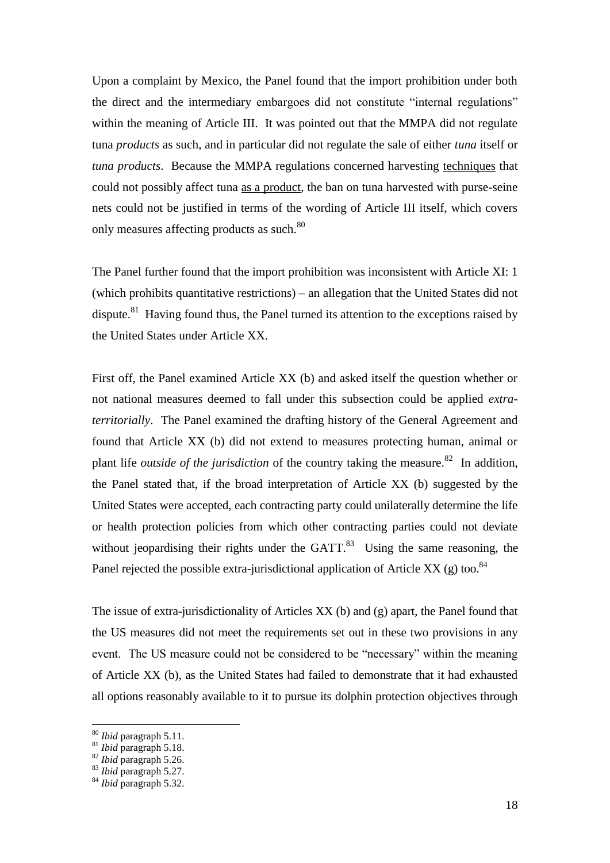Upon a complaint by Mexico, the Panel found that the import prohibition under both the direct and the intermediary embargoes did not constitute "internal regulations" within the meaning of Article III. It was pointed out that the MMPA did not regulate tuna *products* as such, and in particular did not regulate the sale of either *tuna* itself or *tuna products*. Because the MMPA regulations concerned harvesting techniques that could not possibly affect tuna as a product, the ban on tuna harvested with purse-seine nets could not be justified in terms of the wording of Article III itself, which covers only measures affecting products as such.<sup>80</sup>

The Panel further found that the import prohibition was inconsistent with Article XI: 1 (which prohibits quantitative restrictions) – an allegation that the United States did not dispute.<sup>81</sup> Having found thus, the Panel turned its attention to the exceptions raised by the United States under Article XX.

First off, the Panel examined Article XX (b) and asked itself the question whether or not national measures deemed to fall under this subsection could be applied *extraterritorially*. The Panel examined the drafting history of the General Agreement and found that Article XX (b) did not extend to measures protecting human, animal or plant life *outside of the jurisdiction* of the country taking the measure.<sup>82</sup> In addition, the Panel stated that, if the broad interpretation of Article XX (b) suggested by the United States were accepted, each contracting party could unilaterally determine the life or health protection policies from which other contracting parties could not deviate without jeopardising their rights under the  $GATT$ .<sup>83</sup> Using the same reasoning, the Panel rejected the possible extra-jurisdictional application of Article XX (g) too. $84$ 

The issue of extra-jurisdictionality of Articles XX (b) and (g) apart, the Panel found that the US measures did not meet the requirements set out in these two provisions in any event. The US measure could not be considered to be "necessary" within the meaning of Article XX (b), as the United States had failed to demonstrate that it had exhausted all options reasonably available to it to pursue its dolphin protection objectives through

<sup>80</sup> *Ibid* paragraph 5.11.

<sup>81</sup> *Ibid* paragraph 5.18.

<sup>82</sup> *Ibid* paragraph 5.26.

<sup>83</sup> *Ibid* paragraph 5.27.

<sup>84</sup> *Ibid* paragraph 5.32.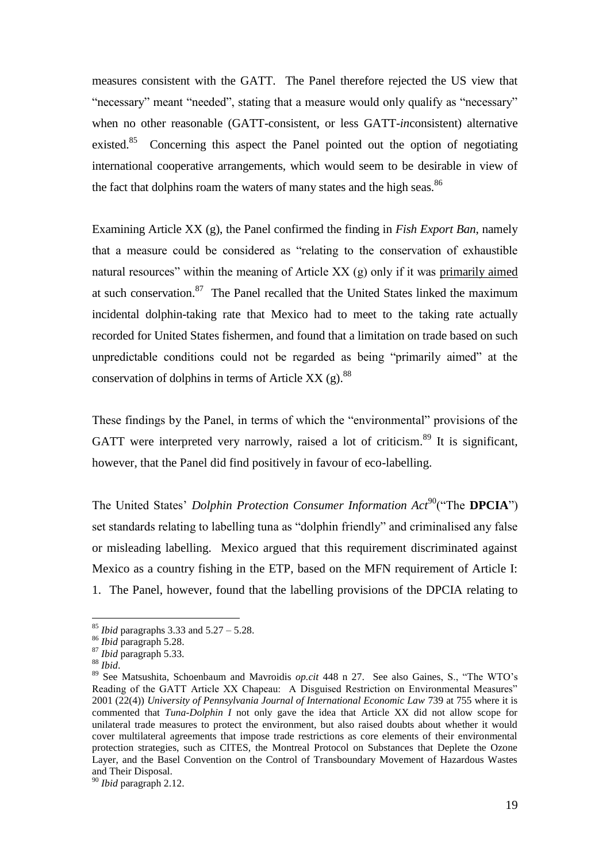measures consistent with the GATT. The Panel therefore rejected the US view that "necessary" meant "needed", stating that a measure would only qualify as "necessary" when no other reasonable (GATT-consistent, or less GATT-*in*consistent) alternative existed.<sup>85</sup> Concerning this aspect the Panel pointed out the option of negotiating international cooperative arrangements, which would seem to be desirable in view of the fact that dolphins roam the waters of many states and the high seas.<sup>86</sup>

Examining Article XX (g), the Panel confirmed the finding in *Fish Export Ban*, namely that a measure could be considered as "relating to the conservation of exhaustible natural resources" within the meaning of Article XX (g) only if it was primarily aimed at such conservation.<sup>87</sup> The Panel recalled that the United States linked the maximum incidental dolphin-taking rate that Mexico had to meet to the taking rate actually recorded for United States fishermen, and found that a limitation on trade based on such unpredictable conditions could not be regarded as being "primarily aimed" at the conservation of dolphins in terms of Article XX  $(g)$ .<sup>88</sup>

These findings by the Panel, in terms of which the "environmental" provisions of the GATT were interpreted very narrowly, raised a lot of criticism.<sup>89</sup> It is significant, however, that the Panel did find positively in favour of eco-labelling.

The United States' *Dolphin Protection Consumer Information Act*<sup>90</sup>("The **DPCIA**") set standards relating to labelling tuna as "dolphin friendly" and criminalised any false or misleading labelling. Mexico argued that this requirement discriminated against Mexico as a country fishing in the ETP, based on the MFN requirement of Article I: 1. The Panel, however, found that the labelling provisions of the DPCIA relating to

<sup>85</sup> *Ibid* paragraphs 3.33 and 5.27 – 5.28.

<sup>86</sup> *Ibid* paragraph 5.28.

<sup>87</sup> *Ibid* paragraph 5.33.

<sup>88</sup> *Ibid*.

<sup>89</sup> See Matsushita, Schoenbaum and Mavroidis *op.cit* 448 n 27. See also Gaines, S., "The WTO's Reading of the GATT Article XX Chapeau: A Disguised Restriction on Environmental Measures" 2001 (22(4)) *University of Pennsylvania Journal of International Economic Law* 739 at 755 where it is commented that *Tuna-Dolphin I* not only gave the idea that Article XX did not allow scope for unilateral trade measures to protect the environment, but also raised doubts about whether it would cover multilateral agreements that impose trade restrictions as core elements of their environmental protection strategies, such as CITES, the Montreal Protocol on Substances that Deplete the Ozone Layer, and the Basel Convention on the Control of Transboundary Movement of Hazardous Wastes and Their Disposal.

<sup>90</sup> *Ibid* paragraph 2.12.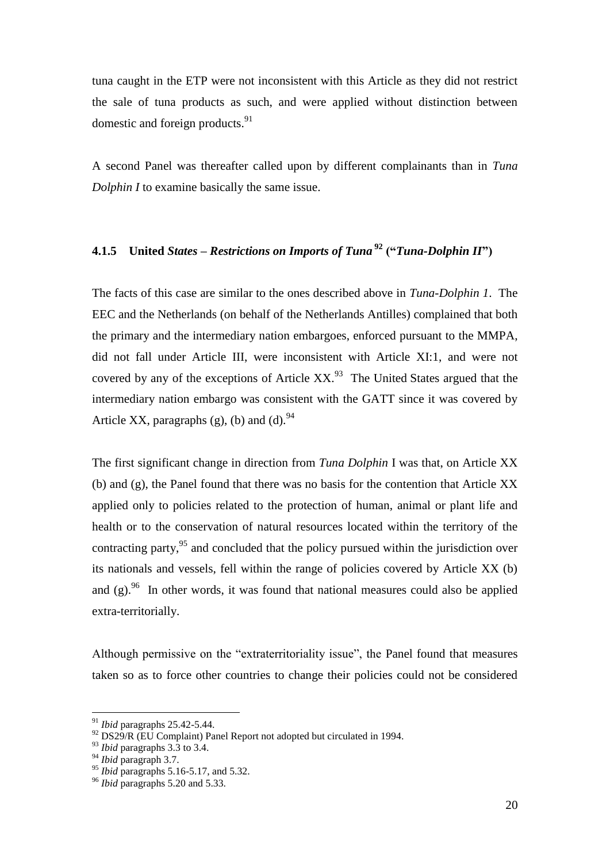tuna caught in the ETP were not inconsistent with this Article as they did not restrict the sale of tuna products as such, and were applied without distinction between domestic and foreign products.<sup>91</sup>

A second Panel was thereafter called upon by different complainants than in *Tuna Dolphin I* to examine basically the same issue.

## **4.1.5 United** *States – Restrictions on Imports of Tuna* **<sup>92</sup> ("***Tuna-Dolphin II***")**

The facts of this case are similar to the ones described above in *Tuna-Dolphin 1*. The EEC and the Netherlands (on behalf of the Netherlands Antilles) complained that both the primary and the intermediary nation embargoes, enforced pursuant to the MMPA, did not fall under Article III, were inconsistent with Article XI:1, and were not covered by any of the exceptions of Article  $XX$ .<sup>93</sup> The United States argued that the intermediary nation embargo was consistent with the GATT since it was covered by Article XX, paragraphs (g), (b) and (d).  $94$ 

The first significant change in direction from *Tuna Dolphin* I was that, on Article XX (b) and (g), the Panel found that there was no basis for the contention that Article XX applied only to policies related to the protection of human, animal or plant life and health or to the conservation of natural resources located within the territory of the contracting party, $95$  and concluded that the policy pursued within the jurisdiction over its nationals and vessels, fell within the range of policies covered by Article XX (b) and  $(g)$ .<sup>96</sup> In other words, it was found that national measures could also be applied extra-territorially.

Although permissive on the "extraterritoriality issue", the Panel found that measures taken so as to force other countries to change their policies could not be considered

<sup>91</sup> *Ibid* paragraphs 25.42-5.44.

 $92$  DS29/R (EU Complaint) Panel Report not adopted but circulated in 1994.

<sup>93</sup> *Ibid* paragraphs 3.3 to 3.4.

<sup>94</sup> *Ibid* paragraph 3.7.

<sup>&</sup>lt;sup>95</sup> *Ibid* paragraphs 5.16-5.17, and 5.32.

<sup>96</sup> *Ibid* paragraphs 5.20 and 5.33.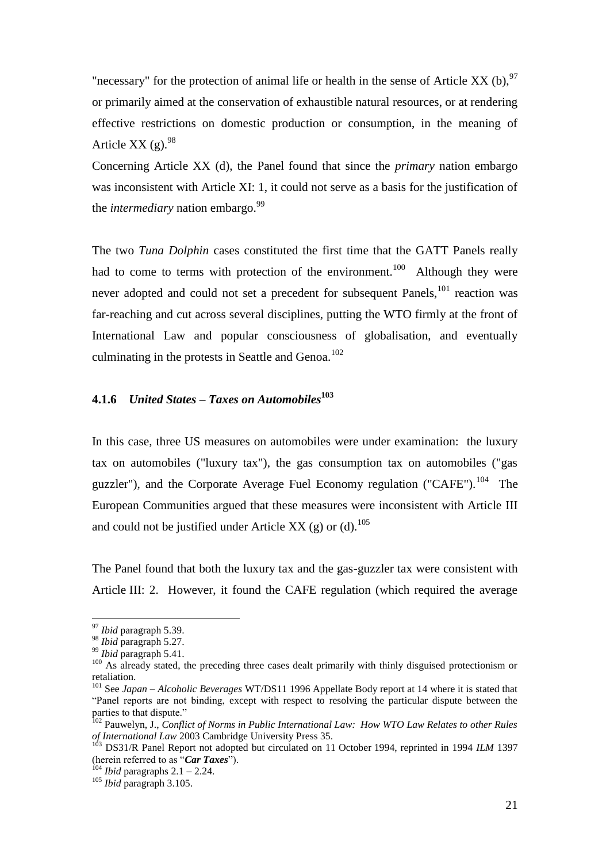"necessary" for the protection of animal life or health in the sense of Article XX (b),  $97$ or primarily aimed at the conservation of exhaustible natural resources, or at rendering effective restrictions on domestic production or consumption, in the meaning of Article XX (g). $^{98}$ 

Concerning Article XX (d), the Panel found that since the *primary* nation embargo was inconsistent with Article XI: 1, it could not serve as a basis for the justification of the *intermediary* nation embargo.<sup>99</sup>

The two *Tuna Dolphin* cases constituted the first time that the GATT Panels really had to come to terms with protection of the environment.<sup>100</sup> Although they were never adopted and could not set a precedent for subsequent Panels,<sup>101</sup> reaction was far-reaching and cut across several disciplines, putting the WTO firmly at the front of International Law and popular consciousness of globalisation, and eventually culminating in the protests in Seattle and Genoa. $102$ 

## **4.1.6** *United States – Taxes on Automobiles***<sup>103</sup>**

In this case, three US measures on automobiles were under examination: the luxury tax on automobiles ("luxury tax"), the gas consumption tax on automobiles ("gas guzzler"), and the Corporate Average Fuel Economy regulation ("CAFE").<sup>104</sup> The European Communities argued that these measures were inconsistent with Article III and could not be justified under Article XX (g) or (d).<sup>105</sup>

The Panel found that both the luxury tax and the gas-guzzler tax were consistent with Article III: 2. However, it found the CAFE regulation (which required the average

<sup>97</sup> *Ibid* paragraph 5.39.

<sup>98</sup> *Ibid* paragraph 5.27.

<sup>99</sup> *Ibid* paragraph 5.41.

 $100$  As already stated, the preceding three cases dealt primarily with thinly disguised protectionism or retaliation.

<sup>101</sup> See *Japan – Alcoholic Beverages* WT/DS11 1996 Appellate Body report at 14 where it is stated that "Panel reports are not binding, except with respect to resolving the particular dispute between the parties to that dispute."

<sup>&</sup>lt;sup>102</sup> Pauwelyn, J., *Conflict of Norms in Public International Law: How WTO Law Relates to other Rules of International Law* 2003 Cambridge University Press 35.

<sup>&</sup>lt;sup>103</sup> DS31/R Panel Report not adopted but circulated on 11 October 1994, reprinted in 1994 ILM 1397 (herein referred to as "*Car Taxes*").

 $104$  *Ibid* paragraphs 2.1 – 2.24.

<sup>105</sup> *Ibid* paragraph 3.105.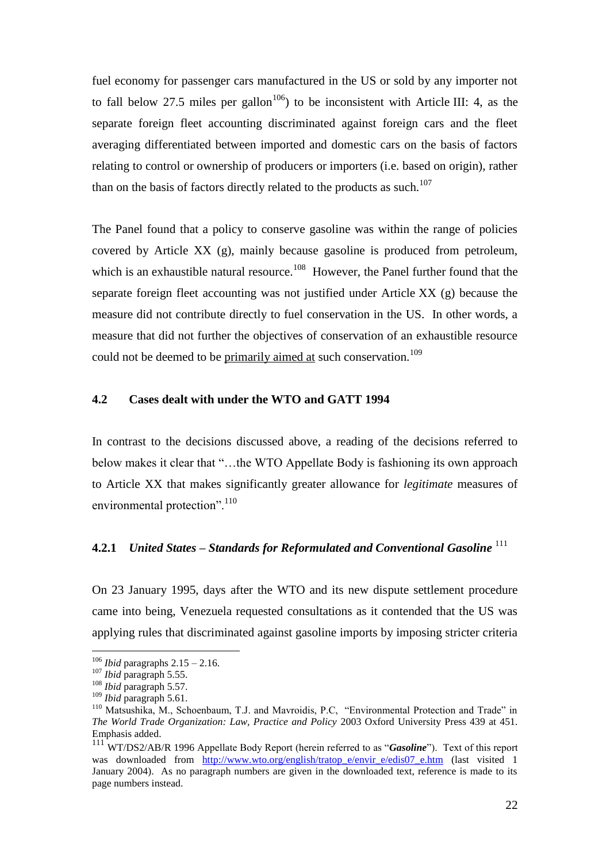fuel economy for passenger cars manufactured in the US or sold by any importer not to fall below 27.5 miles per gallon<sup>106</sup>) to be inconsistent with Article III: 4, as the separate foreign fleet accounting discriminated against foreign cars and the fleet averaging differentiated between imported and domestic cars on the basis of factors relating to control or ownership of producers or importers (i.e. based on origin), rather than on the basis of factors directly related to the products as such.<sup>107</sup>

The Panel found that a policy to conserve gasoline was within the range of policies covered by Article XX (g), mainly because gasoline is produced from petroleum, which is an exhaustible natural resource.<sup>108</sup> However, the Panel further found that the separate foreign fleet accounting was not justified under Article XX (g) because the measure did not contribute directly to fuel conservation in the US. In other words, a measure that did not further the objectives of conservation of an exhaustible resource could not be deemed to be primarily aimed at such conservation.<sup>109</sup>

### **4.2 Cases dealt with under the WTO and GATT 1994**

In contrast to the decisions discussed above, a reading of the decisions referred to below makes it clear that "…the WTO Appellate Body is fashioning its own approach to Article XX that makes significantly greater allowance for *legitimate* measures of environmental protection".<sup>110</sup>

## **4.2.1** *United States – Standards for Reformulated and Conventional Gasoline* <sup>111</sup>

On 23 January 1995, days after the WTO and its new dispute settlement procedure came into being, Venezuela requested consultations as it contended that the US was applying rules that discriminated against gasoline imports by imposing stricter criteria

<sup>106</sup> *Ibid* paragraphs 2.15 – 2.16.

<sup>107</sup> *Ibid* paragraph 5.55.

<sup>108</sup> *Ibid* paragraph 5.57.

<sup>109</sup> *Ibid* paragraph 5.61.

<sup>&</sup>lt;sup>110</sup> Matsushika, M., Schoenbaum, T.J. and Mavroidis, P.C, "Environmental Protection and Trade" in *The World Trade Organization: Law, Practice and Policy* 2003 Oxford University Press 439 at 451. Emphasis added.

<sup>111</sup> WT/DS2/AB/R 1996 Appellate Body Report (herein referred to as "*Gasoline*"). Text of this report was downloaded from [http://www.wto.org/english/tratop\\_e/envir\\_e/edis07\\_e.htm](http://www.wto.org/english/tratop_e/envir_e/edis07_e.htm) (last visited 1 January 2004). As no paragraph numbers are given in the downloaded text, reference is made to its page numbers instead.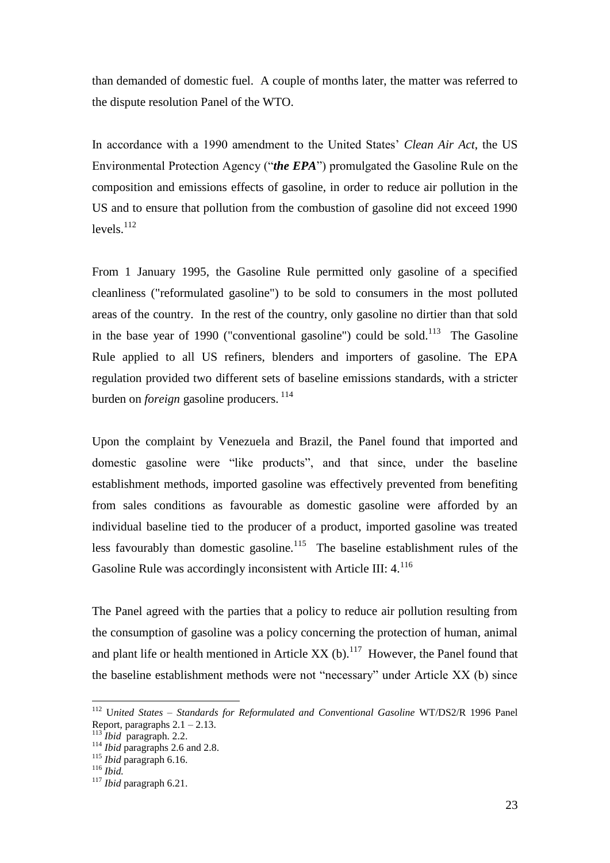than demanded of domestic fuel. A couple of months later, the matter was referred to the dispute resolution Panel of the WTO.

In accordance with a 1990 amendment to the United States' *Clean Air Act*, the US Environmental Protection Agency ("*the EPA*") promulgated the Gasoline Rule on the composition and emissions effects of gasoline, in order to reduce air pollution in the US and to ensure that pollution from the combustion of gasoline did not exceed 1990 levels. $^{112}$ 

From 1 January 1995, the Gasoline Rule permitted only gasoline of a specified cleanliness ("reformulated gasoline") to be sold to consumers in the most polluted areas of the country. In the rest of the country, only gasoline no dirtier than that sold in the base year of 1990 ("conventional gasoline") could be sold.<sup>113</sup> The Gasoline Rule applied to all US refiners, blenders and importers of gasoline. The EPA regulation provided two different sets of baseline emissions standards, with a stricter burden on *foreign* gasoline producers.<sup>114</sup>

Upon the complaint by Venezuela and Brazil, the Panel found that imported and domestic gasoline were "like products", and that since, under the baseline establishment methods, imported gasoline was effectively prevented from benefiting from sales conditions as favourable as domestic gasoline were afforded by an individual baseline tied to the producer of a product, imported gasoline was treated less favourably than domestic gasoline.<sup>115</sup> The baseline establishment rules of the Gasoline Rule was accordingly inconsistent with Article III:  $4^{116}$ 

The Panel agreed with the parties that a policy to reduce air pollution resulting from the consumption of gasoline was a policy concerning the protection of human, animal and plant life or health mentioned in Article XX (b).<sup>117</sup> However, the Panel found that the baseline establishment methods were not "necessary" under Article XX (b) since

<sup>112</sup> U*nited States – Standards for Reformulated and Conventional Gasoline* WT/DS2/R 1996 Panel Report, paragraphs  $2.1 - 2.13$ .

<sup>113</sup> *Ibid* paragraph. 2.2.

<sup>&</sup>lt;sup>114</sup> *Ibid* paragraphs 2.6 and 2.8.

<sup>115</sup> *Ibid* paragraph 6.16.

<sup>116</sup> *Ibid.*

<sup>117</sup> *Ibid* paragraph 6.21.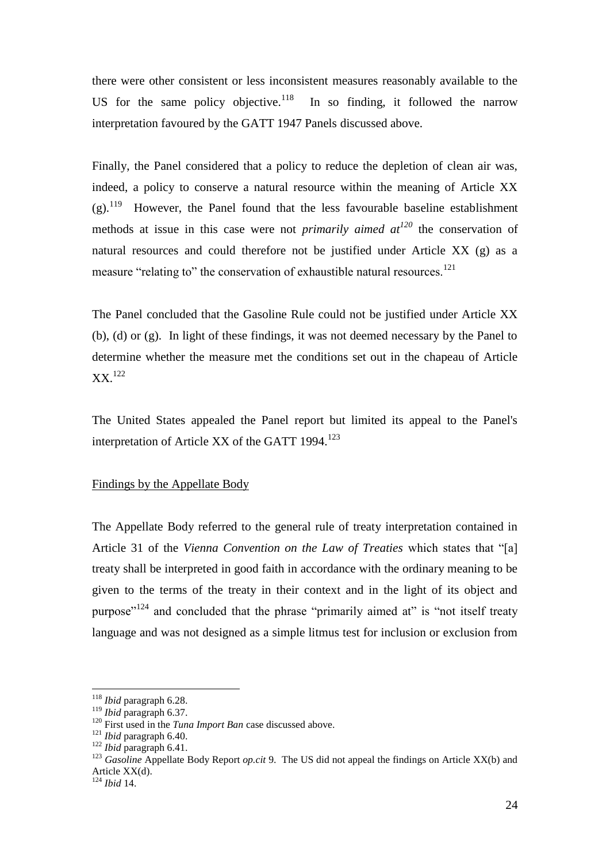there were other consistent or less inconsistent measures reasonably available to the US for the same policy objective.<sup>118</sup> In so finding, it followed the narrow interpretation favoured by the GATT 1947 Panels discussed above.

Finally, the Panel considered that a policy to reduce the depletion of clean air was, indeed, a policy to conserve a natural resource within the meaning of Article XX  $(g)$ .<sup>119</sup> However, the Panel found that the less favourable baseline establishment methods at issue in this case were not *primarily aimed at<sup>120</sup>* the conservation of natural resources and could therefore not be justified under Article XX (g) as a measure "relating to" the conservation of exhaustible natural resources.<sup>121</sup>

The Panel concluded that the Gasoline Rule could not be justified under Article XX (b), (d) or (g). In light of these findings, it was not deemed necessary by the Panel to determine whether the measure met the conditions set out in the chapeau of Article  $XX<sup>122</sup>$ 

The United States appealed the Panel report but limited its appeal to the Panel's interpretation of Article XX of the GATT 1994.<sup>123</sup>

#### Findings by the Appellate Body

The Appellate Body referred to the general rule of treaty interpretation contained in Article 31 of the *Vienna Convention on the Law of Treaties* which states that "[a] treaty shall be interpreted in good faith in accordance with the ordinary meaning to be given to the terms of the treaty in their context and in the light of its object and purpose"<sup>124</sup> and concluded that the phrase "primarily aimed at" is "not itself treaty language and was not designed as a simple litmus test for inclusion or exclusion from

 $\overline{a}$ <sup>118</sup> *Ibid* paragraph 6.28.

<sup>119</sup> *Ibid* paragraph 6.37.

<sup>&</sup>lt;sup>120</sup> First used in the *Tuna Import Ban* case discussed above.

<sup>121</sup> *Ibid* paragraph 6.40.

<sup>122</sup> *Ibid* paragraph 6.41.

<sup>&</sup>lt;sup>123</sup> *Gasoline* Appellate Body Report *op.cit* 9. The US did not appeal the findings on Article XX(b) and Article XX(d).

<sup>124</sup> *Ibid* 14.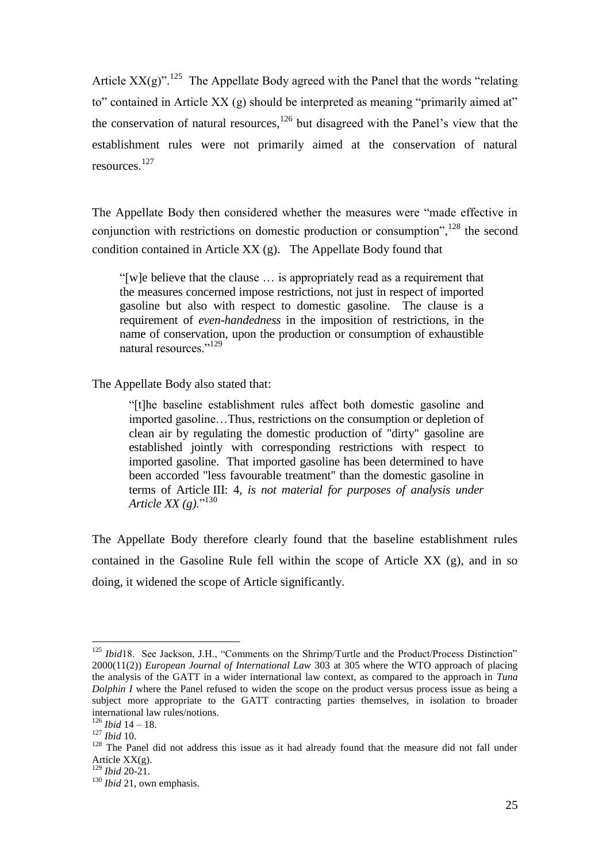Article  $XX(g)$ ".<sup>125</sup> The Appellate Body agreed with the Panel that the words "relating to" contained in Article XX (g) should be interpreted as meaning "primarily aimed at" the conservation of natural resources, $126$  but disagreed with the Panel's view that the establishment rules were not primarily aimed at the conservation of natural resources.<sup>127</sup>

The Appellate Body then considered whether the measures were "made effective in conjunction with restrictions on domestic production or consumption",  $^{128}$  the second condition contained in Article XX (g). The Appellate Body found that

"[w]e believe that the clause … is appropriately read as a requirement that the measures concerned impose restrictions, not just in respect of imported gasoline but also with respect to domestic gasoline. The clause is a requirement of *even-handedness* in the imposition of restrictions, in the name of conservation, upon the production or consumption of exhaustible natural resources."<sup>129</sup>

The Appellate Body also stated that:

"[t]he baseline establishment rules affect both domestic gasoline and imported gasoline…Thus, restrictions on the consumption or depletion of clean air by regulating the domestic production of "dirty" gasoline are established jointly with corresponding restrictions with respect to imported gasoline. That imported gasoline has been determined to have been accorded "less favourable treatment" than the domestic gasoline in terms of Article III: 4, *is not material for purposes of analysis under Article XX (g)*."<sup>130</sup>

The Appellate Body therefore clearly found that the baseline establishment rules contained in the Gasoline Rule fell within the scope of Article  $XX$  (g), and in so doing, it widened the scope of Article significantly.

<sup>&</sup>lt;sup>125</sup> *Ibid*18. See Jackson, J.H., "Comments on the Shrimp/Turtle and the Product/Process Distinction" 2000(11(2)) *European Journal of International Law* 303 at 305 where the WTO approach of placing the analysis of the GATT in a wider international law context, as compared to the approach in *Tuna Dolphin I* where the Panel refused to widen the scope on the product versus process issue as being a subject more appropriate to the GATT contracting parties themselves, in isolation to broader international law rules/notions.

<sup>126</sup> *Ibid* 14 – 18. <sup>127</sup> *Ibid* 10.

<sup>&</sup>lt;sup>128</sup> The Panel did not address this issue as it had already found that the measure did not fall under Article  $XX(g)$ .

<sup>129</sup> *Ibid* 20-21.

<sup>&</sup>lt;sup>130</sup> *Ibid* 21, own emphasis.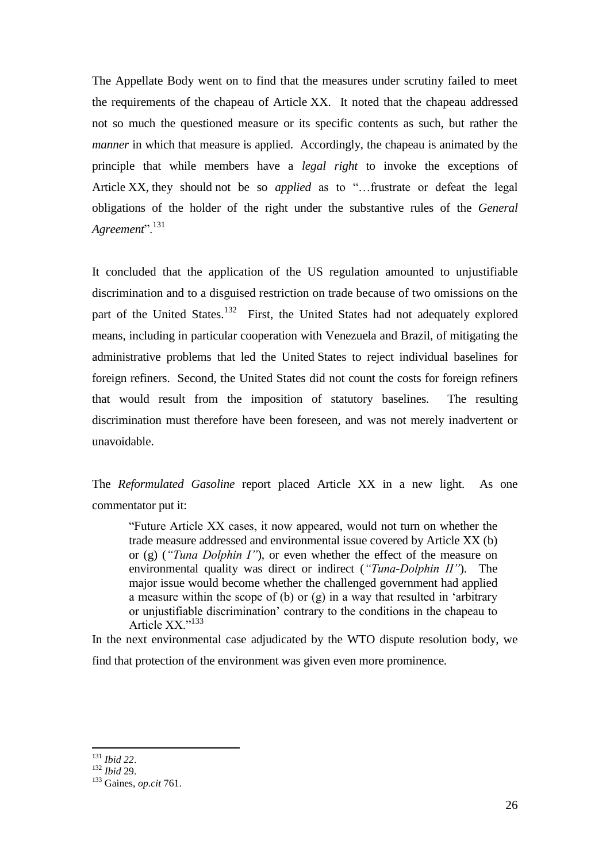The Appellate Body went on to find that the measures under scrutiny failed to meet the requirements of the chapeau of Article XX. It noted that the chapeau addressed not so much the questioned measure or its specific contents as such, but rather the *manner* in which that measure is applied. Accordingly, the chapeau is animated by the principle that while members have a *legal right* to invoke the exceptions of Article XX, they should not be so *applied* as to "…frustrate or defeat the legal obligations of the holder of the right under the substantive rules of the *General*  Agreement".<sup>131</sup>

It concluded that the application of the US regulation amounted to unjustifiable discrimination and to a disguised restriction on trade because of two omissions on the part of the United States.<sup>132</sup> First, the United States had not adequately explored means, including in particular cooperation with Venezuela and Brazil, of mitigating the administrative problems that led the United States to reject individual baselines for foreign refiners. Second, the United States did not count the costs for foreign refiners that would result from the imposition of statutory baselines. The resulting discrimination must therefore have been foreseen, and was not merely inadvertent or unavoidable.

The *Reformulated Gasoline* report placed Article XX in a new light. As one commentator put it:

"Future Article XX cases, it now appeared, would not turn on whether the trade measure addressed and environmental issue covered by Article XX (b) or (g) (*"Tuna Dolphin I"*), or even whether the effect of the measure on environmental quality was direct or indirect (*"Tuna-Dolphin II"*). The major issue would become whether the challenged government had applied a measure within the scope of (b) or (g) in a way that resulted in 'arbitrary or unjustifiable discrimination' contrary to the conditions in the chapeau to Article XX<sup>"133</sup>

In the next environmental case adjudicated by the WTO dispute resolution body, we find that protection of the environment was given even more prominence.

 $\overline{a}$ <sup>131</sup> *Ibid 22*.

<sup>132</sup> *Ibid* 29.

<sup>133</sup> Gaines, *op.cit* 761.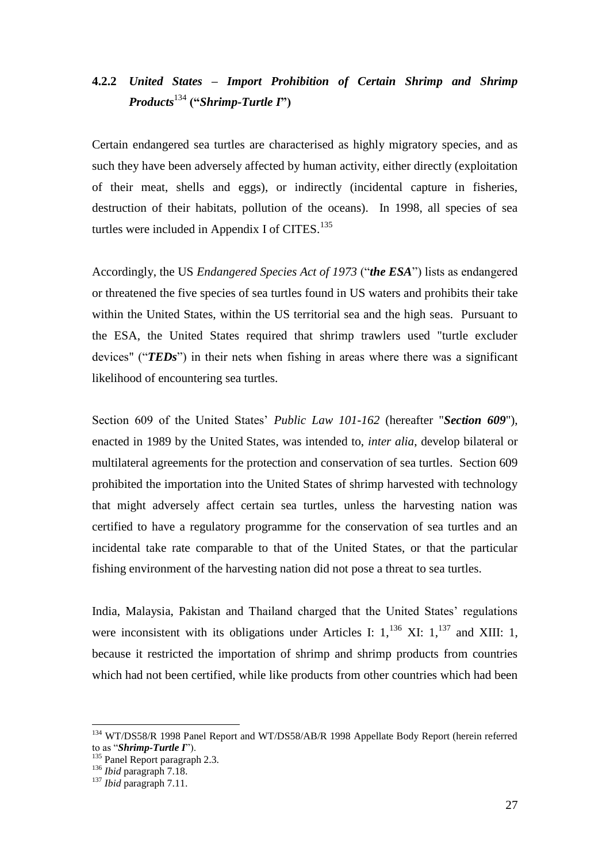## **4.2.2** *United States – Import Prohibition of Certain Shrimp and Shrimp Products*<sup>134</sup> **("***Shrimp-Turtle I***")**

Certain endangered sea turtles are characterised as highly migratory species, and as such they have been adversely affected by human activity, either directly (exploitation of their meat, shells and eggs), or indirectly (incidental capture in fisheries, destruction of their habitats, pollution of the oceans). In 1998, all species of sea turtles were included in Appendix I of CITES.<sup>135</sup>

Accordingly, the US *Endangered Species Act of 1973* ("*the ESA*") lists as endangered or threatened the five species of sea turtles found in US waters and prohibits their take within the United States, within the US territorial sea and the high seas. Pursuant to the ESA, the United States required that shrimp trawlers used "turtle excluder devices" ("*TEDs*") in their nets when fishing in areas where there was a significant likelihood of encountering sea turtles.

Section 609 of the United States' *Public Law 101-162* (hereafter "*Section 609*"), enacted in 1989 by the United States, was intended to, *inter alia*, develop bilateral or multilateral agreements for the protection and conservation of sea turtles. Section 609 prohibited the importation into the United States of shrimp harvested with technology that might adversely affect certain sea turtles, unless the harvesting nation was certified to have a regulatory programme for the conservation of sea turtles and an incidental take rate comparable to that of the United States, or that the particular fishing environment of the harvesting nation did not pose a threat to sea turtles.

India, Malaysia, Pakistan and Thailand charged that the United States' regulations were inconsistent with its obligations under Articles I:  $1,^{136}$  XI:  $1,^{137}$  and XIII: 1, because it restricted the importation of shrimp and shrimp products from countries which had not been certified, while like products from other countries which had been

<sup>&</sup>lt;sup>134</sup> WT/DS58/R 1998 Panel Report and WT/DS58/AB/R 1998 Appellate Body Report (herein referred to as "*Shrimp-Turtle I*").

<sup>&</sup>lt;sup>135</sup> Panel Report paragraph 2.3.

<sup>136</sup> *Ibid* paragraph 7.18.

<sup>137</sup> *Ibid* paragraph 7.11.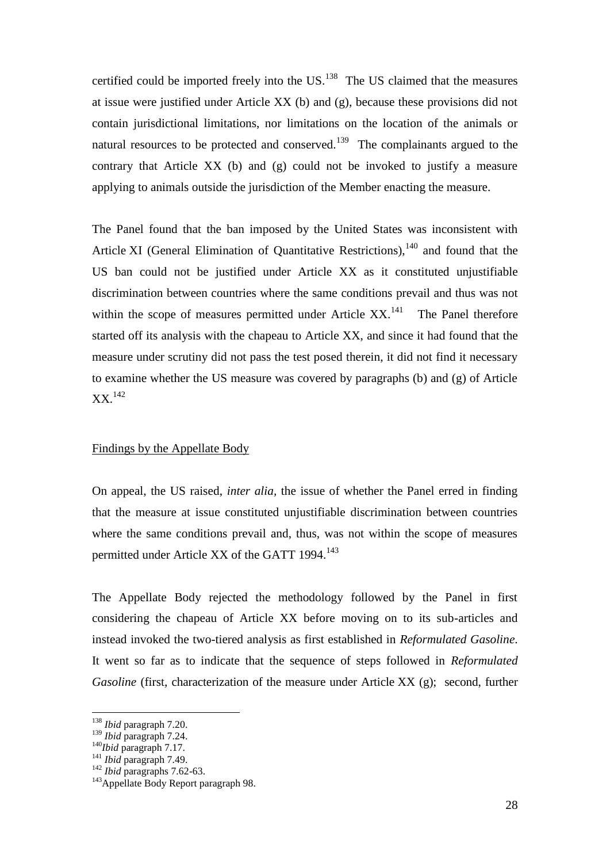certified could be imported freely into the  $US$ .<sup>138</sup> The US claimed that the measures at issue were justified under Article XX (b) and (g), because these provisions did not contain jurisdictional limitations, nor limitations on the location of the animals or natural resources to be protected and conserved.<sup>139</sup> The complainants argued to the contrary that Article XX (b) and (g) could not be invoked to justify a measure applying to animals outside the jurisdiction of the Member enacting the measure.

The Panel found that the ban imposed by the United States was inconsistent with Article XI (General Elimination of Quantitative Restrictions), $140$  and found that the US ban could not be justified under Article XX as it constituted unjustifiable discrimination between countries where the same conditions prevail and thus was not within the scope of measures permitted under Article  $XX$ <sup>141</sup> The Panel therefore started off its analysis with the chapeau to Article XX, and since it had found that the measure under scrutiny did not pass the test posed therein, it did not find it necessary to examine whether the US measure was covered by paragraphs (b) and (g) of Article  $XX.<sup>142</sup>$ 

#### Findings by the Appellate Body

On appeal, the US raised, *inter alia,* the issue of whether the Panel erred in finding that the measure at issue constituted unjustifiable discrimination between countries where the same conditions prevail and, thus, was not within the scope of measures permitted under Article XX of the GATT 1994.<sup>143</sup>

The Appellate Body rejected the methodology followed by the Panel in first considering the chapeau of Article XX before moving on to its sub-articles and instead invoked the two-tiered analysis as first established in *Reformulated Gasoline*. It went so far as to indicate that the sequence of steps followed in *Reformulated Gasoline* (first, characterization of the measure under Article XX (g); second, further

<sup>138</sup> *Ibid* paragraph 7.20.

<sup>139</sup> *Ibid* paragraph 7.24.

<sup>140</sup>*Ibid* paragraph 7.17.

<sup>141</sup> *Ibid* paragraph 7.49.

<sup>142</sup> *Ibid* paragraphs 7.62-63.

<sup>&</sup>lt;sup>143</sup> Appellate Body Report paragraph 98.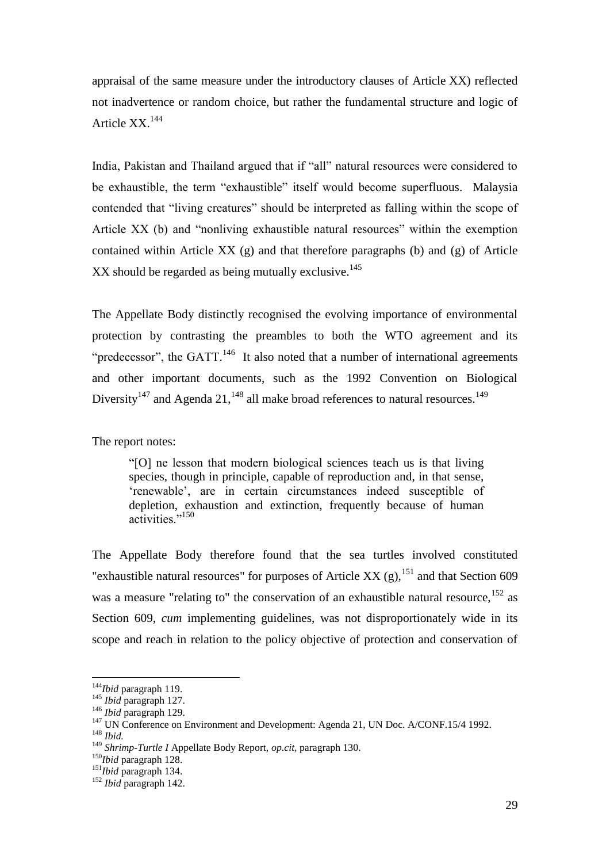appraisal of the same measure under the introductory clauses of Article XX) reflected not inadvertence or random choice, but rather the fundamental structure and logic of Article XX.<sup>144</sup>

India, Pakistan and Thailand argued that if "all" natural resources were considered to be exhaustible, the term "exhaustible" itself would become superfluous. Malaysia contended that "living creatures" should be interpreted as falling within the scope of Article XX (b) and "nonliving exhaustible natural resources" within the exemption contained within Article XX (g) and that therefore paragraphs (b) and (g) of Article  $XX$  should be regarded as being mutually exclusive.<sup>145</sup>

The Appellate Body distinctly recognised the evolving importance of environmental protection by contrasting the preambles to both the WTO agreement and its "predecessor", the GATT. $^{146}$  It also noted that a number of international agreements and other important documents, such as the 1992 Convention on Biological Diversity<sup>147</sup> and Agenda 21,<sup>148</sup> all make broad references to natural resources.<sup>149</sup>

The report notes:

"[O] ne lesson that modern biological sciences teach us is that living species, though in principle, capable of reproduction and, in that sense, 'renewable', are in certain circumstances indeed susceptible of depletion, exhaustion and extinction, frequently because of human activities."<sup>150</sup>

The Appellate Body therefore found that the sea turtles involved constituted "exhaustible natural resources" for purposes of Article XX  $(g)$ , <sup>151</sup> and that Section 609 was a measure "relating to" the conservation of an exhaustible natural resource,  $152$  as Section 609, *cum* implementing guidelines, was not disproportionately wide in its scope and reach in relation to the policy objective of protection and conservation of

<sup>144</sup>*Ibid* paragraph 119.

<sup>145</sup> *Ibid* paragraph 127.

<sup>146</sup> *Ibid* paragraph 129.

<sup>&</sup>lt;sup>147</sup> UN Conference on Environment and Development: Agenda 21, UN Doc. A/CONF.15/4 1992. <sup>148</sup> *Ibid.*

<sup>149</sup> *Shrimp-Turtle I* Appellate Body Report, *op.cit,* paragraph 130.

<sup>150</sup>*Ibid* paragraph 128.

<sup>151</sup>*Ibid* paragraph 134.

<sup>152</sup> *Ibid* paragraph 142.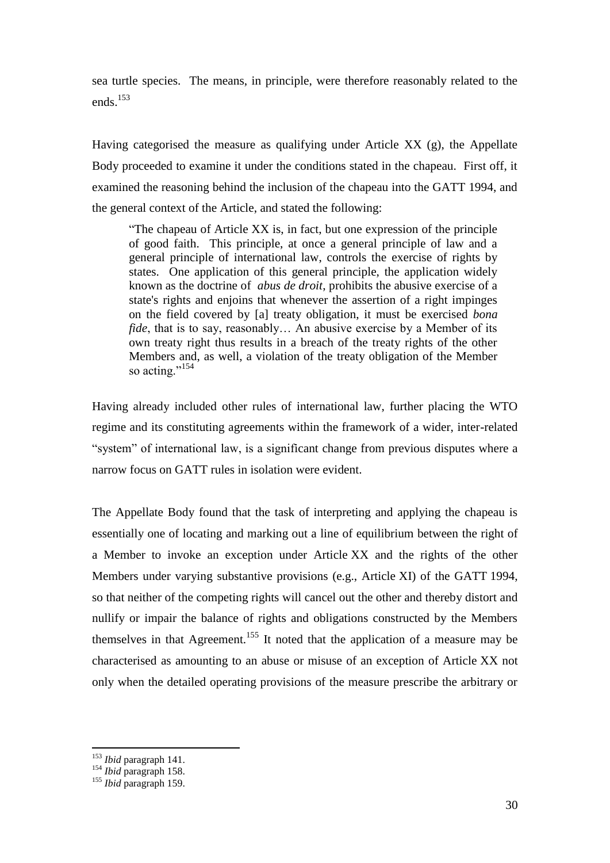sea turtle species. The means, in principle, were therefore reasonably related to the ends.<sup>153</sup>

Having categorised the measure as qualifying under Article XX (g), the Appellate Body proceeded to examine it under the conditions stated in the chapeau. First off, it examined the reasoning behind the inclusion of the chapeau into the GATT 1994, and the general context of the Article, and stated the following:

"The chapeau of Article XX is, in fact, but one expression of the principle of good faith. This principle, at once a general principle of law and a general principle of international law, controls the exercise of rights by states. One application of this general principle, the application widely known as the doctrine of *abus de droit*, prohibits the abusive exercise of a state's rights and enjoins that whenever the assertion of a right impinges on the field covered by [a] treaty obligation, it must be exercised *bona fide*, that is to say, reasonably... An abusive exercise by a Member of its own treaty right thus results in a breach of the treaty rights of the other Members and, as well, a violation of the treaty obligation of the Member so acting."<sup>154</sup>

Having already included other rules of international law, further placing the WTO regime and its constituting agreements within the framework of a wider, inter-related "system" of international law, is a significant change from previous disputes where a narrow focus on GATT rules in isolation were evident.

The Appellate Body found that the task of interpreting and applying the chapeau is essentially one of locating and marking out a line of equilibrium between the right of a Member to invoke an exception under Article XX and the rights of the other Members under varying substantive provisions (e.g., Article XI) of the GATT 1994, so that neither of the competing rights will cancel out the other and thereby distort and nullify or impair the balance of rights and obligations constructed by the Members themselves in that Agreement.<sup>155</sup> It noted that the application of a measure may be characterised as amounting to an abuse or misuse of an exception of Article XX not only when the detailed operating provisions of the measure prescribe the arbitrary or

<sup>153</sup> *Ibid* paragraph 141.

<sup>154</sup> *Ibid* paragraph 158.

<sup>155</sup> *Ibid* paragraph 159.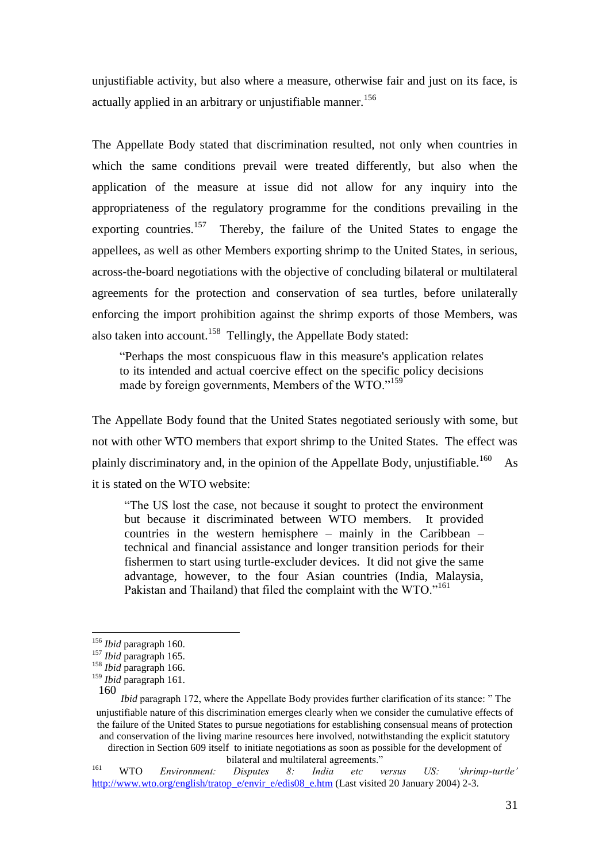unjustifiable activity, but also where a measure, otherwise fair and just on its face, is actually applied in an arbitrary or unjustifiable manner.<sup>156</sup>

The Appellate Body stated that discrimination resulted, not only when countries in which the same conditions prevail were treated differently, but also when the application of the measure at issue did not allow for any inquiry into the appropriateness of the regulatory programme for the conditions prevailing in the exporting countries.<sup>157</sup> Thereby, the failure of the United States to engage the appellees, as well as other Members exporting shrimp to the United States, in serious, across-the-board negotiations with the objective of concluding bilateral or multilateral agreements for the protection and conservation of sea turtles, before unilaterally enforcing the import prohibition against the shrimp exports of those Members, was also taken into account.<sup>158</sup> Tellingly, the Appellate Body stated:

"Perhaps the most conspicuous flaw in this measure's application relates to its intended and actual coercive effect on the specific policy decisions made by foreign governments, Members of the WTO."<sup>159</sup>

The Appellate Body found that the United States negotiated seriously with some, but not with other WTO members that export shrimp to the United States. The effect was plainly discriminatory and, in the opinion of the Appellate Body, unjustifiable.<sup>160</sup> As it is stated on the WTO website:

"The US lost the case, not because it sought to protect the environment but because it discriminated between WTO members. It provided countries in the western hemisphere – mainly in the Caribbean – technical and financial assistance and longer transition periods for their fishermen to start using turtle-excluder devices. It did not give the same advantage, however, to the four Asian countries (India, Malaysia, Pakistan and Thailand) that filed the complaint with the WTO."<sup>161</sup>

<sup>156</sup> *Ibid* paragraph 160.

<sup>157</sup> *Ibid* paragraph 165.

<sup>158</sup> *Ibid* paragraph 166. <sup>159</sup> *Ibid* paragraph 161.

<sup>160</sup>

*Ibid* paragraph 172, where the Appellate Body provides further clarification of its stance: " The unjustifiable nature of this discrimination emerges clearly when we consider the cumulative effects of the failure of the United States to pursue negotiations for establishing consensual means of protection and conservation of the living marine resources here involved, notwithstanding the explicit statutory direction in Section 609 itself to initiate negotiations as soon as possible for the development of bilateral and multilateral agreements."

<sup>161</sup> WTO *Environment: Disputes 8: India etc versus US: 'shrimp-turtle'* [http://www.wto.org/english/tratop\\_e/envir\\_e/edis08\\_e.htm](http://www.wto.org/english/tratop_e/envir_e/edis08_e.htm) (Last visited 20 January 2004) 2-3.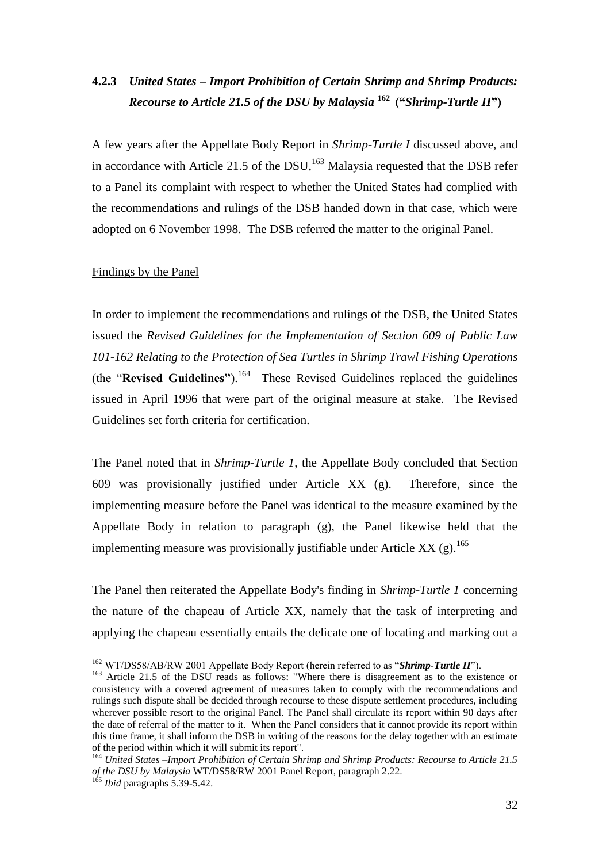## **4.2.3** *United States – Import Prohibition of Certain Shrimp and Shrimp Products: Recourse to Article 21.5 of the DSU by Malaysia* **<sup>162</sup> ("***Shrimp-Turtle II***")**

A few years after the Appellate Body Report in *Shrimp-Turtle I* discussed above, and in accordance with Article 21.5 of the  $DSU<sub>1</sub><sup>163</sup>$  Malaysia requested that the DSB refer to a Panel its complaint with respect to whether the United States had complied with the recommendations and rulings of the DSB handed down in that case, which were adopted on 6 November 1998. The DSB referred the matter to the original Panel.

#### Findings by the Panel

In order to implement the recommendations and rulings of the DSB, the United States issued the *Revised Guidelines for the Implementation of Section 609 of Public Law 101-162 Relating to the Protection of Sea Turtles in Shrimp Trawl Fishing Operations* (the "**Revised Guidelines"**).<sup>164</sup> These Revised Guidelines replaced the guidelines issued in April 1996 that were part of the original measure at stake. The Revised Guidelines set forth criteria for certification.

The Panel noted that in *Shrimp-Turtle 1*, the Appellate Body concluded that Section 609 was provisionally justified under Article XX (g). Therefore, since the implementing measure before the Panel was identical to the measure examined by the Appellate Body in relation to paragraph (g), the Panel likewise held that the implementing measure was provisionally justifiable under Article XX  $(g)$ .<sup>165</sup>

The Panel then reiterated the Appellate Body's finding in *Shrimp-Turtle 1* concerning the nature of the chapeau of Article XX, namely that the task of interpreting and applying the chapeau essentially entails the delicate one of locating and marking out a

<sup>&</sup>lt;sup>162</sup> WT/DS58/AB/RW 2001 Appellate Body Report (herein referred to as "Shrimp-Turtle II").

<sup>&</sup>lt;sup>163</sup> Article 21.5 of the DSU reads as follows: "Where there is disagreement as to the existence or consistency with a covered agreement of measures taken to comply with the recommendations and rulings such dispute shall be decided through recourse to these dispute settlement procedures, including wherever possible resort to the original Panel. The Panel shall circulate its report within 90 days after the date of referral of the matter to it. When the Panel considers that it cannot provide its report within this time frame, it shall inform the DSB in writing of the reasons for the delay together with an estimate of the period within which it will submit its report".

<sup>164</sup> *United States* –*Import Prohibition of Certain Shrimp and Shrimp Products: Recourse to Article 21.5 of the DSU by Malaysia* WT/DS58/RW 2001 Panel Report, paragraph 2.22.

<sup>&</sup>lt;sup>165</sup> *Ibid* paragraphs 5.39-5.42.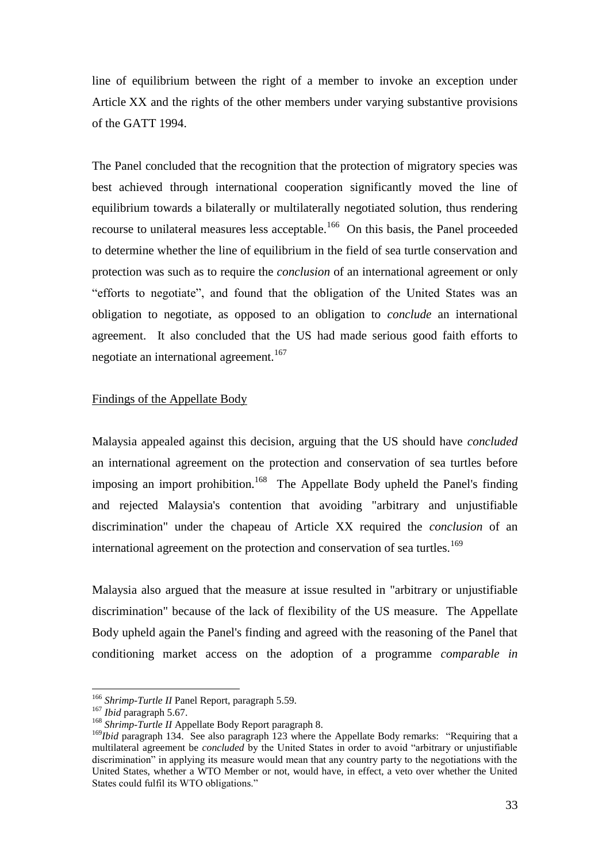line of equilibrium between the right of a member to invoke an exception under Article XX and the rights of the other members under varying substantive provisions of the GATT 1994.

The Panel concluded that the recognition that the protection of migratory species was best achieved through international cooperation significantly moved the line of equilibrium towards a bilaterally or multilaterally negotiated solution, thus rendering recourse to unilateral measures less acceptable.<sup>166</sup> On this basis, the Panel proceeded to determine whether the line of equilibrium in the field of sea turtle conservation and protection was such as to require the *conclusion* of an international agreement or only "efforts to negotiate", and found that the obligation of the United States was an obligation to negotiate, as opposed to an obligation to *conclude* an international agreement. It also concluded that the US had made serious good faith efforts to negotiate an international agreement.<sup>167</sup>

## Findings of the Appellate Body

Malaysia appealed against this decision, arguing that the US should have *concluded* an international agreement on the protection and conservation of sea turtles before imposing an import prohibition.<sup>168</sup> The Appellate Body upheld the Panel's finding and rejected Malaysia's contention that avoiding "arbitrary and unjustifiable discrimination" under the chapeau of Article XX required the *conclusion* of an international agreement on the protection and conservation of sea turtles.<sup>169</sup>

Malaysia also argued that the measure at issue resulted in "arbitrary or unjustifiable discrimination" because of the lack of flexibility of the US measure. The Appellate Body upheld again the Panel's finding and agreed with the reasoning of the Panel that conditioning market access on the adoption of a programme *comparable in* 

<sup>166</sup> *Shrimp-Turtle II* Panel Report, paragraph 5.59.

<sup>167</sup> *Ibid* paragraph 5.67.

<sup>&</sup>lt;sup>168</sup> Shrimp-Turtle II Appellate Body Report paragraph 8.

<sup>&</sup>lt;sup>169</sup>*Ibid* paragraph 134. See also paragraph 123 where the Appellate Body remarks: "Requiring that a multilateral agreement be *concluded* by the United States in order to avoid "arbitrary or unjustifiable discrimination" in applying its measure would mean that any country party to the negotiations with the United States, whether a WTO Member or not, would have, in effect, a veto over whether the United States could fulfil its WTO obligations."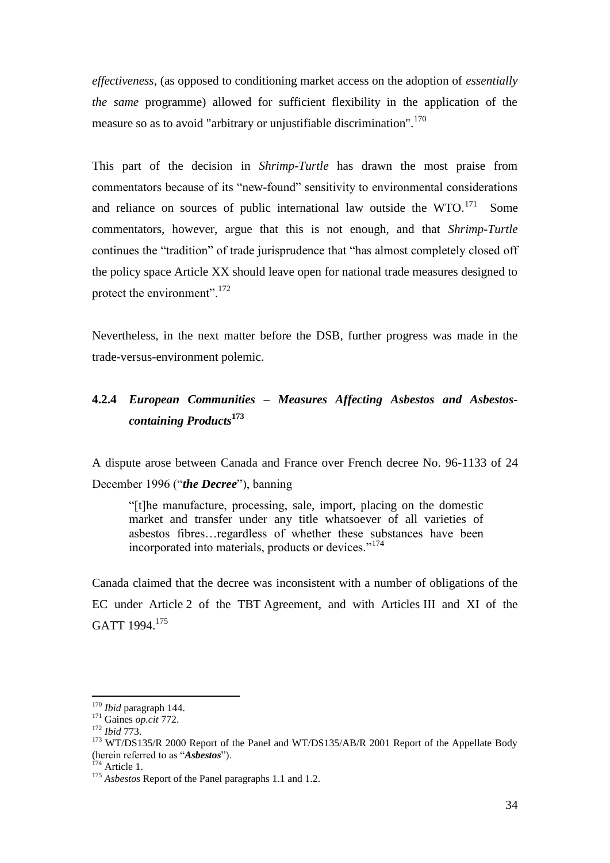*effectiveness*, (as opposed to conditioning market access on the adoption of *essentially the same* programme) allowed for sufficient flexibility in the application of the measure so as to avoid "arbitrary or unjustifiable discrimination".<sup>170</sup>

This part of the decision in *Shrimp-Turtle* has drawn the most praise from commentators because of its "new-found" sensitivity to environmental considerations and reliance on sources of public international law outside the  $WTO$ .<sup>171</sup> Some commentators, however, argue that this is not enough, and that *Shrimp-Turtle*  continues the "tradition" of trade jurisprudence that "has almost completely closed off the policy space Article XX should leave open for national trade measures designed to protect the environment".<sup>172</sup>

Nevertheless, in the next matter before the DSB, further progress was made in the trade-versus-environment polemic.

## **4.2.4** *European Communities – Measures Affecting Asbestos and Asbestoscontaining Products***<sup>173</sup>**

A dispute arose between Canada and France over French decree No. 96-1133 of 24 December 1996 ("*the Decree*"), banning

"[t]he manufacture, processing, sale, import, placing on the domestic market and transfer under any title whatsoever of all varieties of asbestos fibres…regardless of whether these substances have been incorporated into materials, products or devices."<sup>174</sup>

Canada claimed that the decree was inconsistent with a number of obligations of the EC under Article 2 of the TBT Agreement, and with Articles III and XI of the GATT 1994.<sup>175</sup>

<sup>170</sup> *Ibid* paragraph 144.

<sup>171</sup> Gaines *op.cit* 772.

<sup>172</sup> *Ibid* 773.

<sup>&</sup>lt;sup>173</sup> WT/DS135/R 2000 Report of the Panel and WT/DS135/AB/R 2001 Report of the Appellate Body (herein referred to as "*Asbestos*").

 $174$  Article 1.

<sup>175</sup> *Asbestos* Report of the Panel paragraphs 1.1 and 1.2.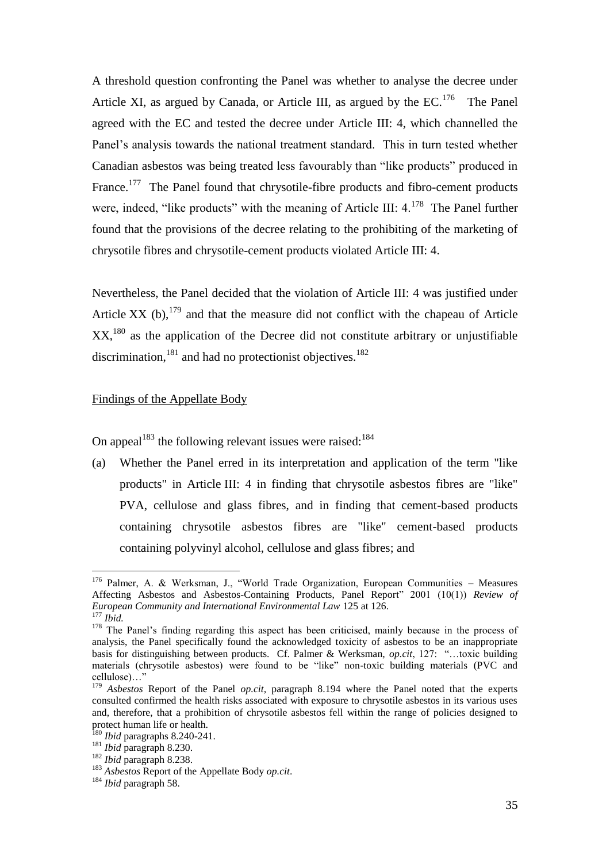A threshold question confronting the Panel was whether to analyse the decree under Article XI, as argued by Canada, or Article III, as argued by the  $EC.^{176}$  The Panel agreed with the EC and tested the decree under Article III: 4, which channelled the Panel's analysis towards the national treatment standard. This in turn tested whether Canadian asbestos was being treated less favourably than "like products" produced in France.<sup>177</sup> The Panel found that chrysotile-fibre products and fibro-cement products were, indeed, "like products" with the meaning of Article III:  $4.^{178}$  The Panel further found that the provisions of the decree relating to the prohibiting of the marketing of chrysotile fibres and chrysotile-cement products violated Article III: 4.

Nevertheless, the Panel decided that the violation of Article III: 4 was justified under Article XX (b),  $179$  and that the measure did not conflict with the chapeau of Article  $XX$ ,<sup>180</sup> as the application of the Decree did not constitute arbitrary or unjustifiable discrimination, $^{181}$  and had no protectionist objectives.<sup>182</sup>

## Findings of the Appellate Body

On appeal<sup>183</sup> the following relevant issues were raised:<sup>184</sup>

(a) Whether the Panel erred in its interpretation and application of the term "like products" in Article III: 4 in finding that chrysotile asbestos fibres are "like" PVA, cellulose and glass fibres, and in finding that cement-based products containing chrysotile asbestos fibres are "like" cement-based products containing polyvinyl alcohol, cellulose and glass fibres; and

<sup>176</sup> Palmer, A. & Werksman, J., "World Trade Organization, European Communities – Measures Affecting Asbestos and Asbestos-Containing Products, Panel Report" 2001 (10(1)) *Review of European Community and International Environmental Law* 125 at 126.

<sup>177</sup> *Ibid.*

<sup>&</sup>lt;sup>178</sup> The Panel's finding regarding this aspect has been criticised, mainly because in the process of analysis, the Panel specifically found the acknowledged toxicity of asbestos to be an inappropriate basis for distinguishing between products. Cf. Palmer & Werksman, *op.cit*, 127: "…toxic building materials (chrysotile asbestos) were found to be "like" non-toxic building materials (PVC and cellulose)…"

<sup>&</sup>lt;sup>179</sup> Asbestos Report of the Panel *op.cit*, paragraph 8.194 where the Panel noted that the experts consulted confirmed the health risks associated with exposure to chrysotile asbestos in its various uses and, therefore, that a prohibition of chrysotile asbestos fell within the range of policies designed to protect human life or health.

<sup>180</sup> *Ibid* paragraphs 8.240-241.

<sup>181</sup> *Ibid* paragraph 8.230.

<sup>182</sup> *Ibid* paragraph 8.238.

<sup>183</sup> *Asbestos* Report of the Appellate Body *op.cit*.

<sup>184</sup> *Ibid* paragraph 58.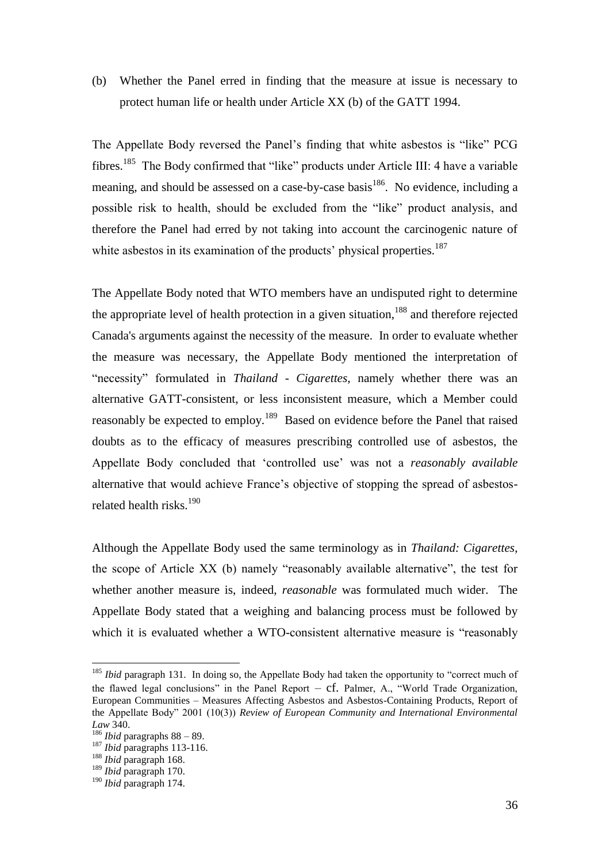(b) Whether the Panel erred in finding that the measure at issue is necessary to protect human life or health under Article XX (b) of the GATT 1994.

The Appellate Body reversed the Panel's finding that white asbestos is "like" PCG fibres.<sup>185</sup> The Body confirmed that "like" products under Article III: 4 have a variable meaning, and should be assessed on a case-by-case basis<sup>186</sup>. No evidence, including a possible risk to health, should be excluded from the "like" product analysis, and therefore the Panel had erred by not taking into account the carcinogenic nature of white asbestos in its examination of the products' physical properties.<sup>187</sup>

The Appellate Body noted that WTO members have an undisputed right to determine the appropriate level of health protection in a given situation,<sup>188</sup> and therefore rejected Canada's arguments against the necessity of the measure. In order to evaluate whether the measure was necessary, the Appellate Body mentioned the interpretation of "necessity" formulated in *Thailand - Cigarettes*, namely whether there was an alternative GATT-consistent, or less inconsistent measure, which a Member could reasonably be expected to employ.<sup>189</sup> Based on evidence before the Panel that raised doubts as to the efficacy of measures prescribing controlled use of asbestos, the Appellate Body concluded that 'controlled use' was not a *reasonably available* alternative that would achieve France's objective of stopping the spread of asbestosrelated health risks.<sup>190</sup>

Although the Appellate Body used the same terminology as in *Thailand: Cigarettes*, the scope of Article XX (b) namely "reasonably available alternative", the test for whether another measure is, indeed, *reasonable* was formulated much wider. The Appellate Body stated that a weighing and balancing process must be followed by which it is evaluated whether a WTO-consistent alternative measure is "reasonably

<sup>&</sup>lt;sup>185</sup> *Ibid* paragraph 131. In doing so, the Appellate Body had taken the opportunity to "correct much of the flawed legal conclusions" in the Panel Report  $- cf.$  Palmer, A., "World Trade Organization, European Communities – Measures Affecting Asbestos and Asbestos-Containing Products, Report of the Appellate Body" 2001 (10(3)) *Review of European Community and International Environmental Law* 340.

<sup>186</sup> *Ibid* paragraphs 88 – 89.

<sup>187</sup> *Ibid* paragraphs 113-116.

<sup>188</sup> *Ibid* paragraph 168.

<sup>189</sup> *Ibid* paragraph 170.

<sup>190</sup> *Ibid* paragraph 174.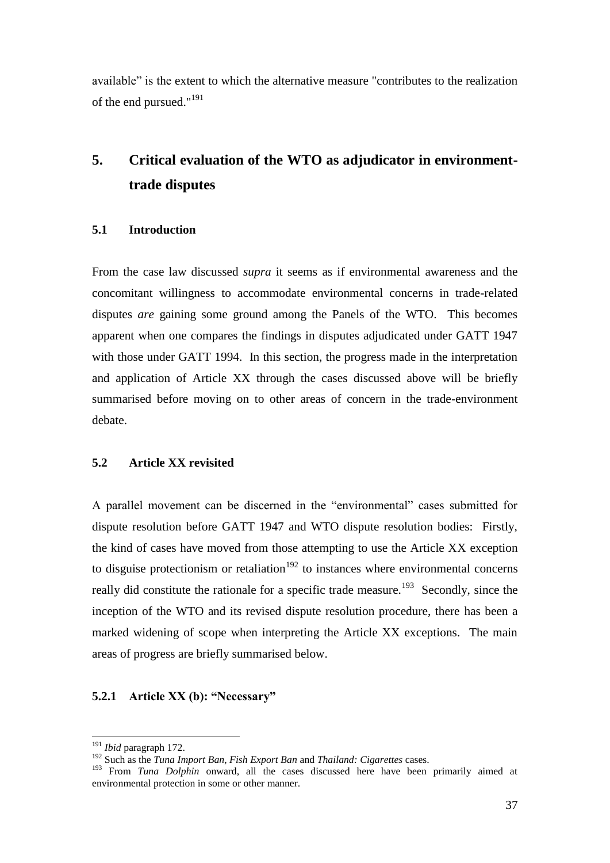available" is the extent to which the alternative measure "contributes to the realization of the end pursued."<sup>191</sup>

## **5. Critical evaluation of the WTO as adjudicator in environmenttrade disputes**

### **5.1 Introduction**

From the case law discussed *supra* it seems as if environmental awareness and the concomitant willingness to accommodate environmental concerns in trade-related disputes *are* gaining some ground among the Panels of the WTO. This becomes apparent when one compares the findings in disputes adjudicated under GATT 1947 with those under GATT 1994. In this section, the progress made in the interpretation and application of Article XX through the cases discussed above will be briefly summarised before moving on to other areas of concern in the trade-environment debate.

#### **5.2 Article XX revisited**

A parallel movement can be discerned in the "environmental" cases submitted for dispute resolution before GATT 1947 and WTO dispute resolution bodies: Firstly, the kind of cases have moved from those attempting to use the Article XX exception to disguise protectionism or retaliation<sup>192</sup> to instances where environmental concerns really did constitute the rationale for a specific trade measure.<sup>193</sup> Secondly, since the inception of the WTO and its revised dispute resolution procedure, there has been a marked widening of scope when interpreting the Article XX exceptions. The main areas of progress are briefly summarised below.

## **5.2.1 Article XX (b): "Necessary"**

<sup>191</sup> *Ibid* paragraph 172.

<sup>192</sup> Such as the *Tuna Import Ban*, *Fish Export Ban* and *Thailand: Cigarettes* cases.

<sup>&</sup>lt;sup>193</sup> From *Tuna Dolphin* onward, all the cases discussed here have been primarily aimed at environmental protection in some or other manner.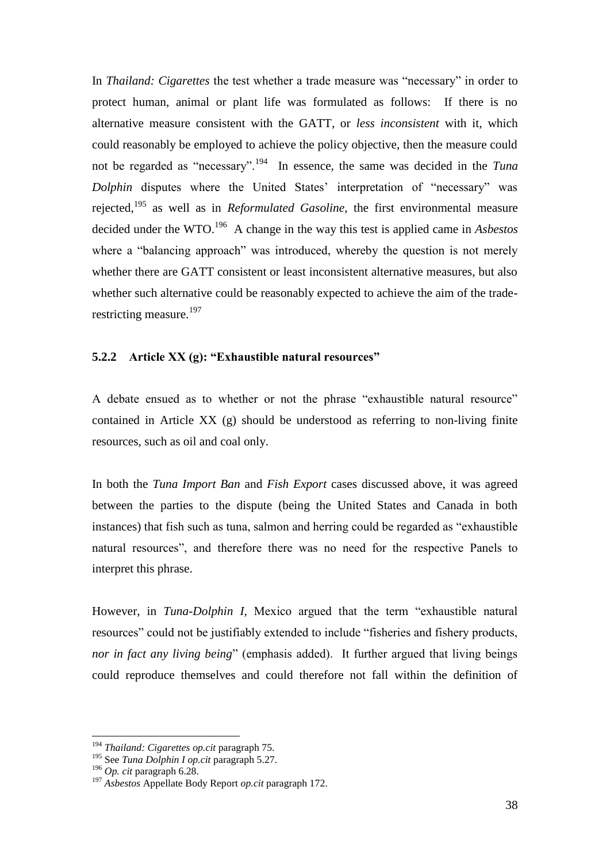In *Thailand: Cigarettes* the test whether a trade measure was "necessary" in order to protect human, animal or plant life was formulated as follows: If there is no alternative measure consistent with the GATT, or *less inconsistent* with it, which could reasonably be employed to achieve the policy objective, then the measure could not be regarded as "necessary".<sup>194</sup> In essence, the same was decided in the *Tuna Dolphin* disputes where the United States' interpretation of "necessary" was rejected,<sup>195</sup> as well as in *Reformulated Gasoline*, the first environmental measure decided under the WTO.<sup>196</sup> A change in the way this test is applied came in *Asbestos* where a "balancing approach" was introduced, whereby the question is not merely whether there are GATT consistent or least inconsistent alternative measures, but also whether such alternative could be reasonably expected to achieve the aim of the traderestricting measure.<sup>197</sup>

## **5.2.2 Article XX (g): "Exhaustible natural resources"**

A debate ensued as to whether or not the phrase "exhaustible natural resource" contained in Article XX (g) should be understood as referring to non-living finite resources, such as oil and coal only.

In both the *Tuna Import Ban* and *Fish Export* cases discussed above, it was agreed between the parties to the dispute (being the United States and Canada in both instances) that fish such as tuna, salmon and herring could be regarded as "exhaustible natural resources", and therefore there was no need for the respective Panels to interpret this phrase.

However, in *Tuna-Dolphin I,* Mexico argued that the term "exhaustible natural resources" could not be justifiably extended to include "fisheries and fishery products, *nor in fact any living being*" (emphasis added). It further argued that living beings could reproduce themselves and could therefore not fall within the definition of

<sup>194</sup> *Thailand: Cigarettes op.cit* paragraph 75.

<sup>195</sup> See *Tuna Dolphin I op.cit* paragraph 5.27.

<sup>196</sup> *Op. cit* paragraph 6.28.

<sup>197</sup> *Asbestos* Appellate Body Report *op.cit* paragraph 172.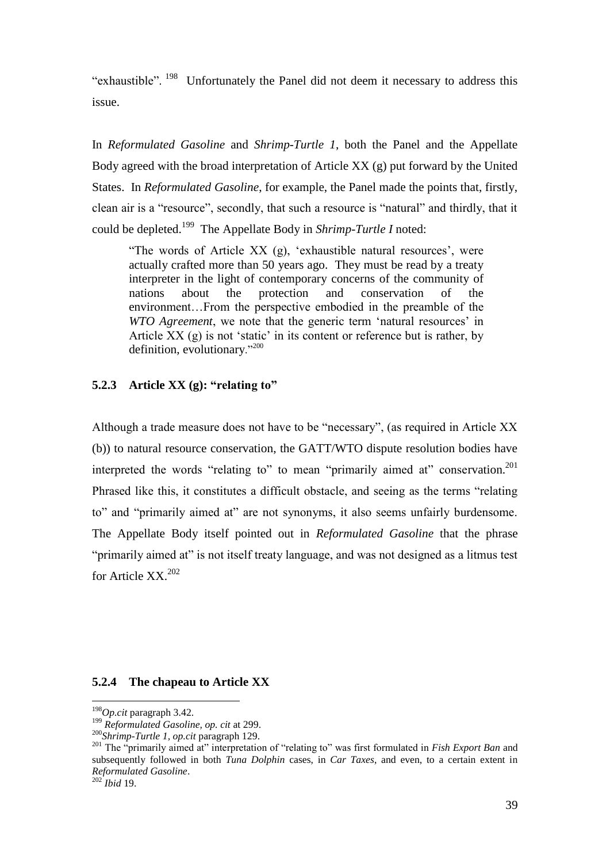"exhaustible". <sup>198</sup> Unfortunately the Panel did not deem it necessary to address this issue.

In *Reformulated Gasoline* and *Shrimp-Turtle 1*, both the Panel and the Appellate Body agreed with the broad interpretation of Article XX (g) put forward by the United States. In *Reformulated Gasoline*, for example, the Panel made the points that, firstly, clean air is a "resource", secondly, that such a resource is "natural" and thirdly, that it could be depleted.<sup>199</sup> The Appellate Body in *Shrimp-Turtle I* noted:

"The words of Article XX (g), 'exhaustible natural resources', were actually crafted more than 50 years ago. They must be read by a treaty interpreter in the light of contemporary concerns of the community of nations about the protection and conservation of the environment…From the perspective embodied in the preamble of the *WTO Agreement*, we note that the generic term 'natural resources' in Article XX (g) is not 'static' in its content or reference but is rather, by definition, evolutionary."<sup>200</sup>

#### **5.2.3 Article XX (g): "relating to"**

Although a trade measure does not have to be "necessary", (as required in Article XX (b)) to natural resource conservation, the GATT/WTO dispute resolution bodies have interpreted the words "relating to" to mean "primarily aimed at" conservation.<sup>201</sup> Phrased like this, it constitutes a difficult obstacle, and seeing as the terms "relating to" and "primarily aimed at" are not synonyms, it also seems unfairly burdensome. The Appellate Body itself pointed out in *Reformulated Gasoline* that the phrase "primarily aimed at" is not itself treaty language, and was not designed as a litmus test for Article  $XX$ <sup>202</sup>

#### **5.2.4 The chapeau to Article XX**

<sup>198</sup>*Op.cit* paragraph 3.42.

<sup>199</sup> *Reformulated Gasoline, op. cit* at 299.

<sup>200</sup>*Shrimp-Turtle 1, op.cit* paragraph 129.

<sup>&</sup>lt;sup>201</sup> The "primarily aimed at" interpretation of "relating to" was first formulated in *Fish Export Ban* and subsequently followed in both *Tuna Dolphin* cases, in *Car Taxes*, and even, to a certain extent in *Reformulated Gasoline*.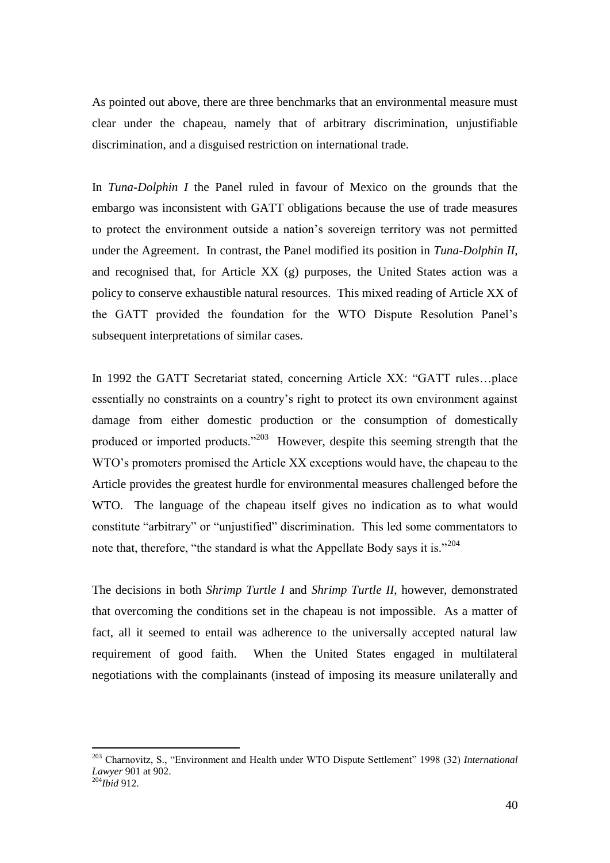As pointed out above, there are three benchmarks that an environmental measure must clear under the chapeau, namely that of arbitrary discrimination, unjustifiable discrimination, and a disguised restriction on international trade.

In *Tuna-Dolphin I* the Panel ruled in favour of Mexico on the grounds that the embargo was inconsistent with GATT obligations because the use of trade measures to protect the environment outside a nation's sovereign territory was not permitted under the Agreement. In contrast, the Panel modified its position in *Tuna-Dolphin II*, and recognised that, for Article XX (g) purposes, the United States action was a policy to conserve exhaustible natural resources. This mixed reading of Article XX of the GATT provided the foundation for the WTO Dispute Resolution Panel's subsequent interpretations of similar cases.

In 1992 the GATT Secretariat stated, concerning Article XX: "GATT rules…place essentially no constraints on a country's right to protect its own environment against damage from either domestic production or the consumption of domestically produced or imported products."<sup>203</sup> However, despite this seeming strength that the WTO's promoters promised the Article XX exceptions would have, the chapeau to the Article provides the greatest hurdle for environmental measures challenged before the WTO. The language of the chapeau itself gives no indication as to what would constitute "arbitrary" or "unjustified" discrimination. This led some commentators to note that, therefore, "the standard is what the Appellate Body says it is." $204$ 

The decisions in both *Shrimp Turtle I* and *Shrimp Turtle II*, however, demonstrated that overcoming the conditions set in the chapeau is not impossible. As a matter of fact, all it seemed to entail was adherence to the universally accepted natural law requirement of good faith. When the United States engaged in multilateral negotiations with the complainants (instead of imposing its measure unilaterally and

<sup>203</sup> Charnovitz, S., "Environment and Health under WTO Dispute Settlement" 1998 (32) *International Lawyer* 901 at 902. <sup>204</sup>*Ibid* 912.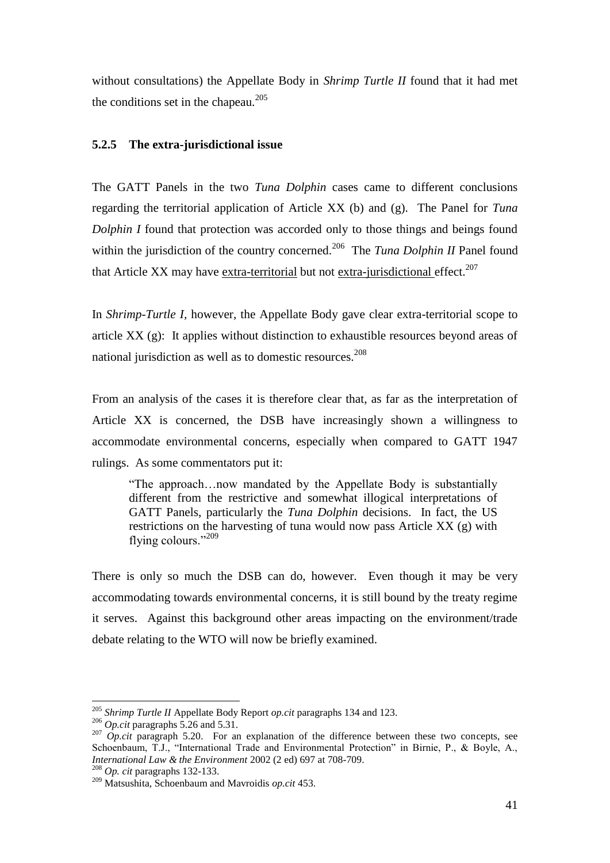without consultations) the Appellate Body in *Shrimp Turtle II* found that it had met the conditions set in the chapeau. $205$ 

#### **5.2.5 The extra-jurisdictional issue**

The GATT Panels in the two *Tuna Dolphin* cases came to different conclusions regarding the territorial application of Article XX (b) and (g). The Panel for *Tuna Dolphin I* found that protection was accorded only to those things and beings found within the jurisdiction of the country concerned.<sup>206</sup> The *Tuna Dolphin II* Panel found that Article XX may have extra-territorial but not extra-jurisdictional effect.<sup>207</sup>

In *Shrimp-Turtle I,* however, the Appellate Body gave clear extra-territorial scope to article XX (g): It applies without distinction to exhaustible resources beyond areas of national jurisdiction as well as to domestic resources.<sup>208</sup>

From an analysis of the cases it is therefore clear that, as far as the interpretation of Article XX is concerned, the DSB have increasingly shown a willingness to accommodate environmental concerns, especially when compared to GATT 1947 rulings. As some commentators put it:

"The approach…now mandated by the Appellate Body is substantially different from the restrictive and somewhat illogical interpretations of GATT Panels, particularly the *Tuna Dolphin* decisions. In fact, the US restrictions on the harvesting of tuna would now pass Article XX (g) with flying colours."<sup>209</sup>

There is only so much the DSB can do, however. Even though it may be very accommodating towards environmental concerns, it is still bound by the treaty regime it serves. Against this background other areas impacting on the environment/trade debate relating to the WTO will now be briefly examined.

<sup>205</sup> *Shrimp Turtle II* Appellate Body Report *op.cit* paragraphs 134 and 123.

<sup>206</sup> *Op.cit* paragraphs 5.26 and 5.31.

<sup>&</sup>lt;sup>207</sup> *Op.cit* paragraph 5.20. For an explanation of the difference between these two concepts, see Schoenbaum, T.J., "International Trade and Environmental Protection" in Birnie, P., & Boyle, A., *International Law & the Environment* 2002 (2 ed) 697 at 708-709. <sup>208</sup> *Op. cit* paragraphs 132-133.

<sup>209</sup> Matsushita, Schoenbaum and Mavroidis *op.cit* 453.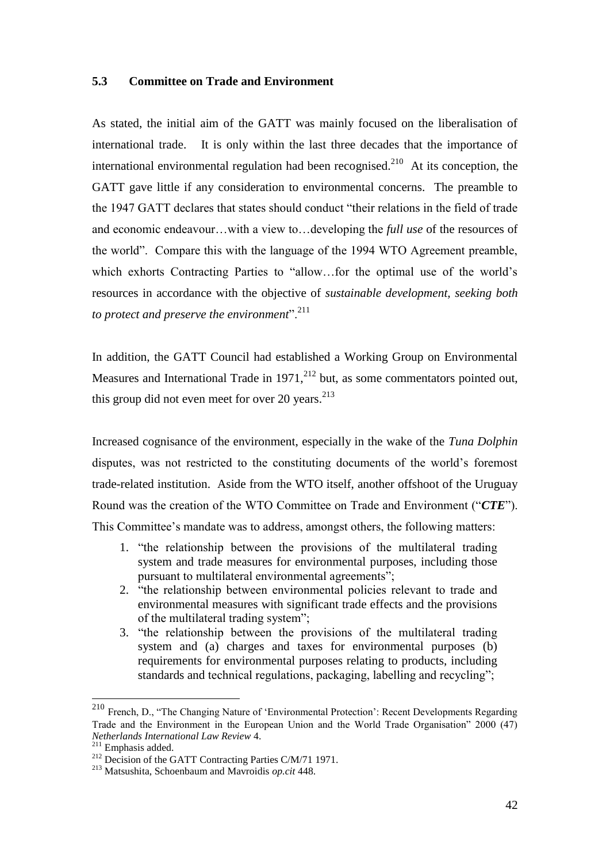## **5.3 Committee on Trade and Environment**

As stated, the initial aim of the GATT was mainly focused on the liberalisation of international trade. It is only within the last three decades that the importance of international environmental regulation had been recognised.<sup>210</sup> At its conception, the GATT gave little if any consideration to environmental concerns. The preamble to the 1947 GATT declares that states should conduct "their relations in the field of trade and economic endeavour…with a view to…developing the *full use* of the resources of the world". Compare this with the language of the 1994 WTO Agreement preamble, which exhorts Contracting Parties to "allow…for the optimal use of the world's resources in accordance with the objective of *sustainable development, seeking both to protect and preserve the environment*".<sup>211</sup>

In addition, the GATT Council had established a Working Group on Environmental Measures and International Trade in  $1971$ ,<sup>212</sup> but, as some commentators pointed out, this group did not even meet for over 20 years. $^{213}$ 

Increased cognisance of the environment, especially in the wake of the *Tuna Dolphin*  disputes, was not restricted to the constituting documents of the world's foremost trade-related institution. Aside from the WTO itself, another offshoot of the Uruguay Round was the creation of the WTO Committee on Trade and Environment ("*CTE*"). This Committee's mandate was to address, amongst others, the following matters:

- 1. "the relationship between the provisions of the multilateral trading system and trade measures for environmental purposes, including those pursuant to multilateral environmental agreements";
- 2. "the relationship between environmental policies relevant to trade and environmental measures with significant trade effects and the provisions of the multilateral trading system";
- 3. "the relationship between the provisions of the multilateral trading system and (a) charges and taxes for environmental purposes (b) requirements for environmental purposes relating to products, including standards and technical regulations, packaging, labelling and recycling";

<sup>&</sup>lt;sup>210</sup> French, D., "The Changing Nature of 'Environmental Protection': Recent Developments Regarding Trade and the Environment in the European Union and the World Trade Organisation" 2000 (47) *Netherlands International Law Review* 4.

<sup>211</sup> Emphasis added.

<sup>&</sup>lt;sup>212</sup> Decision of the GATT Contracting Parties C/M/71 1971.

<sup>213</sup> Matsushita, Schoenbaum and Mavroidis *op.cit* 448.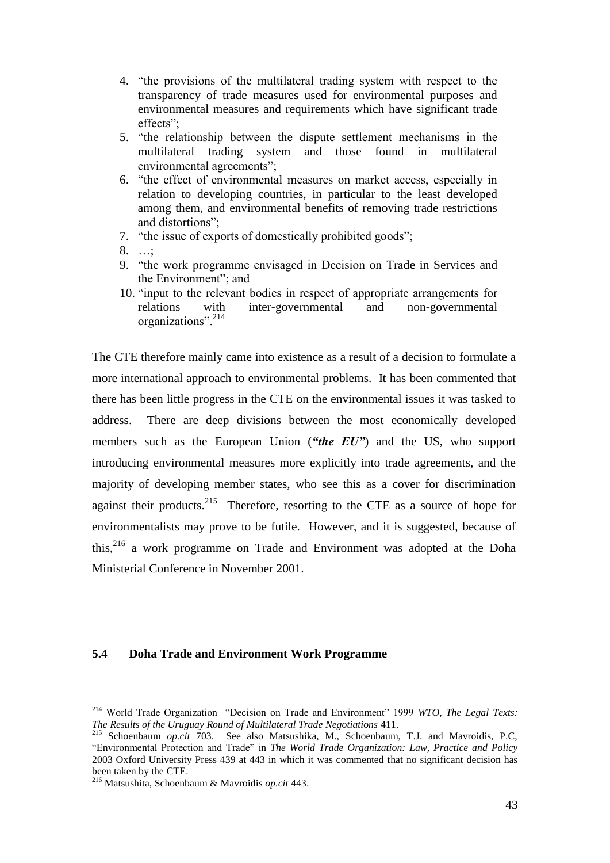- 4. "the provisions of the multilateral trading system with respect to the transparency of trade measures used for environmental purposes and environmental measures and requirements which have significant trade effects";
- 5. "the relationship between the dispute settlement mechanisms in the multilateral trading system and those found in multilateral environmental agreements";
- 6. "the effect of environmental measures on market access, especially in relation to developing countries, in particular to the least developed among them, and environmental benefits of removing trade restrictions and distortions";
- 7. "the issue of exports of domestically prohibited goods";
- 8. …;
- 9. "the work programme envisaged in Decision on Trade in Services and the Environment"; and
- 10. "input to the relevant bodies in respect of appropriate arrangements for relations with inter-governmental and non-governmental organizations".<sup>214</sup>

The CTE therefore mainly came into existence as a result of a decision to formulate a more international approach to environmental problems. It has been commented that there has been little progress in the CTE on the environmental issues it was tasked to address. There are deep divisions between the most economically developed members such as the European Union (*"the EU"*) and the US, who support introducing environmental measures more explicitly into trade agreements, and the majority of developing member states, who see this as a cover for discrimination against their products.<sup>215</sup> Therefore, resorting to the CTE as a source of hope for environmentalists may prove to be futile. However, and it is suggested, because of this,<sup>216</sup> a work programme on Trade and Environment was adopted at the Doha Ministerial Conference in November 2001.

#### **5.4 Doha Trade and Environment Work Programme**

<sup>214</sup> World Trade Organization "Decision on Trade and Environment" 1999 *WTO, The Legal Texts: The Results of the Uruguay Round of Multilateral Trade Negotiations* 411.

<sup>215</sup> Schoenbaum *op.cit* 703. See also Matsushika, M., Schoenbaum, T.J. and Mavroidis, P.C, "Environmental Protection and Trade" in *The World Trade Organization: Law, Practice and Policy* 2003 Oxford University Press 439 at 443 in which it was commented that no significant decision has been taken by the CTE.

<sup>216</sup> Matsushita, Schoenbaum & Mavroidis *op.cit* 443.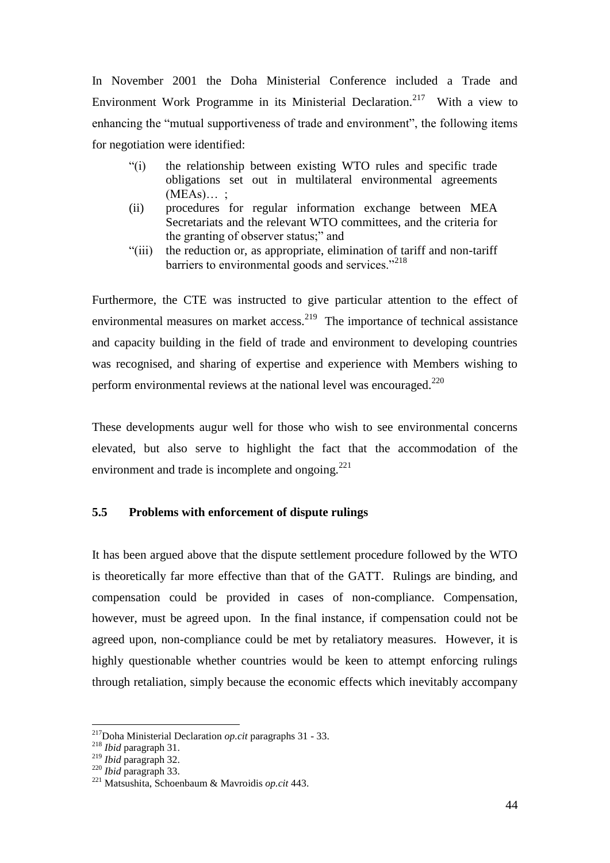In November 2001 the Doha Ministerial Conference included a Trade and Environment Work Programme in its Ministerial Declaration.<sup>217</sup> With a view to enhancing the "mutual supportiveness of trade and environment", the following items for negotiation were identified:

- "(i) the relationship between existing WTO rules and specific trade obligations set out in multilateral environmental agreements  $(MEAs)...;$
- (ii) procedures for regular information exchange between MEA Secretariats and the relevant WTO committees, and the criteria for the granting of observer status;" and
- "(iii) the reduction or, as appropriate, elimination of tariff and non-tariff barriers to environmental goods and services."<sup>218</sup>

Furthermore, the CTE was instructed to give particular attention to the effect of environmental measures on market access.<sup>219</sup> The importance of technical assistance and capacity building in the field of trade and environment to developing countries was recognised, and sharing of expertise and experience with Members wishing to perform environmental reviews at the national level was encouraged. $^{220}$ 

These developments augur well for those who wish to see environmental concerns elevated, but also serve to highlight the fact that the accommodation of the environment and trade is incomplete and ongoing.<sup>221</sup>

## **5.5 Problems with enforcement of dispute rulings**

It has been argued above that the dispute settlement procedure followed by the WTO is theoretically far more effective than that of the GATT. Rulings are binding, and compensation could be provided in cases of non-compliance. Compensation, however, must be agreed upon. In the final instance, if compensation could not be agreed upon, non-compliance could be met by retaliatory measures. However, it is highly questionable whether countries would be keen to attempt enforcing rulings through retaliation, simply because the economic effects which inevitably accompany

<sup>217</sup>Doha Ministerial Declaration *op.cit* paragraphs 31 - 33.

<sup>218</sup> *Ibid* paragraph 31.

<sup>219</sup> *Ibid* paragraph 32.

<sup>220</sup> *Ibid* paragraph 33.

<sup>221</sup> Matsushita, Schoenbaum & Mavroidis *op.cit* 443.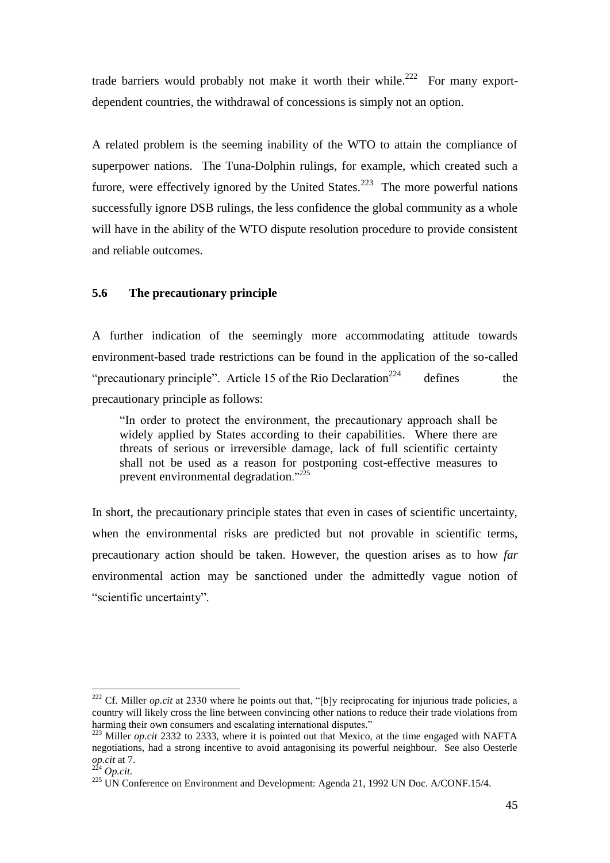trade barriers would probably not make it worth their while.<sup>222</sup> For many exportdependent countries, the withdrawal of concessions is simply not an option.

A related problem is the seeming inability of the WTO to attain the compliance of superpower nations. The Tuna-Dolphin rulings, for example, which created such a furore, were effectively ignored by the United States.<sup>223</sup> The more powerful nations successfully ignore DSB rulings, the less confidence the global community as a whole will have in the ability of the WTO dispute resolution procedure to provide consistent and reliable outcomes.

#### **5.6 The precautionary principle**

A further indication of the seemingly more accommodating attitude towards environment-based trade restrictions can be found in the application of the so-called "precautionary principle". Article 15 of the Rio Declaration<sup>224</sup> defines the precautionary principle as follows:

"In order to protect the environment, the precautionary approach shall be widely applied by States according to their capabilities. Where there are threats of serious or irreversible damage, lack of full scientific certainty shall not be used as a reason for postponing cost-effective measures to prevent environmental degradation."<sup>225</sup>

In short, the precautionary principle states that even in cases of scientific uncertainty, when the environmental risks are predicted but not provable in scientific terms, precautionary action should be taken. However, the question arises as to how *far* environmental action may be sanctioned under the admittedly vague notion of "scientific uncertainty".

<sup>&</sup>lt;sup>222</sup> Cf. Miller *op.cit* at 2330 where he points out that, "[b]y reciprocating for injurious trade policies, a country will likely cross the line between convincing other nations to reduce their trade violations from harming their own consumers and escalating international disputes."

<sup>&</sup>lt;sup>223</sup> Miller *op.cit* 2332 to 2333, where it is pointed out that Mexico, at the time engaged with NAFTA negotiations, had a strong incentive to avoid antagonising its powerful neighbour. See also Oesterle *op.cit* at 7.

<sup>224</sup> *Op.cit*.

 $225$  UN Conference on Environment and Development: Agenda 21, 1992 UN Doc. A/CONF.15/4.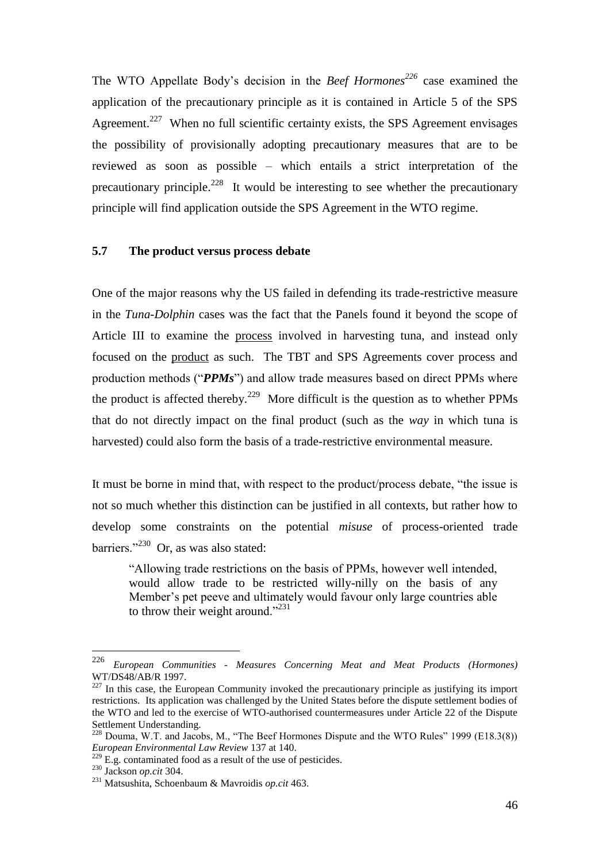The WTO Appellate Body's decision in the *Beef Hormones<sup>226</sup>* case examined the application of the precautionary principle as it is contained in Article 5 of the SPS Agreement.<sup>227</sup> When no full scientific certainty exists, the SPS Agreement envisages the possibility of provisionally adopting precautionary measures that are to be reviewed as soon as possible – which entails a strict interpretation of the precautionary principle.<sup>228</sup> It would be interesting to see whether the precautionary principle will find application outside the SPS Agreement in the WTO regime.

#### **5.7 The product versus process debate**

One of the major reasons why the US failed in defending its trade-restrictive measure in the *Tuna-Dolphin* cases was the fact that the Panels found it beyond the scope of Article III to examine the process involved in harvesting tuna, and instead only focused on the product as such. The TBT and SPS Agreements cover process and production methods ("*PPMs*") and allow trade measures based on direct PPMs where the product is affected thereby.<sup>229</sup> More difficult is the question as to whether PPMs that do not directly impact on the final product (such as the *way* in which tuna is harvested) could also form the basis of a trade-restrictive environmental measure.

It must be borne in mind that, with respect to the product/process debate, "the issue is not so much whether this distinction can be justified in all contexts, but rather how to develop some constraints on the potential *misuse* of process-oriented trade barriers."<sup>230</sup> Or, as was also stated:

"Allowing trade restrictions on the basis of PPMs, however well intended, would allow trade to be restricted willy-nilly on the basis of any Member's pet peeve and ultimately would favour only large countries able to throw their weight around."<sup>231</sup>

<sup>226</sup> <sup>226</sup> *European Communities - Measures Concerning Meat and Meat Products (Hormones)* WT/DS48/AB/R 1997.

<sup>&</sup>lt;sup>227</sup> In this case, the European Community invoked the precautionary principle as justifying its import restrictions. Its application was challenged by the United States before the dispute settlement bodies of the WTO and led to the exercise of WTO-authorised countermeasures under Article 22 of the Dispute Settlement Understanding.

 $228$  Douma, W.T. and Jacobs, M., "The Beef Hormones Dispute and the WTO Rules" 1999 (E18.3(8)) *European Environmental Law Review* 137 at 140.

 $229$  E.g. contaminated food as a result of the use of pesticides.

<sup>230</sup> Jackson *op.cit* 304.

<sup>231</sup> Matsushita, Schoenbaum & Mavroidis *op.cit* 463.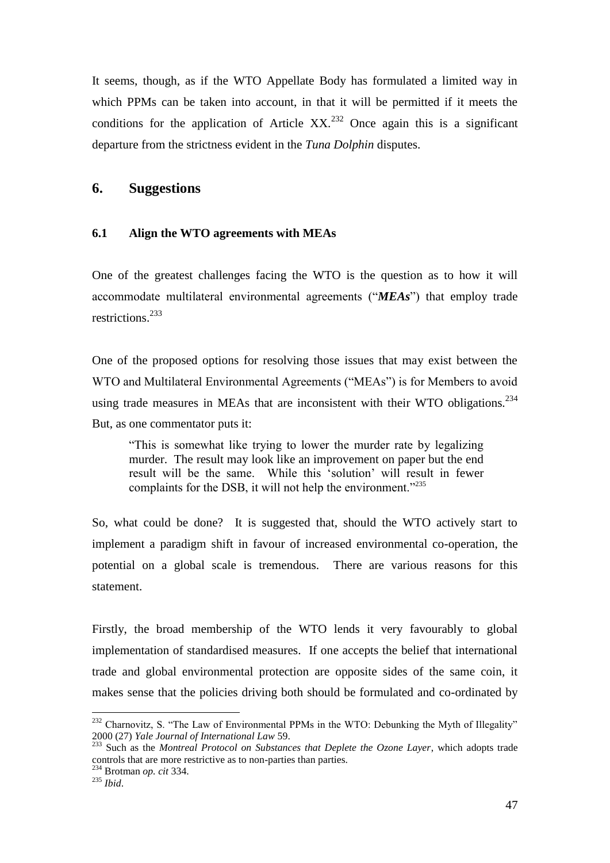It seems, though, as if the WTO Appellate Body has formulated a limited way in which PPMs can be taken into account, in that it will be permitted if it meets the conditions for the application of Article  $XX<sup>232</sup>$  Once again this is a significant departure from the strictness evident in the *Tuna Dolphin* disputes.

## **6. Suggestions**

#### **6.1 Align the WTO agreements with MEAs**

One of the greatest challenges facing the WTO is the question as to how it will accommodate multilateral environmental agreements ("*MEAs*") that employ trade restrictions.<sup>233</sup>

One of the proposed options for resolving those issues that may exist between the WTO and Multilateral Environmental Agreements ("MEAs") is for Members to avoid using trade measures in MEAs that are inconsistent with their WTO obligations. $^{234}$ But, as one commentator puts it:

"This is somewhat like trying to lower the murder rate by legalizing murder. The result may look like an improvement on paper but the end result will be the same. While this 'solution' will result in fewer complaints for the DSB, it will not help the environment."<sup>235</sup>

So, what could be done? It is suggested that, should the WTO actively start to implement a paradigm shift in favour of increased environmental co-operation, the potential on a global scale is tremendous. There are various reasons for this statement.

Firstly, the broad membership of the WTO lends it very favourably to global implementation of standardised measures. If one accepts the belief that international trade and global environmental protection are opposite sides of the same coin, it makes sense that the policies driving both should be formulated and co-ordinated by

 $232$  Charnovitz, S. "The Law of Environmental PPMs in the WTO: Debunking the Myth of Illegality" 2000 (27) *Yale Journal of International Law* 59.

<sup>&</sup>lt;sup>233</sup> Such as the *Montreal Protocol on Substances that Deplete the Ozone Layer*, which adopts trade controls that are more restrictive as to non-parties than parties.

<sup>234</sup> Brotman *op. cit* 334.

<sup>235</sup> *Ibid*.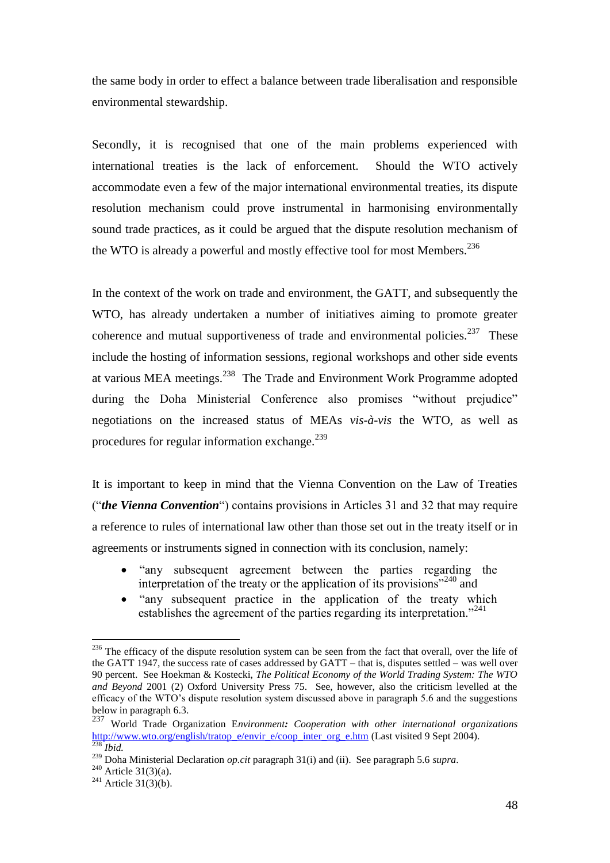the same body in order to effect a balance between trade liberalisation and responsible environmental stewardship.

Secondly, it is recognised that one of the main problems experienced with international treaties is the lack of enforcement. Should the WTO actively accommodate even a few of the major international environmental treaties, its dispute resolution mechanism could prove instrumental in harmonising environmentally sound trade practices, as it could be argued that the dispute resolution mechanism of the WTO is already a powerful and mostly effective tool for most Members.<sup>236</sup>

In the context of the work on trade and environment, the GATT, and subsequently the WTO, has already undertaken a number of initiatives aiming to promote greater coherence and mutual supportiveness of trade and environmental policies.<sup>237</sup> These include the hosting of information sessions, regional workshops and other side events at various MEA meetings.<sup>238</sup> The Trade and Environment Work Programme adopted during the Doha Ministerial Conference also promises "without prejudice" negotiations on the increased status of MEAs *vis-à-vis* the WTO, as well as procedures for regular information exchange.<sup>239</sup>

It is important to keep in mind that the Vienna Convention on the Law of Treaties ("*the Vienna Convention*") contains provisions in Articles 31 and 32 that may require a reference to rules of international law other than those set out in the treaty itself or in agreements or instruments signed in connection with its conclusion, namely:

- "any subsequent agreement between the parties regarding the interpretation of the treaty or the application of its provisions $^{240}$  and
- "any subsequent practice in the application of the treaty which establishes the agreement of the parties regarding its interpretation."<sup>241</sup>

<sup>&</sup>lt;sup>236</sup> The efficacy of the dispute resolution system can be seen from the fact that overall, over the life of the GATT 1947, the success rate of cases addressed by GATT – that is, disputes settled – was well over 90 percent. See Hoekman & Kostecki, *The Political Economy of the World Trading System: The WTO and Beyond* 2001 (2) Oxford University Press 75. See, however, also the criticism levelled at the efficacy of the WTO's dispute resolution system discussed above in paragraph 5.6 and the suggestions below in paragraph 6.3.

<sup>237</sup> World Trade Organization E*nvironment: Cooperation with other international organizations* [http://www.wto.org/english/tratop\\_e/envir\\_e/coop\\_inter\\_org\\_e.htm](http://www.wto.org/english/tratop_e/envir_e/coop_inter_org_e.htm) (Last visited 9 Sept 2004). <sup>238</sup> *Ibid.*

<sup>239</sup> Doha Ministerial Declaration *op.cit* paragraph 31(i) and (ii). See paragraph 5.6 *supra*.

 $^{240}$  Article 31(3)(a).

<sup>&</sup>lt;sup>241</sup> Article  $31(3)(b)$ .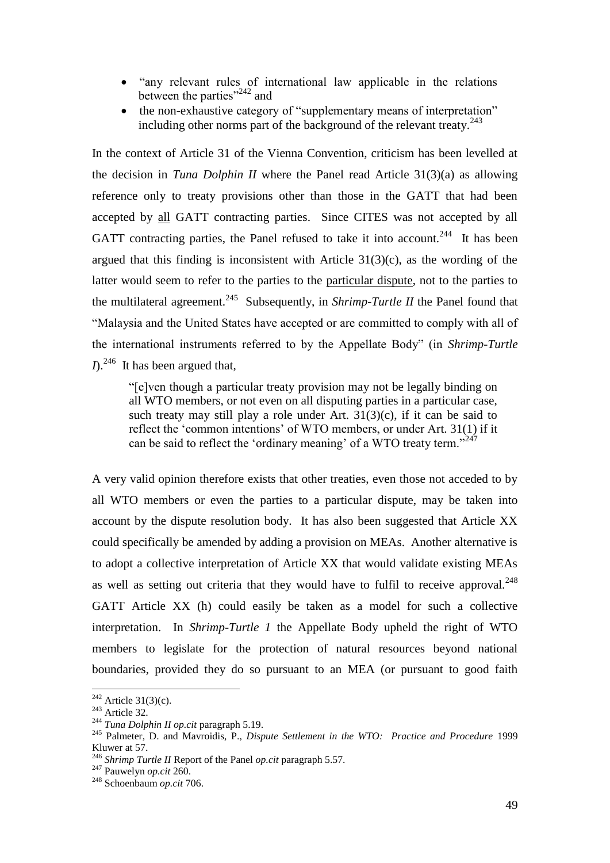- "any relevant rules of international law applicable in the relations between the parties"<sup>242</sup> and
- the non-exhaustive category of "supplementary means of interpretation" including other norms part of the background of the relevant treaty. $^{243}$

In the context of Article 31 of the Vienna Convention, criticism has been levelled at the decision in *Tuna Dolphin II* where the Panel read Article 31(3)(a) as allowing reference only to treaty provisions other than those in the GATT that had been accepted by all GATT contracting parties. Since CITES was not accepted by all GATT contracting parties, the Panel refused to take it into account.<sup>244</sup> It has been argued that this finding is inconsistent with Article  $31(3)(c)$ , as the wording of the latter would seem to refer to the parties to the particular dispute, not to the parties to the multilateral agreement.<sup>245</sup> Subsequently, in *Shrimp-Turtle II* the Panel found that "Malaysia and the United States have accepted or are committed to comply with all of the international instruments referred to by the Appellate Body" (in *Shrimp-Turtle*   $I$ <sup>246</sup> It has been argued that,

"[e]ven though a particular treaty provision may not be legally binding on all WTO members, or not even on all disputing parties in a particular case, such treaty may still play a role under Art.  $31(3)(c)$ , if it can be said to reflect the 'common intentions' of WTO members, or under Art. 31(1) if it can be said to reflect the 'ordinary meaning' of a WTO treaty term."<sup>247</sup>

A very valid opinion therefore exists that other treaties, even those not acceded to by all WTO members or even the parties to a particular dispute, may be taken into account by the dispute resolution body. It has also been suggested that Article XX could specifically be amended by adding a provision on MEAs. Another alternative is to adopt a collective interpretation of Article XX that would validate existing MEAs as well as setting out criteria that they would have to fulfil to receive approval. $^{248}$ GATT Article XX (h) could easily be taken as a model for such a collective interpretation. In *Shrimp-Turtle 1* the Appellate Body upheld the right of WTO members to legislate for the protection of natural resources beyond national boundaries, provided they do so pursuant to an MEA (or pursuant to good faith

 $^{242}$  Article 31(3)(c).

<sup>243</sup> Article 32.

<sup>244</sup> *Tuna Dolphin II op.cit* paragraph 5.19.

<sup>245</sup> Palmeter, D. and Mavroidis, P., *Dispute Settlement in the WTO: Practice and Procedure* 1999 Kluwer at 57.

<sup>246</sup> *Shrimp Turtle II* Report of the Panel *op.cit* paragraph 5.57.

<sup>247</sup> Pauwelyn *op.cit* 260.

<sup>248</sup> Schoenbaum *op.cit* 706.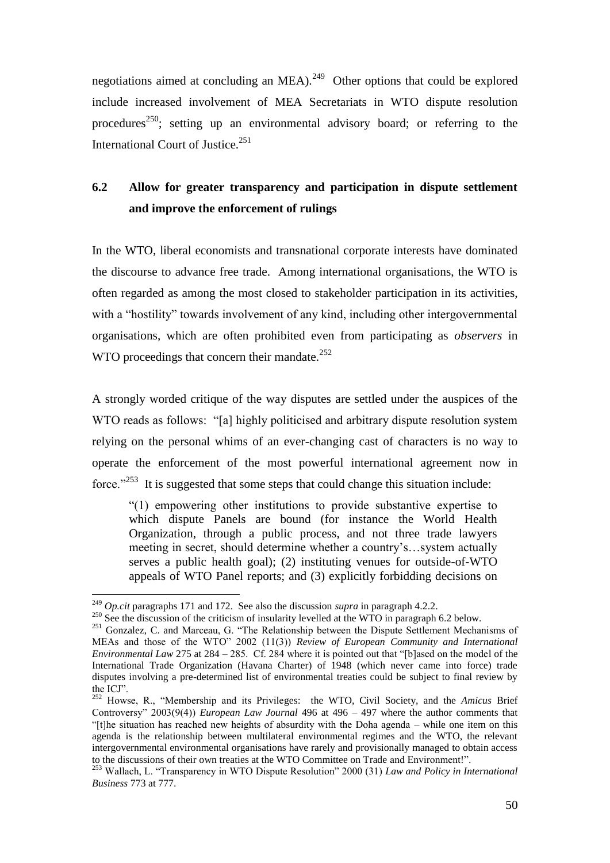negotiations aimed at concluding an MEA). $^{249}$  Other options that could be explored include increased involvement of MEA Secretariats in WTO dispute resolution procedures<sup>250</sup>; setting up an environmental advisory board; or referring to the International Court of Justice.<sup>251</sup>

## **6.2 Allow for greater transparency and participation in dispute settlement and improve the enforcement of rulings**

In the WTO, liberal economists and transnational corporate interests have dominated the discourse to advance free trade. Among international organisations, the WTO is often regarded as among the most closed to stakeholder participation in its activities, with a "hostility" towards involvement of any kind, including other intergovernmental organisations, which are often prohibited even from participating as *observers* in WTO proceedings that concern their mandate.<sup>252</sup>

A strongly worded critique of the way disputes are settled under the auspices of the WTO reads as follows: "[a] highly politicised and arbitrary dispute resolution system relying on the personal whims of an ever-changing cast of characters is no way to operate the enforcement of the most powerful international agreement now in force."<sup>253</sup> It is suggested that some steps that could change this situation include:

"(1) empowering other institutions to provide substantive expertise to which dispute Panels are bound (for instance the World Health Organization, through a public process, and not three trade lawyers meeting in secret, should determine whether a country's…system actually serves a public health goal); (2) instituting venues for outside-of-WTO appeals of WTO Panel reports; and (3) explicitly forbidding decisions on

<sup>249</sup> *Op.cit* paragraphs 171 and 172. See also the discussion *supra* in paragraph 4.2.2.

<sup>&</sup>lt;sup>250</sup> See the discussion of the criticism of insularity levelled at the WTO in paragraph 6.2 below.

<sup>&</sup>lt;sup>251</sup> Gonzalez, C. and Marceau, G. "The Relationship between the Dispute Settlement Mechanisms of MEAs and those of the WTO" 2002 (11(3)) *Review of European Community and International Environmental Law* 275 at 284 – 285. Cf. 284 where it is pointed out that "[b]ased on the model of the International Trade Organization (Havana Charter) of 1948 (which never came into force) trade disputes involving a pre-determined list of environmental treaties could be subject to final review by the ICJ".

<sup>252</sup> Howse, R., "Membership and its Privileges: the WTO, Civil Society, and the *Amicus* Brief Controversy" 2003(9(4)) *European Law Journal* 496 at 496 – 497 where the author comments that "[t]he situation has reached new heights of absurdity with the Doha agenda – while one item on this agenda is the relationship between multilateral environmental regimes and the WTO, the relevant intergovernmental environmental organisations have rarely and provisionally managed to obtain access to the discussions of their own treaties at the WTO Committee on Trade and Environment!".

<sup>253</sup> Wallach, L. "Transparency in WTO Dispute Resolution" 2000 (31) *Law and Policy in International Business* 773 at 777.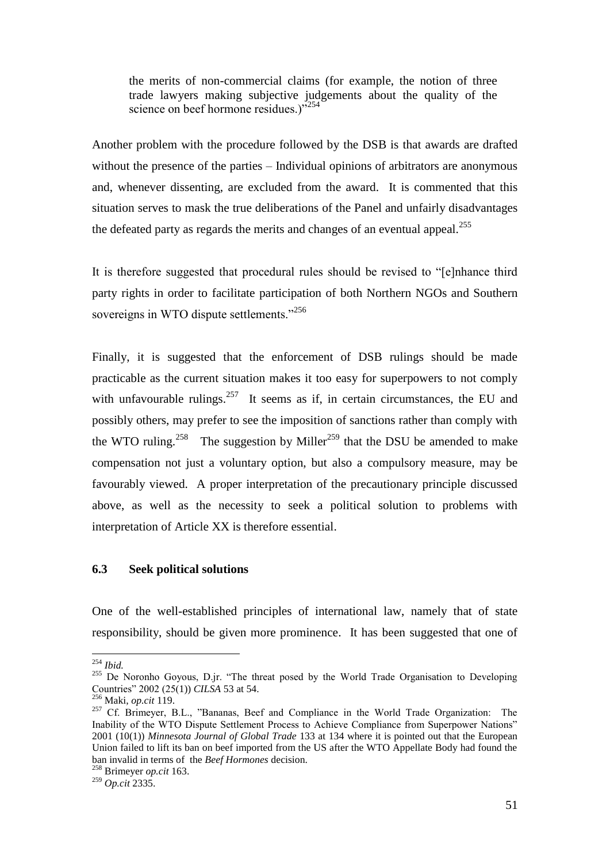the merits of non-commercial claims (for example, the notion of three trade lawyers making subjective judgements about the quality of the science on beef hormone residues.)"<sup>254</sup>

Another problem with the procedure followed by the DSB is that awards are drafted without the presence of the parties – Individual opinions of arbitrators are anonymous and, whenever dissenting, are excluded from the award. It is commented that this situation serves to mask the true deliberations of the Panel and unfairly disadvantages the defeated party as regards the merits and changes of an eventual appeal.<sup>255</sup>

It is therefore suggested that procedural rules should be revised to "[e]nhance third party rights in order to facilitate participation of both Northern NGOs and Southern sovereigns in WTO dispute settlements."<sup>256</sup>

Finally, it is suggested that the enforcement of DSB rulings should be made practicable as the current situation makes it too easy for superpowers to not comply with unfavourable rulings.<sup>257</sup> It seems as if, in certain circumstances, the EU and possibly others, may prefer to see the imposition of sanctions rather than comply with the WTO ruling.<sup>258</sup> The suggestion by Miller<sup>259</sup> that the DSU be amended to make compensation not just a voluntary option, but also a compulsory measure, may be favourably viewed. A proper interpretation of the precautionary principle discussed above, as well as the necessity to seek a political solution to problems with interpretation of Article XX is therefore essential.

### **6.3 Seek political solutions**

One of the well-established principles of international law, namely that of state responsibility, should be given more prominence. It has been suggested that one of

 $\overline{a}$ <sup>254</sup> *Ibid.*

<sup>&</sup>lt;sup>255</sup> De Noronho Goyous, D.jr. "The threat posed by the World Trade Organisation to Developing Countries" 2002 (25(1)) *CILSA* 53 at 54.

<sup>256</sup> Maki, *op.cit* 119.

<sup>&</sup>lt;sup>257</sup> Cf. Brimeyer, B.L., "Bananas, Beef and Compliance in the World Trade Organization: The Inability of the WTO Dispute Settlement Process to Achieve Compliance from Superpower Nations" 2001 (10(1)) *Minnesota Journal of Global Trade* 133 at 134 where it is pointed out that the European Union failed to lift its ban on beef imported from the US after the WTO Appellate Body had found the ban invalid in terms of the *Beef Hormones* decision.

<sup>258</sup> Brimeyer *op.cit* 163.

<sup>259</sup> *Op.cit* 2335.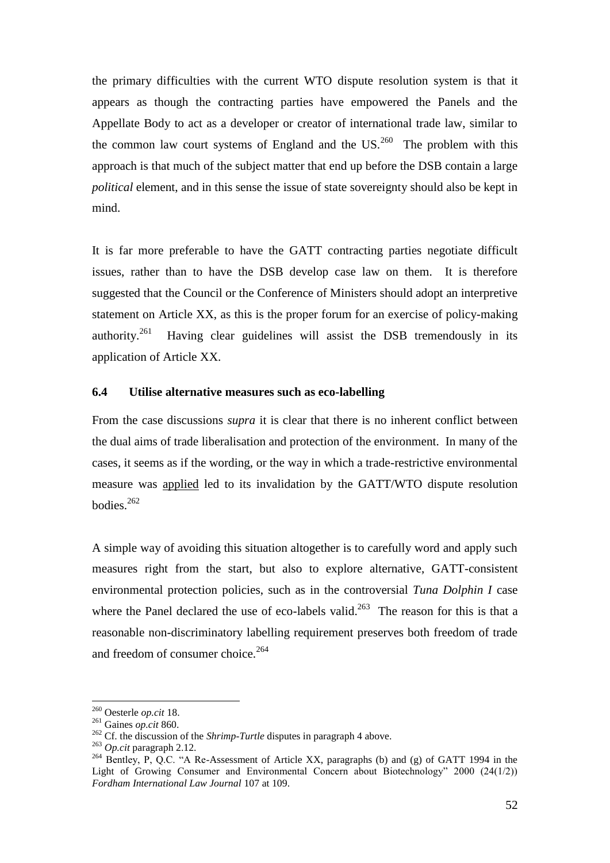the primary difficulties with the current WTO dispute resolution system is that it appears as though the contracting parties have empowered the Panels and the Appellate Body to act as a developer or creator of international trade law, similar to the common law court systems of England and the  $US.<sup>260</sup>$  The problem with this approach is that much of the subject matter that end up before the DSB contain a large *political* element, and in this sense the issue of state sovereignty should also be kept in mind.

It is far more preferable to have the GATT contracting parties negotiate difficult issues, rather than to have the DSB develop case law on them. It is therefore suggested that the Council or the Conference of Ministers should adopt an interpretive statement on Article XX, as this is the proper forum for an exercise of policy-making authority.<sup>261</sup> Having clear guidelines will assist the DSB tremendously in its application of Article XX.

### **6.4 Utilise alternative measures such as eco-labelling**

From the case discussions *supra* it is clear that there is no inherent conflict between the dual aims of trade liberalisation and protection of the environment. In many of the cases, it seems as if the wording, or the way in which a trade-restrictive environmental measure was applied led to its invalidation by the GATT/WTO dispute resolution bodies.<sup>262</sup>

A simple way of avoiding this situation altogether is to carefully word and apply such measures right from the start, but also to explore alternative, GATT-consistent environmental protection policies, such as in the controversial *Tuna Dolphin I* case where the Panel declared the use of eco-labels valid.<sup>263</sup> The reason for this is that a reasonable non-discriminatory labelling requirement preserves both freedom of trade and freedom of consumer choice. $264$ 

<sup>260</sup> Oesterle *op.cit* 18.

<sup>261</sup> Gaines *op.cit* 860.

<sup>&</sup>lt;sup>262</sup> Cf. the discussion of the *Shrimp-Turtle* disputes in paragraph 4 above.

<sup>263</sup> *Op.cit* paragraph 2.12.

<sup>&</sup>lt;sup>264</sup> Bentley, P, Q.C. "A Re-Assessment of Article XX, paragraphs (b) and (g) of GATT 1994 in the Light of Growing Consumer and Environmental Concern about Biotechnology" 2000 (24(1/2)) *Fordham International Law Journal* 107 at 109.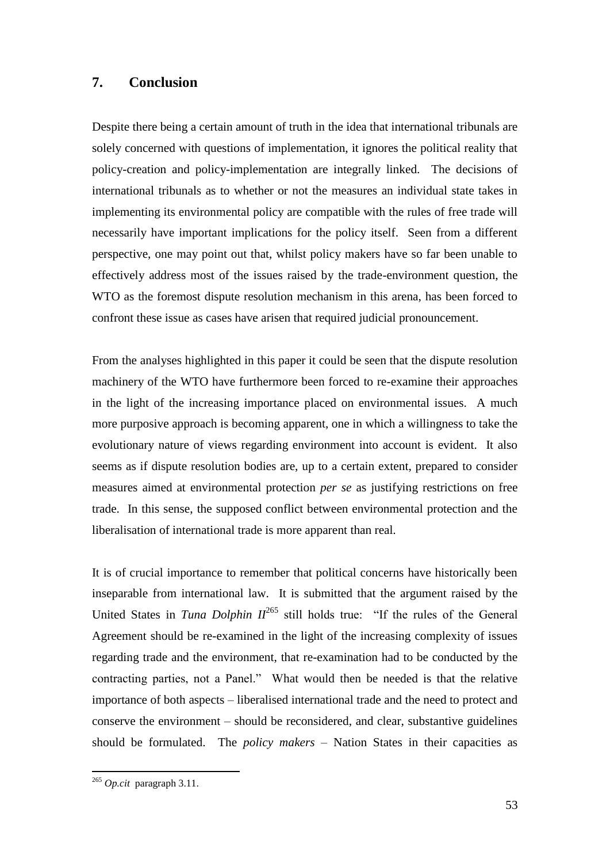## **7. Conclusion**

Despite there being a certain amount of truth in the idea that international tribunals are solely concerned with questions of implementation, it ignores the political reality that policy-creation and policy-implementation are integrally linked. The decisions of international tribunals as to whether or not the measures an individual state takes in implementing its environmental policy are compatible with the rules of free trade will necessarily have important implications for the policy itself. Seen from a different perspective, one may point out that, whilst policy makers have so far been unable to effectively address most of the issues raised by the trade-environment question, the WTO as the foremost dispute resolution mechanism in this arena, has been forced to confront these issue as cases have arisen that required judicial pronouncement.

From the analyses highlighted in this paper it could be seen that the dispute resolution machinery of the WTO have furthermore been forced to re-examine their approaches in the light of the increasing importance placed on environmental issues. A much more purposive approach is becoming apparent, one in which a willingness to take the evolutionary nature of views regarding environment into account is evident. It also seems as if dispute resolution bodies are, up to a certain extent, prepared to consider measures aimed at environmental protection *per se* as justifying restrictions on free trade. In this sense, the supposed conflict between environmental protection and the liberalisation of international trade is more apparent than real.

It is of crucial importance to remember that political concerns have historically been inseparable from international law. It is submitted that the argument raised by the United States in *Tuna Dolphin*  $II^{265}$  still holds true: "If the rules of the General Agreement should be re-examined in the light of the increasing complexity of issues regarding trade and the environment, that re-examination had to be conducted by the contracting parties, not a Panel." What would then be needed is that the relative importance of both aspects – liberalised international trade and the need to protect and conserve the environment – should be reconsidered, and clear, substantive guidelines should be formulated. The *policy makers* – Nation States in their capacities as

<sup>265</sup> *Op.cit* paragraph 3.11.